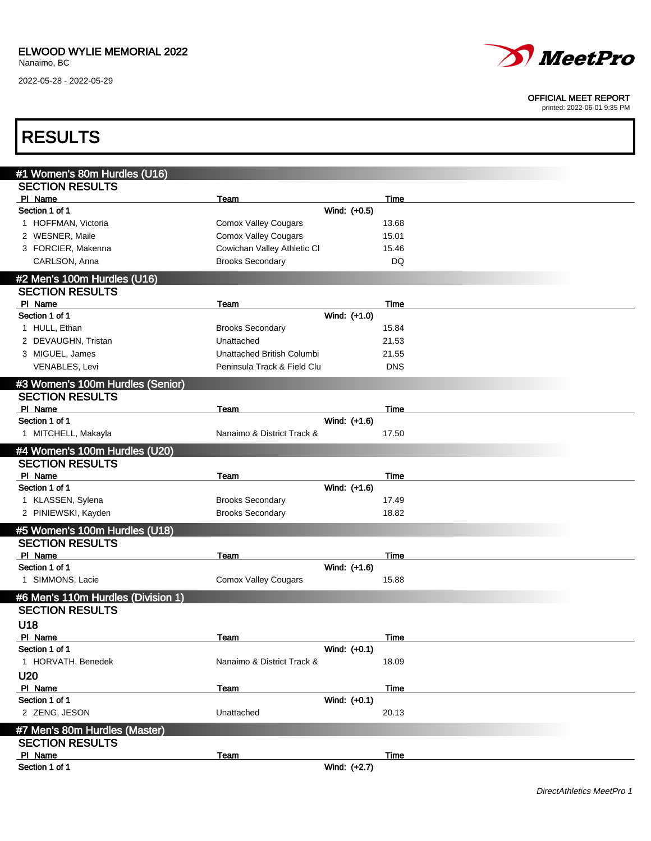2022-05-28 - 2022-05-29



#### OFFICIAL MEET REPORT

| <b>RESULTS</b>                     |                             |              |            |  |
|------------------------------------|-----------------------------|--------------|------------|--|
| #1 Women's 80m Hurdles (U16)       |                             |              |            |  |
| <b>SECTION RESULTS</b>             |                             |              |            |  |
| PI Name                            | Team                        |              | Time       |  |
| Section 1 of 1                     |                             | Wind: (+0.5) |            |  |
| 1 HOFFMAN, Victoria                | <b>Comox Valley Cougars</b> |              | 13.68      |  |
| 2 WESNER, Maile                    | <b>Comox Valley Cougars</b> |              | 15.01      |  |
| 3 FORCIER, Makenna                 | Cowichan Valley Athletic CI |              | 15.46      |  |
| CARLSON, Anna                      | <b>Brooks Secondary</b>     |              | DQ         |  |
| #2 Men's 100m Hurdles (U16)        |                             |              |            |  |
| <b>SECTION RESULTS</b>             |                             |              |            |  |
| PI Name                            | Team                        |              | Time       |  |
| Section 1 of 1                     |                             | Wind: (+1.0) |            |  |
| 1 HULL, Ethan                      | <b>Brooks Secondary</b>     |              | 15.84      |  |
| 2 DEVAUGHN, Tristan                | Unattached                  |              | 21.53      |  |
| 3 MIGUEL, James                    | Unattached British Columbi  |              | 21.55      |  |
| <b>VENABLES, Levi</b>              | Peninsula Track & Field Clu |              | <b>DNS</b> |  |
| #3 Women's 100m Hurdles (Senior)   |                             |              |            |  |
| <b>SECTION RESULTS</b>             |                             |              |            |  |
| PI Name                            | Team                        |              | Time       |  |
| Section 1 of 1                     |                             | Wind: (+1.6) |            |  |
| 1 MITCHELL, Makayla                | Nanaimo & District Track &  |              | 17.50      |  |
| #4 Women's 100m Hurdles (U20)      |                             |              |            |  |
| <b>SECTION RESULTS</b>             |                             |              |            |  |
| PI Name                            | Team                        |              | Time       |  |
| Section 1 of 1                     |                             | Wind: (+1.6) |            |  |
| 1 KLASSEN, Sylena                  | <b>Brooks Secondary</b>     |              | 17.49      |  |
| 2 PINIEWSKI, Kayden                | <b>Brooks Secondary</b>     |              | 18.82      |  |
| #5 Women's 100m Hurdles (U18)      |                             |              |            |  |
| <b>SECTION RESULTS</b>             |                             |              |            |  |
| PI Name                            | Team                        |              | Time       |  |
| Section 1 of 1                     |                             | Wind: (+1.6) |            |  |
| 1 SIMMONS, Lacie                   | <b>Comox Valley Cougars</b> |              | 15.88      |  |
| #6 Men's 110m Hurdles (Division 1) |                             |              |            |  |
| <b>SECTION RESULTS</b>             |                             |              |            |  |
| U18                                |                             |              |            |  |
| PI Name                            | Team                        |              | Time       |  |
| Section 1 of 1                     |                             | Wind: (+0.1) |            |  |
| 1 HORVATH, Benedek                 | Nanaimo & District Track &  |              | 18.09      |  |
| <b>U20</b>                         |                             |              |            |  |
| PI Name                            | Team                        |              | Time       |  |
| Section 1 of 1                     |                             | Wind: (+0.1) |            |  |
| 2 ZENG, JESON                      | Unattached                  |              | 20.13      |  |
| #7 Men's 80m Hurdles (Master)      |                             |              |            |  |
| <b>SECTION RESULTS</b>             |                             |              |            |  |
| PI Name                            | Team                        |              | Time       |  |
| Section 1 of 1                     |                             | Wind: (+2.7) |            |  |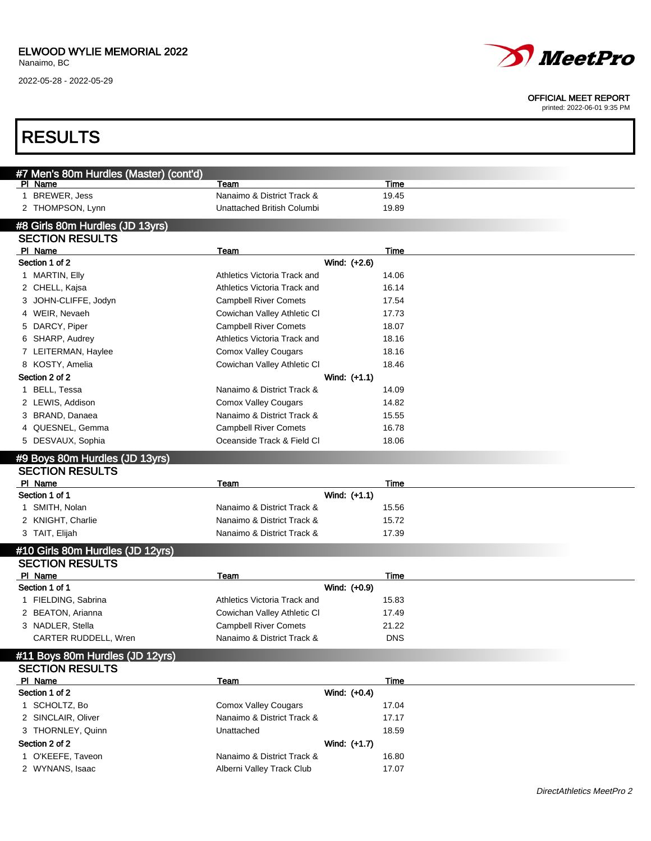2022-05-28 - 2022-05-29



#### OFFICIAL MEET REPORT

| <b>RESULTS</b>                                    |                                                            |                     |  |
|---------------------------------------------------|------------------------------------------------------------|---------------------|--|
|                                                   |                                                            |                     |  |
| #7 Men's 80m Hurdles (Master) (cont'd)<br>PI Name | Team                                                       | Time                |  |
| <b>BREWER, Jess</b><br>1.                         | Nanaimo & District Track &                                 | 19.45               |  |
| 2 THOMPSON, Lynn                                  | Unattached British Columbi                                 | 19.89               |  |
| #8 Girls 80m Hurdles (JD 13yrs)                   |                                                            |                     |  |
| <b>SECTION RESULTS</b>                            |                                                            |                     |  |
| PI Name                                           | Team                                                       | Time                |  |
| Section 1 of 2                                    |                                                            | Wind: (+2.6)        |  |
| 1 MARTIN, Elly                                    | Athletics Victoria Track and                               | 14.06               |  |
| 2 CHELL, Kajsa                                    | Athletics Victoria Track and                               | 16.14               |  |
| JOHN-CLIFFE, Jodyn<br>3                           | <b>Campbell River Comets</b>                               | 17.54               |  |
| 4 WEIR, Nevaeh                                    | Cowichan Valley Athletic CI                                | 17.73               |  |
| 5 DARCY, Piper                                    | <b>Campbell River Comets</b>                               | 18.07               |  |
| 6 SHARP, Audrey                                   | Athletics Victoria Track and                               | 18.16               |  |
| 7 LEITERMAN, Haylee                               | <b>Comox Valley Cougars</b>                                | 18.16               |  |
| 8 KOSTY, Amelia                                   | Cowichan Valley Athletic CI                                | 18.46               |  |
| Section 2 of 2                                    |                                                            | Wind: (+1.1)        |  |
| BELL, Tessa<br>1                                  | Nanaimo & District Track &                                 | 14.09               |  |
| 2 LEWIS, Addison                                  | <b>Comox Valley Cougars</b>                                | 14.82               |  |
| 3 BRAND, Danaea                                   | Nanaimo & District Track &                                 | 15.55               |  |
| 4 QUESNEL, Gemma                                  | <b>Campbell River Comets</b>                               | 16.78               |  |
| 5 DESVAUX, Sophia                                 | Oceanside Track & Field Cl                                 | 18.06               |  |
| #9 Boys 80m Hurdles (JD 13yrs)                    |                                                            |                     |  |
| <b>SECTION RESULTS</b>                            |                                                            |                     |  |
| PI Name                                           | Team                                                       | Time                |  |
| Section 1 of 1                                    |                                                            | Wind: (+1.1)        |  |
| 1 SMITH, Nolan                                    | Nanaimo & District Track &                                 | 15.56               |  |
| 2 KNIGHT, Charlie                                 | Nanaimo & District Track &                                 | 15.72               |  |
| 3 TAIT, Elijah                                    | Nanaimo & District Track &                                 | 17.39               |  |
| #10 Girls 80m Hurdles (JD 12yrs)                  |                                                            |                     |  |
| <b>SECTION RESULTS</b>                            |                                                            |                     |  |
| PI Name                                           | Team                                                       | Time                |  |
| Section 1 of 1                                    |                                                            | Wind: (+0.9)        |  |
| 1 FIELDING, Sabrina                               | Athletics Victoria Track and                               | 15.83               |  |
| 2 BEATON, Arianna                                 | Cowichan Valley Athletic CI                                | 17.49               |  |
| 3 NADLER, Stella                                  | <b>Campbell River Comets</b><br>Nanaimo & District Track & | 21.22<br><b>DNS</b> |  |
| CARTER RUDDELL, Wren                              |                                                            |                     |  |
| #11 Boys 80m Hurdles (JD 12yrs)                   |                                                            |                     |  |
| <b>SECTION RESULTS</b>                            |                                                            |                     |  |
| PI Name<br>Section 1 of 2                         | Team                                                       | Time                |  |
|                                                   |                                                            | Wind: (+0.4)        |  |
| 1 SCHOLTZ, Bo                                     | <b>Comox Valley Cougars</b>                                | 17.04               |  |
| 2 SINCLAIR, Oliver                                | Nanaimo & District Track &                                 | 17.17               |  |
| 3 THORNLEY, Quinn                                 | Unattached                                                 | 18.59               |  |
| Section 2 of 2                                    |                                                            | Wind: (+1.7)        |  |
| 1 O'KEEFE, Taveon                                 | Nanaimo & District Track &                                 | 16.80               |  |
| 2 WYNANS, Isaac                                   | Alberni Valley Track Club                                  | 17.07               |  |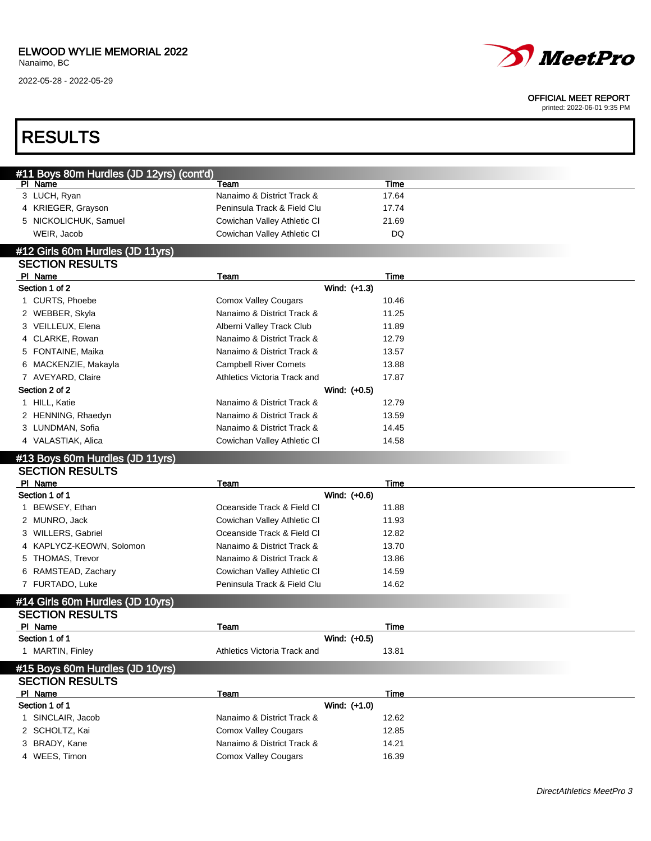2022-05-28 - 2022-05-29



#### OFFICIAL MEET REPORT

| <b>RESULTS</b>                                      |                              |       |  |
|-----------------------------------------------------|------------------------------|-------|--|
|                                                     |                              |       |  |
| #11 Boys 80m Hurdles (JD 12yrs) (cont'd)<br>PI Name | Team                         | Time  |  |
| 3 LUCH, Ryan                                        | Nanaimo & District Track &   | 17.64 |  |
| 4 KRIEGER, Grayson                                  | Peninsula Track & Field Clu  | 17.74 |  |
| 5 NICKOLICHUK, Samuel                               | Cowichan Valley Athletic CI  | 21.69 |  |
| WEIR, Jacob                                         | Cowichan Valley Athletic CI  | DQ    |  |
| #12 Girls 60m Hurdles (JD 11yrs)                    |                              |       |  |
| <b>SECTION RESULTS</b>                              |                              |       |  |
| PI Name                                             | Team                         | Time  |  |
| Section 1 of 2                                      | Wind: (+1.3)                 |       |  |
| 1 CURTS, Phoebe                                     | <b>Comox Valley Cougars</b>  | 10.46 |  |
| 2 WEBBER, Skyla                                     | Nanaimo & District Track &   | 11.25 |  |
| 3 VEILLEUX, Elena                                   | Alberni Valley Track Club    | 11.89 |  |
| 4 CLARKE, Rowan                                     | Nanaimo & District Track &   | 12.79 |  |
| 5 FONTAINE, Maika                                   | Nanaimo & District Track &   | 13.57 |  |
| 6 MACKENZIE, Makayla                                | <b>Campbell River Comets</b> | 13.88 |  |
| 7 AVEYARD, Claire                                   | Athletics Victoria Track and | 17.87 |  |
| Section 2 of 2                                      | Wind: (+0.5)                 |       |  |
| 1 HILL, Katie                                       | Nanaimo & District Track &   | 12.79 |  |
| 2 HENNING, Rhaedyn                                  | Nanaimo & District Track &   | 13.59 |  |
| 3 LUNDMAN, Sofia                                    | Nanaimo & District Track &   | 14.45 |  |
| 4 VALASTIAK, Alica                                  | Cowichan Valley Athletic CI  | 14.58 |  |
| #13 Boys 60m Hurdles (JD 11yrs)                     |                              |       |  |
| <b>SECTION RESULTS</b>                              |                              |       |  |
| PI Name                                             | Team                         | Time  |  |
| Section 1 of 1                                      | Wind: (+0.6)                 |       |  |
| 1 BEWSEY, Ethan                                     | Oceanside Track & Field CI   | 11.88 |  |
| 2 MUNRO, Jack                                       | Cowichan Valley Athletic CI  | 11.93 |  |
| 3 WILLERS, Gabriel                                  | Oceanside Track & Field CI   | 12.82 |  |
| KAPLYCZ-KEOWN, Solomon<br>4                         | Nanaimo & District Track &   | 13.70 |  |
| 5 THOMAS, Trevor                                    | Nanaimo & District Track &   | 13.86 |  |
| 6 RAMSTEAD, Zachary                                 | Cowichan Valley Athletic CI  | 14.59 |  |
| 7 FURTADO, Luke                                     | Peninsula Track & Field Clu  | 14.62 |  |
| #14 Girls 60m Hurdles (JD 10yrs)                    |                              |       |  |
| <b>SECTION RESULTS</b>                              |                              |       |  |
| PI Name                                             | <b>Team</b>                  | Time  |  |
| Section 1 of 1                                      | Wind: (+0.5)                 |       |  |
| 1 MARTIN, Finley                                    | Athletics Victoria Track and | 13.81 |  |
| #15 Boys 60m Hurdles (JD 10yrs)                     |                              |       |  |
| <b>SECTION RESULTS</b>                              |                              |       |  |
| PI Name                                             | Team                         | Time  |  |
| Section 1 of 1                                      | Wind: (+1.0)                 |       |  |
| 1 SINCLAIR, Jacob                                   | Nanaimo & District Track &   | 12.62 |  |
| 2 SCHOLTZ, Kai                                      | <b>Comox Valley Cougars</b>  | 12.85 |  |
| 3 BRADY, Kane                                       | Nanaimo & District Track &   | 14.21 |  |
| 4 WEES, Timon                                       | <b>Comox Valley Cougars</b>  | 16.39 |  |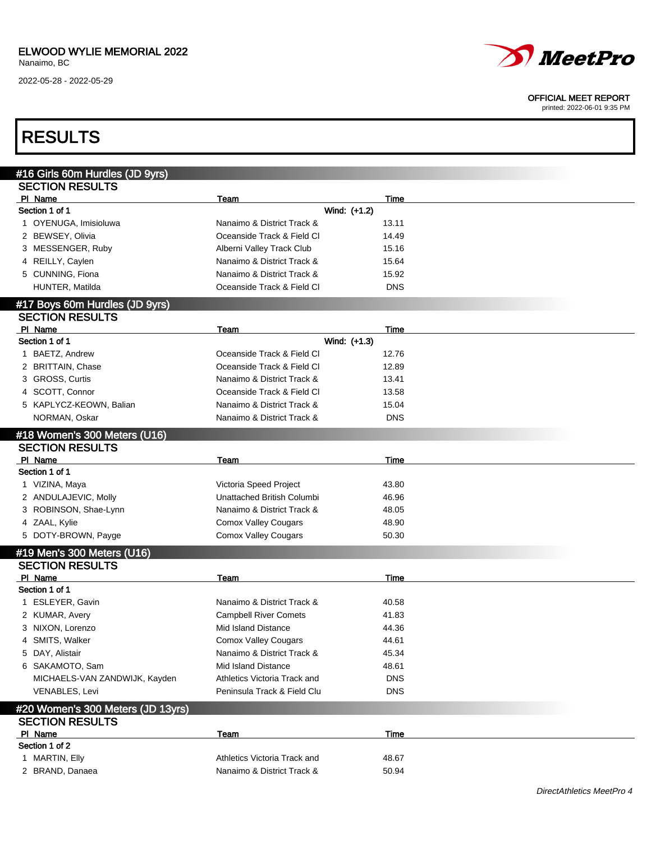2022-05-28 - 2022-05-29



#### OFFICIAL MEET REPORT

printed: 2022-06-01 9:35 PM

### RESULTS

| #16 Girls 60m Hurdles (JD 9yrs)                        |                              |              |  |
|--------------------------------------------------------|------------------------------|--------------|--|
| <b>SECTION RESULTS</b>                                 |                              |              |  |
| PI Name                                                | Team                         | Time         |  |
| Section 1 of 1                                         |                              | Wind: (+1.2) |  |
| 1 OYENUGA, Imisioluwa                                  | Nanaimo & District Track &   | 13.11        |  |
| 2 BEWSEY, Olivia                                       | Oceanside Track & Field CI   | 14.49        |  |
| 3 MESSENGER, Ruby                                      | Alberni Valley Track Club    | 15.16        |  |
| 4 REILLY, Caylen                                       | Nanaimo & District Track &   | 15.64        |  |
| 5 CUNNING, Fiona                                       | Nanaimo & District Track &   | 15.92        |  |
| HUNTER, Matilda                                        | Oceanside Track & Field CI   | <b>DNS</b>   |  |
| #17 Boys 60m Hurdles (JD 9yrs)                         |                              |              |  |
| <b>SECTION RESULTS</b>                                 |                              |              |  |
| PI Name                                                | Team                         | Time         |  |
| Section 1 of 1                                         |                              | Wind: (+1.3) |  |
| 1 BAETZ, Andrew                                        | Oceanside Track & Field Cl   | 12.76        |  |
| 2 BRITTAIN, Chase                                      | Oceanside Track & Field Cl   | 12.89        |  |
| 3 GROSS, Curtis                                        | Nanaimo & District Track &   | 13.41        |  |
| 4 SCOTT, Connor                                        | Oceanside Track & Field Cl   | 13.58        |  |
| 5 KAPLYCZ-KEOWN, Balian                                | Nanaimo & District Track &   | 15.04        |  |
| NORMAN, Oskar                                          | Nanaimo & District Track &   | <b>DNS</b>   |  |
|                                                        |                              |              |  |
| #18 Women's 300 Meters (U16)<br><b>SECTION RESULTS</b> |                              |              |  |
| PI Name                                                | Team                         | <b>Time</b>  |  |
| Section 1 of 1                                         |                              |              |  |
| 1 VIZINA, Maya                                         | Victoria Speed Project       | 43.80        |  |
| 2 ANDULAJEVIC, Molly                                   | Unattached British Columbi   | 46.96        |  |
| 3 ROBINSON, Shae-Lynn                                  | Nanaimo & District Track &   | 48.05        |  |
| 4 ZAAL, Kylie                                          | <b>Comox Valley Cougars</b>  | 48.90        |  |
| 5 DOTY-BROWN, Payge                                    | <b>Comox Valley Cougars</b>  | 50.30        |  |
|                                                        |                              |              |  |
| #19 Men's 300 Meters (U16)                             |                              |              |  |
| <b>SECTION RESULTS</b>                                 |                              |              |  |
| PI Name                                                | Team                         | Time         |  |
| Section 1 of 1                                         |                              |              |  |
| 1 ESLEYER, Gavin                                       | Nanaimo & District Track &   | 40.58        |  |
| 2 KUMAR, Avery                                         | <b>Campbell River Comets</b> | 41.83        |  |
| 3 NIXON, Lorenzo                                       | Mid Island Distance          | 44.36        |  |
| 4 SMITS, Walker                                        | <b>Comox Valley Cougars</b>  | 44.61        |  |
| 5 DAY, Alistair                                        | Nanaimo & District Track &   | 45.34        |  |
| 6 SAKAMOTO, Sam                                        | Mid Island Distance          | 48.61        |  |
| MICHAELS-VAN ZANDWIJK, Kayden                          | Athletics Victoria Track and | <b>DNS</b>   |  |
| VENABLES, Levi                                         | Peninsula Track & Field Clu  | <b>DNS</b>   |  |
| #20 Women's 300 Meters (JD 13yrs)                      |                              |              |  |
| <b>SECTION RESULTS</b>                                 |                              |              |  |
| PI Name                                                | Team                         | <b>Time</b>  |  |
| Section 1 of 2                                         |                              |              |  |
| 1 MARTIN, Elly                                         | Athletics Victoria Track and | 48.67        |  |
| 2 BRAND, Danaea                                        | Nanaimo & District Track &   | 50.94        |  |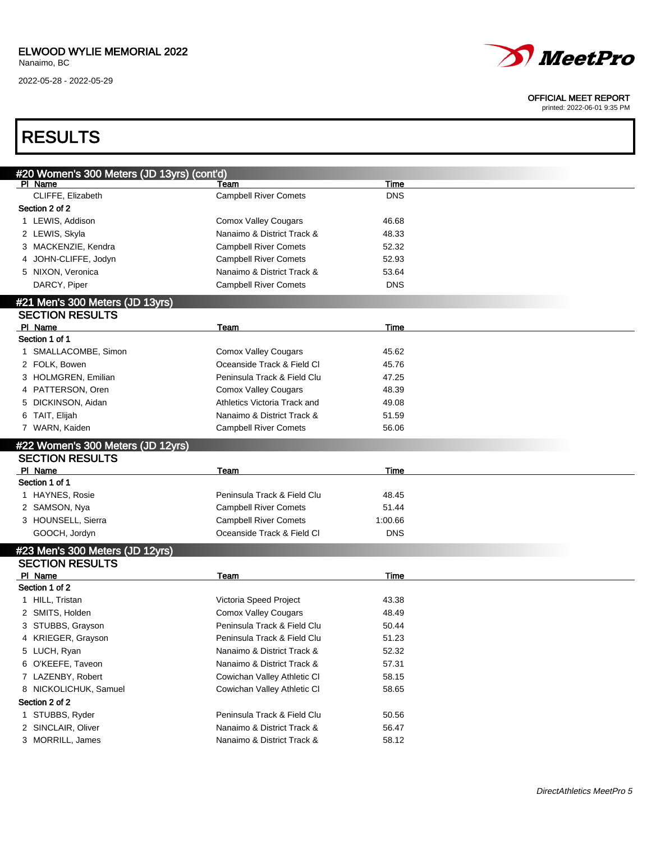

#### OFFICIAL MEET REPORT

printed: 2022-06-01 9:35 PM

## RESULTS

| #20 Women's 300 Meters (JD 13yrs) (cont'd)                |                              |            |  |
|-----------------------------------------------------------|------------------------------|------------|--|
| PI Name                                                   | Team                         | Time       |  |
| CLIFFE, Elizabeth                                         | <b>Campbell River Comets</b> | <b>DNS</b> |  |
| Section 2 of 2                                            |                              |            |  |
| 1 LEWIS, Addison                                          | <b>Comox Valley Cougars</b>  | 46.68      |  |
| 2 LEWIS, Skyla                                            | Nanaimo & District Track &   | 48.33      |  |
| 3 MACKENZIE, Kendra                                       | <b>Campbell River Comets</b> | 52.32      |  |
| 4 JOHN-CLIFFE, Jodyn                                      | <b>Campbell River Comets</b> | 52.93      |  |
| 5 NIXON, Veronica                                         | Nanaimo & District Track &   | 53.64      |  |
| DARCY, Piper                                              | <b>Campbell River Comets</b> | <b>DNS</b> |  |
| #21 Men's 300 Meters (JD 13yrs)                           |                              |            |  |
| <b>SECTION RESULTS</b>                                    |                              |            |  |
| PI Name                                                   | Team                         | Time       |  |
| Section 1 of 1                                            |                              |            |  |
| 1 SMALLACOMBE, Simon                                      | <b>Comox Valley Cougars</b>  | 45.62      |  |
| 2 FOLK, Bowen                                             | Oceanside Track & Field Cl   | 45.76      |  |
| 3 HOLMGREN, Emilian                                       | Peninsula Track & Field Clu  | 47.25      |  |
| 4 PATTERSON, Oren                                         | <b>Comox Valley Cougars</b>  | 48.39      |  |
| DICKINSON, Aidan<br>5                                     | Athletics Victoria Track and | 49.08      |  |
| 6 TAIT, Elijah                                            | Nanaimo & District Track &   | 51.59      |  |
| 7 WARN, Kaiden                                            | <b>Campbell River Comets</b> | 56.06      |  |
| #22 Women's 300 Meters (JD 12yrs)                         |                              |            |  |
| <b>SECTION RESULTS</b>                                    |                              |            |  |
| PI Name                                                   | Team                         | Time       |  |
| Section 1 of 1                                            |                              |            |  |
|                                                           |                              |            |  |
| 1 HAYNES, Rosie                                           | Peninsula Track & Field Clu  | 48.45      |  |
| 2 SAMSON, Nya                                             | <b>Campbell River Comets</b> | 51.44      |  |
| 3 HOUNSELL, Sierra                                        | <b>Campbell River Comets</b> | 1:00.66    |  |
| GOOCH, Jordyn                                             | Oceanside Track & Field Cl   | <b>DNS</b> |  |
|                                                           |                              |            |  |
| #23 Men's 300 Meters (JD 12yrs)<br><b>SECTION RESULTS</b> |                              |            |  |
| PI Name                                                   | Team                         | Time       |  |
| Section 1 of 2                                            |                              |            |  |
| 1 HILL, Tristan                                           | Victoria Speed Project       | 43.38      |  |
| 2 SMITS, Holden                                           | <b>Comox Valley Cougars</b>  | 48.49      |  |
| 3 STUBBS, Grayson                                         | Peninsula Track & Field Clu  | 50.44      |  |
| 4 KRIEGER, Grayson                                        | Peninsula Track & Field Clu  | 51.23      |  |
| 5 LUCH, Ryan                                              | Nanaimo & District Track &   | 52.32      |  |
| 6 O'KEEFE, Taveon                                         | Nanaimo & District Track &   | 57.31      |  |
| 7 LAZENBY, Robert                                         | Cowichan Valley Athletic CI  | 58.15      |  |
| 8 NICKOLICHUK, Samuel                                     | Cowichan Valley Athletic CI  | 58.65      |  |
| Section 2 of 2                                            |                              |            |  |
| 1 STUBBS, Ryder                                           | Peninsula Track & Field Clu  | 50.56      |  |
| 2 SINCLAIR, Oliver                                        | Nanaimo & District Track &   | 56.47      |  |
| 3 MORRILL, James                                          | Nanaimo & District Track &   | 58.12      |  |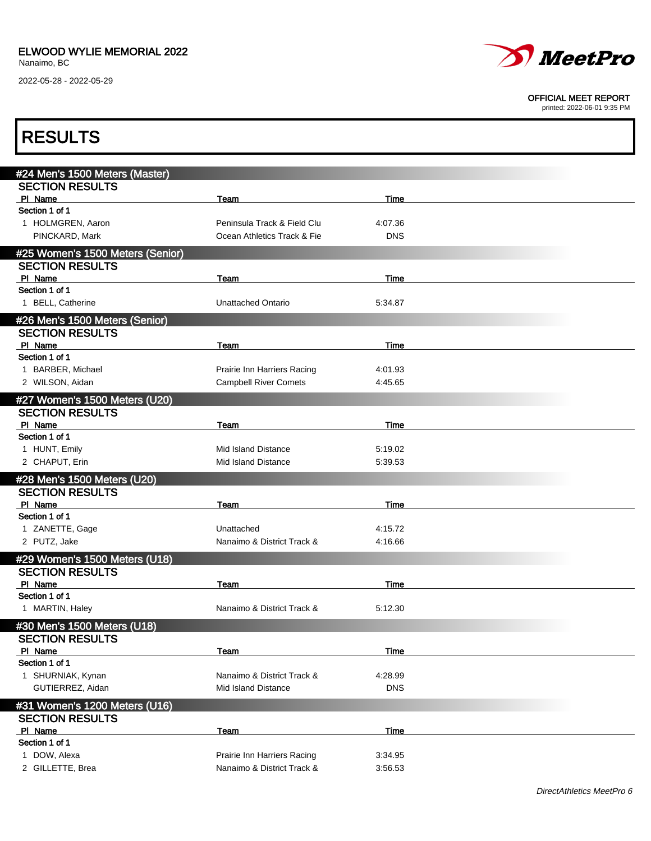

#### OFFICIAL MEET REPORT

| <b>RESULTS</b>                   |                                                           |                    |  |
|----------------------------------|-----------------------------------------------------------|--------------------|--|
| #24 Men's 1500 Meters (Master)   |                                                           |                    |  |
| <b>SECTION RESULTS</b>           |                                                           |                    |  |
| PI Name                          | Team                                                      | Time               |  |
| Section 1 of 1                   |                                                           |                    |  |
| 1 HOLMGREN, Aaron                | Peninsula Track & Field Clu                               | 4:07.36            |  |
| PINCKARD, Mark                   | Ocean Athletics Track & Fie                               | <b>DNS</b>         |  |
| #25 Women's 1500 Meters (Senior) |                                                           |                    |  |
| <b>SECTION RESULTS</b>           |                                                           |                    |  |
| PI Name                          | Team                                                      | Time               |  |
| Section 1 of 1                   |                                                           |                    |  |
| 1 BELL, Catherine                | <b>Unattached Ontario</b>                                 | 5:34.87            |  |
| #26 Men's 1500 Meters (Senior)   |                                                           |                    |  |
| <b>SECTION RESULTS</b>           |                                                           |                    |  |
| PI Name                          | Team                                                      | Time               |  |
| Section 1 of 1                   |                                                           |                    |  |
| 1 BARBER, Michael                | Prairie Inn Harriers Racing                               | 4:01.93            |  |
| 2 WILSON, Aidan                  | <b>Campbell River Comets</b>                              | 4:45.65            |  |
| #27 Women's 1500 Meters (U20)    |                                                           |                    |  |
| <b>SECTION RESULTS</b>           |                                                           |                    |  |
| PI Name                          | Team                                                      | Time               |  |
| Section 1 of 1                   |                                                           |                    |  |
| 1 HUNT, Emily                    | <b>Mid Island Distance</b>                                | 5:19.02            |  |
| 2 CHAPUT, Erin                   | Mid Island Distance                                       | 5:39.53            |  |
| #28 Men's 1500 Meters (U20)      |                                                           |                    |  |
| <b>SECTION RESULTS</b>           |                                                           |                    |  |
| PI Name                          | Team                                                      | Time               |  |
| Section 1 of 1                   |                                                           |                    |  |
| 1 ZANETTE, Gage                  | Unattached                                                | 4:15.72            |  |
| 2 PUTZ, Jake                     | Nanaimo & District Track &                                | 4:16.66            |  |
| #29 Women's 1500 Meters (U18)    |                                                           |                    |  |
| <b>SECTION RESULTS</b>           |                                                           |                    |  |
| PI Name                          | Team                                                      | Time               |  |
| Section 1 of 1                   |                                                           |                    |  |
| 1 MARTIN, Haley                  | Nanaimo & District Track &                                | 5:12.30            |  |
| #30 Men's 1500 Meters (U18)      |                                                           |                    |  |
| <b>SECTION RESULTS</b>           |                                                           |                    |  |
| PI Name                          | Team                                                      | Time               |  |
| Section 1 of 1                   |                                                           |                    |  |
| 1 SHURNIAK, Kynan                | Nanaimo & District Track &                                | 4:28.99            |  |
| GUTIERREZ, Aidan                 | Mid Island Distance                                       | <b>DNS</b>         |  |
|                                  |                                                           |                    |  |
| #31 Women's 1200 Meters (U16)    |                                                           |                    |  |
| <b>SECTION RESULTS</b>           |                                                           |                    |  |
| PI Name<br>Section 1 of 1        | <u>Team</u>                                               | <b>Time</b>        |  |
|                                  |                                                           |                    |  |
| 1 DOW, Alexa<br>2 GILLETTE, Brea | Prairie Inn Harriers Racing<br>Nanaimo & District Track & | 3:34.95<br>3:56.53 |  |
|                                  |                                                           |                    |  |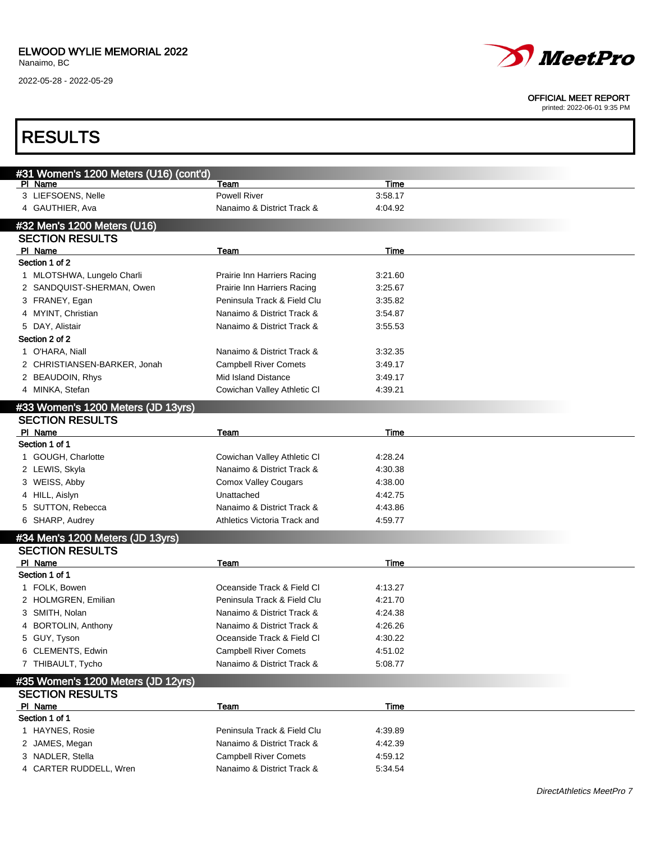

#### OFFICIAL MEET REPORT

| <b>RESULTS</b>                                        |                              |         |  |
|-------------------------------------------------------|------------------------------|---------|--|
|                                                       |                              |         |  |
| #31 Women's 1200 Meters (U16) (cont'd)<br>PI Name     | Team                         | Time    |  |
| 3 LIEFSOENS, Nelle                                    | <b>Powell River</b>          | 3:58.17 |  |
| 4 GAUTHIER, Ava                                       | Nanaimo & District Track &   | 4:04.92 |  |
|                                                       |                              |         |  |
| #32 Men's 1200 Meters (U16)<br><b>SECTION RESULTS</b> |                              |         |  |
| PI Name                                               |                              | Time    |  |
| Section 1 of 2                                        | Team                         |         |  |
| 1 MLOTSHWA, Lungelo Charli                            | Prairie Inn Harriers Racing  | 3:21.60 |  |
| 2 SANDQUIST-SHERMAN, Owen                             | Prairie Inn Harriers Racing  | 3:25.67 |  |
| 3 FRANEY, Egan                                        | Peninsula Track & Field Clu  | 3:35.82 |  |
| 4 MYINT, Christian                                    | Nanaimo & District Track &   | 3:54.87 |  |
| 5 DAY, Alistair                                       | Nanaimo & District Track &   | 3:55.53 |  |
| Section 2 of 2                                        |                              |         |  |
| 1 O'HARA, Niall                                       | Nanaimo & District Track &   | 3:32.35 |  |
| 2 CHRISTIANSEN-BARKER, Jonah                          | <b>Campbell River Comets</b> | 3:49.17 |  |
| 2 BEAUDOIN, Rhys                                      | Mid Island Distance          | 3:49.17 |  |
| 4 MINKA, Stefan                                       | Cowichan Valley Athletic CI  | 4:39.21 |  |
|                                                       |                              |         |  |
| #33 Women's 1200 Meters (JD 13yrs)                    |                              |         |  |
| <b>SECTION RESULTS</b>                                |                              |         |  |
| PI Name                                               | Team                         | Time    |  |
| Section 1 of 1                                        |                              |         |  |
| 1 GOUGH, Charlotte                                    | Cowichan Valley Athletic CI  | 4:28.24 |  |
| 2 LEWIS, Skyla                                        | Nanaimo & District Track &   | 4:30.38 |  |
| 3 WEISS, Abby                                         | <b>Comox Valley Cougars</b>  | 4:38.00 |  |
| 4 HILL, Aislyn                                        | Unattached                   | 4:42.75 |  |
| 5 SUTTON, Rebecca                                     | Nanaimo & District Track &   | 4:43.86 |  |
| 6 SHARP, Audrey                                       | Athletics Victoria Track and | 4:59.77 |  |
| #34 Men's 1200 Meters (JD 13yrs)                      |                              |         |  |
| <b>SECTION RESULTS</b>                                |                              |         |  |
| PI Name                                               | Team                         | Time    |  |
| Section 1 of 1                                        |                              |         |  |
| 1 FOLK, Bowen                                         | Oceanside Track & Field Cl   | 4:13.27 |  |
| 2 HOLMGREN, Emilian                                   | Peninsula Track & Field Clu  | 4:21.70 |  |
| 3 SMITH, Nolan                                        | Nanaimo & District Track &   | 4:24.38 |  |
| 4 BORTOLIN, Anthony                                   | Nanaimo & District Track &   | 4:26.26 |  |
| 5 GUY, Tyson                                          | Oceanside Track & Field Cl   | 4:30.22 |  |
| 6 CLEMENTS, Edwin                                     | <b>Campbell River Comets</b> | 4:51.02 |  |
| 7 THIBAULT, Tycho                                     | Nanaimo & District Track &   | 5:08.77 |  |
| #35 Women's 1200 Meters (JD 12yrs)                    |                              |         |  |
| <b>SECTION RESULTS</b>                                |                              |         |  |
| PI Name                                               | Team                         | Time    |  |
| Section 1 of 1                                        |                              |         |  |
| 1 HAYNES, Rosie                                       | Peninsula Track & Field Clu  | 4:39.89 |  |
|                                                       | Nanaimo & District Track &   | 4:42.39 |  |
| 2 JAMES, Megan                                        |                              |         |  |
| 3 NADLER, Stella                                      | <b>Campbell River Comets</b> | 4:59.12 |  |
| 4 CARTER RUDDELL, Wren                                | Nanaimo & District Track &   | 5.34.54 |  |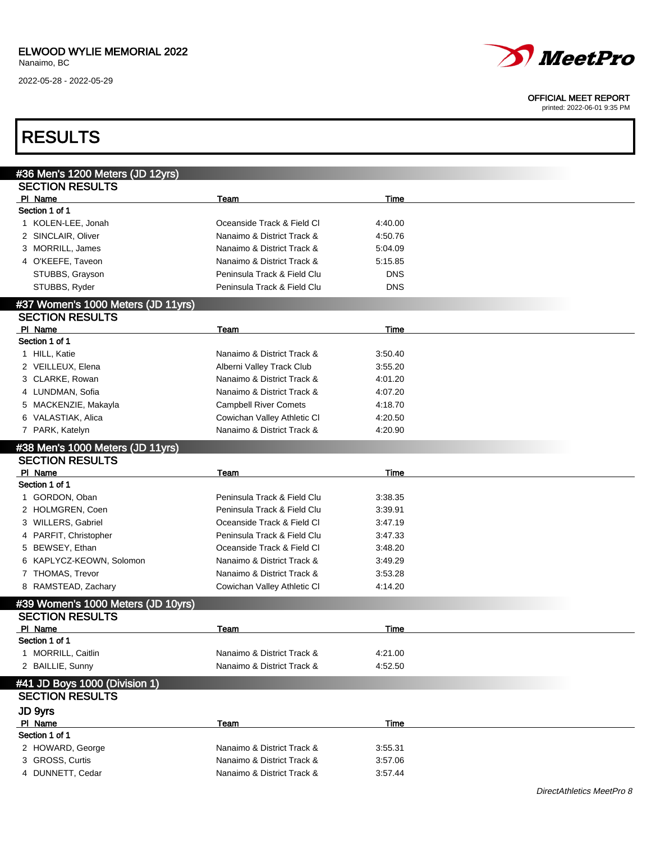

#### OFFICIAL MEET REPORT

| #36 Men's 1200 Meters (JD 12yrs)<br><b>SECTION RESULTS</b><br>PI Name<br>Time<br>Team<br>Section 1 of 1<br>1 KOLEN-LEE, Jonah<br>Oceanside Track & Field Cl<br>4:40.00<br>2 SINCLAIR, Oliver<br>Nanaimo & District Track &<br>4:50.76<br>3 MORRILL, James<br>Nanaimo & District Track &<br>5:04.09<br>4 O'KEEFE, Taveon<br>Nanaimo & District Track &<br>5:15.85<br>STUBBS, Grayson<br>Peninsula Track & Field Clu<br><b>DNS</b><br>STUBBS, Ryder<br>Peninsula Track & Field Clu<br><b>DNS</b><br><b>SECTION RESULTS</b><br>PI Name<br>Time<br>Team<br>Section 1 of 1<br>1 HILL, Katie<br>Nanaimo & District Track &<br>3:50.40<br>2 VEILLEUX, Elena<br>Alberni Valley Track Club<br>3:55.20<br>Nanaimo & District Track &<br>3 CLARKE, Rowan<br>4:01.20<br>Nanaimo & District Track &<br>4 LUNDMAN, Sofia<br>4:07.20<br>5 MACKENZIE, Makayla<br><b>Campbell River Comets</b><br>4:18.70<br>6 VALASTIAK, Alica<br>Cowichan Valley Athletic CI<br>4:20.50<br>Nanaimo & District Track &<br>7 PARK, Katelyn<br>4:20.90<br><b>SECTION RESULTS</b><br>PI Name<br>Time<br>Team<br>Section 1 of 1<br>1 GORDON, Oban<br>Peninsula Track & Field Clu<br>3:38.35<br>2 HOLMGREN, Coen<br>Peninsula Track & Field Clu<br>3:39.91<br>3 WILLERS, Gabriel<br>Oceanside Track & Field CI<br>3:47.19<br>4 PARFIT, Christopher<br>Peninsula Track & Field Clu<br>3:47.33<br>5 BEWSEY, Ethan<br>Oceanside Track & Field Cl<br>3:48.20<br>6 KAPLYCZ-KEOWN, Solomon<br>Nanaimo & District Track &<br>3:49.29<br>7 THOMAS, Trevor<br>Nanaimo & District Track &<br>3:53.28<br>8 RAMSTEAD, Zachary<br>Cowichan Valley Athletic CI<br>4:14.20<br>#39 Women's 1000 Meters (JD 10yrs)<br><b>SECTION RESULTS</b><br>PI Name<br><b>Time</b><br>Team<br>Section 1 of 1<br>1 MORRILL, Caitlin<br>Nanaimo & District Track &<br>4:21.00<br>2 BAILLIE, Sunny<br>Nanaimo & District Track &<br>4:52.50<br>#41 JD Boys 1000 (Division 1)<br><b>SECTION RESULTS</b><br>JD 9yrs<br>PI Name<br>Team<br>Time<br>Section 1 of 1<br>2 HOWARD, George<br>Nanaimo & District Track &<br>3:55.31<br>3 GROSS, Curtis<br>Nanaimo & District Track &<br>3:57.06 | <b>RESULTS</b>                     |                            |         |  |
|--------------------------------------------------------------------------------------------------------------------------------------------------------------------------------------------------------------------------------------------------------------------------------------------------------------------------------------------------------------------------------------------------------------------------------------------------------------------------------------------------------------------------------------------------------------------------------------------------------------------------------------------------------------------------------------------------------------------------------------------------------------------------------------------------------------------------------------------------------------------------------------------------------------------------------------------------------------------------------------------------------------------------------------------------------------------------------------------------------------------------------------------------------------------------------------------------------------------------------------------------------------------------------------------------------------------------------------------------------------------------------------------------------------------------------------------------------------------------------------------------------------------------------------------------------------------------------------------------------------------------------------------------------------------------------------------------------------------------------------------------------------------------------------------------------------------------------------------------------------------------------------------------------------------------------------------------------------------------------------------------------------------------------------------------------------------------------------------------------------------|------------------------------------|----------------------------|---------|--|
|                                                                                                                                                                                                                                                                                                                                                                                                                                                                                                                                                                                                                                                                                                                                                                                                                                                                                                                                                                                                                                                                                                                                                                                                                                                                                                                                                                                                                                                                                                                                                                                                                                                                                                                                                                                                                                                                                                                                                                                                                                                                                                                    |                                    |                            |         |  |
|                                                                                                                                                                                                                                                                                                                                                                                                                                                                                                                                                                                                                                                                                                                                                                                                                                                                                                                                                                                                                                                                                                                                                                                                                                                                                                                                                                                                                                                                                                                                                                                                                                                                                                                                                                                                                                                                                                                                                                                                                                                                                                                    |                                    |                            |         |  |
|                                                                                                                                                                                                                                                                                                                                                                                                                                                                                                                                                                                                                                                                                                                                                                                                                                                                                                                                                                                                                                                                                                                                                                                                                                                                                                                                                                                                                                                                                                                                                                                                                                                                                                                                                                                                                                                                                                                                                                                                                                                                                                                    |                                    |                            |         |  |
|                                                                                                                                                                                                                                                                                                                                                                                                                                                                                                                                                                                                                                                                                                                                                                                                                                                                                                                                                                                                                                                                                                                                                                                                                                                                                                                                                                                                                                                                                                                                                                                                                                                                                                                                                                                                                                                                                                                                                                                                                                                                                                                    |                                    |                            |         |  |
|                                                                                                                                                                                                                                                                                                                                                                                                                                                                                                                                                                                                                                                                                                                                                                                                                                                                                                                                                                                                                                                                                                                                                                                                                                                                                                                                                                                                                                                                                                                                                                                                                                                                                                                                                                                                                                                                                                                                                                                                                                                                                                                    |                                    |                            |         |  |
|                                                                                                                                                                                                                                                                                                                                                                                                                                                                                                                                                                                                                                                                                                                                                                                                                                                                                                                                                                                                                                                                                                                                                                                                                                                                                                                                                                                                                                                                                                                                                                                                                                                                                                                                                                                                                                                                                                                                                                                                                                                                                                                    |                                    |                            |         |  |
|                                                                                                                                                                                                                                                                                                                                                                                                                                                                                                                                                                                                                                                                                                                                                                                                                                                                                                                                                                                                                                                                                                                                                                                                                                                                                                                                                                                                                                                                                                                                                                                                                                                                                                                                                                                                                                                                                                                                                                                                                                                                                                                    |                                    |                            |         |  |
|                                                                                                                                                                                                                                                                                                                                                                                                                                                                                                                                                                                                                                                                                                                                                                                                                                                                                                                                                                                                                                                                                                                                                                                                                                                                                                                                                                                                                                                                                                                                                                                                                                                                                                                                                                                                                                                                                                                                                                                                                                                                                                                    |                                    |                            |         |  |
|                                                                                                                                                                                                                                                                                                                                                                                                                                                                                                                                                                                                                                                                                                                                                                                                                                                                                                                                                                                                                                                                                                                                                                                                                                                                                                                                                                                                                                                                                                                                                                                                                                                                                                                                                                                                                                                                                                                                                                                                                                                                                                                    |                                    |                            |         |  |
|                                                                                                                                                                                                                                                                                                                                                                                                                                                                                                                                                                                                                                                                                                                                                                                                                                                                                                                                                                                                                                                                                                                                                                                                                                                                                                                                                                                                                                                                                                                                                                                                                                                                                                                                                                                                                                                                                                                                                                                                                                                                                                                    |                                    |                            |         |  |
|                                                                                                                                                                                                                                                                                                                                                                                                                                                                                                                                                                                                                                                                                                                                                                                                                                                                                                                                                                                                                                                                                                                                                                                                                                                                                                                                                                                                                                                                                                                                                                                                                                                                                                                                                                                                                                                                                                                                                                                                                                                                                                                    | #37 Women's 1000 Meters (JD 11yrs) |                            |         |  |
|                                                                                                                                                                                                                                                                                                                                                                                                                                                                                                                                                                                                                                                                                                                                                                                                                                                                                                                                                                                                                                                                                                                                                                                                                                                                                                                                                                                                                                                                                                                                                                                                                                                                                                                                                                                                                                                                                                                                                                                                                                                                                                                    |                                    |                            |         |  |
|                                                                                                                                                                                                                                                                                                                                                                                                                                                                                                                                                                                                                                                                                                                                                                                                                                                                                                                                                                                                                                                                                                                                                                                                                                                                                                                                                                                                                                                                                                                                                                                                                                                                                                                                                                                                                                                                                                                                                                                                                                                                                                                    |                                    |                            |         |  |
|                                                                                                                                                                                                                                                                                                                                                                                                                                                                                                                                                                                                                                                                                                                                                                                                                                                                                                                                                                                                                                                                                                                                                                                                                                                                                                                                                                                                                                                                                                                                                                                                                                                                                                                                                                                                                                                                                                                                                                                                                                                                                                                    |                                    |                            |         |  |
|                                                                                                                                                                                                                                                                                                                                                                                                                                                                                                                                                                                                                                                                                                                                                                                                                                                                                                                                                                                                                                                                                                                                                                                                                                                                                                                                                                                                                                                                                                                                                                                                                                                                                                                                                                                                                                                                                                                                                                                                                                                                                                                    |                                    |                            |         |  |
|                                                                                                                                                                                                                                                                                                                                                                                                                                                                                                                                                                                                                                                                                                                                                                                                                                                                                                                                                                                                                                                                                                                                                                                                                                                                                                                                                                                                                                                                                                                                                                                                                                                                                                                                                                                                                                                                                                                                                                                                                                                                                                                    |                                    |                            |         |  |
|                                                                                                                                                                                                                                                                                                                                                                                                                                                                                                                                                                                                                                                                                                                                                                                                                                                                                                                                                                                                                                                                                                                                                                                                                                                                                                                                                                                                                                                                                                                                                                                                                                                                                                                                                                                                                                                                                                                                                                                                                                                                                                                    |                                    |                            |         |  |
|                                                                                                                                                                                                                                                                                                                                                                                                                                                                                                                                                                                                                                                                                                                                                                                                                                                                                                                                                                                                                                                                                                                                                                                                                                                                                                                                                                                                                                                                                                                                                                                                                                                                                                                                                                                                                                                                                                                                                                                                                                                                                                                    |                                    |                            |         |  |
|                                                                                                                                                                                                                                                                                                                                                                                                                                                                                                                                                                                                                                                                                                                                                                                                                                                                                                                                                                                                                                                                                                                                                                                                                                                                                                                                                                                                                                                                                                                                                                                                                                                                                                                                                                                                                                                                                                                                                                                                                                                                                                                    |                                    |                            |         |  |
|                                                                                                                                                                                                                                                                                                                                                                                                                                                                                                                                                                                                                                                                                                                                                                                                                                                                                                                                                                                                                                                                                                                                                                                                                                                                                                                                                                                                                                                                                                                                                                                                                                                                                                                                                                                                                                                                                                                                                                                                                                                                                                                    |                                    |                            |         |  |
|                                                                                                                                                                                                                                                                                                                                                                                                                                                                                                                                                                                                                                                                                                                                                                                                                                                                                                                                                                                                                                                                                                                                                                                                                                                                                                                                                                                                                                                                                                                                                                                                                                                                                                                                                                                                                                                                                                                                                                                                                                                                                                                    |                                    |                            |         |  |
|                                                                                                                                                                                                                                                                                                                                                                                                                                                                                                                                                                                                                                                                                                                                                                                                                                                                                                                                                                                                                                                                                                                                                                                                                                                                                                                                                                                                                                                                                                                                                                                                                                                                                                                                                                                                                                                                                                                                                                                                                                                                                                                    | #38 Men's 1000 Meters (JD 11yrs)   |                            |         |  |
|                                                                                                                                                                                                                                                                                                                                                                                                                                                                                                                                                                                                                                                                                                                                                                                                                                                                                                                                                                                                                                                                                                                                                                                                                                                                                                                                                                                                                                                                                                                                                                                                                                                                                                                                                                                                                                                                                                                                                                                                                                                                                                                    |                                    |                            |         |  |
|                                                                                                                                                                                                                                                                                                                                                                                                                                                                                                                                                                                                                                                                                                                                                                                                                                                                                                                                                                                                                                                                                                                                                                                                                                                                                                                                                                                                                                                                                                                                                                                                                                                                                                                                                                                                                                                                                                                                                                                                                                                                                                                    |                                    |                            |         |  |
|                                                                                                                                                                                                                                                                                                                                                                                                                                                                                                                                                                                                                                                                                                                                                                                                                                                                                                                                                                                                                                                                                                                                                                                                                                                                                                                                                                                                                                                                                                                                                                                                                                                                                                                                                                                                                                                                                                                                                                                                                                                                                                                    |                                    |                            |         |  |
|                                                                                                                                                                                                                                                                                                                                                                                                                                                                                                                                                                                                                                                                                                                                                                                                                                                                                                                                                                                                                                                                                                                                                                                                                                                                                                                                                                                                                                                                                                                                                                                                                                                                                                                                                                                                                                                                                                                                                                                                                                                                                                                    |                                    |                            |         |  |
|                                                                                                                                                                                                                                                                                                                                                                                                                                                                                                                                                                                                                                                                                                                                                                                                                                                                                                                                                                                                                                                                                                                                                                                                                                                                                                                                                                                                                                                                                                                                                                                                                                                                                                                                                                                                                                                                                                                                                                                                                                                                                                                    |                                    |                            |         |  |
|                                                                                                                                                                                                                                                                                                                                                                                                                                                                                                                                                                                                                                                                                                                                                                                                                                                                                                                                                                                                                                                                                                                                                                                                                                                                                                                                                                                                                                                                                                                                                                                                                                                                                                                                                                                                                                                                                                                                                                                                                                                                                                                    |                                    |                            |         |  |
|                                                                                                                                                                                                                                                                                                                                                                                                                                                                                                                                                                                                                                                                                                                                                                                                                                                                                                                                                                                                                                                                                                                                                                                                                                                                                                                                                                                                                                                                                                                                                                                                                                                                                                                                                                                                                                                                                                                                                                                                                                                                                                                    |                                    |                            |         |  |
|                                                                                                                                                                                                                                                                                                                                                                                                                                                                                                                                                                                                                                                                                                                                                                                                                                                                                                                                                                                                                                                                                                                                                                                                                                                                                                                                                                                                                                                                                                                                                                                                                                                                                                                                                                                                                                                                                                                                                                                                                                                                                                                    |                                    |                            |         |  |
|                                                                                                                                                                                                                                                                                                                                                                                                                                                                                                                                                                                                                                                                                                                                                                                                                                                                                                                                                                                                                                                                                                                                                                                                                                                                                                                                                                                                                                                                                                                                                                                                                                                                                                                                                                                                                                                                                                                                                                                                                                                                                                                    |                                    |                            |         |  |
|                                                                                                                                                                                                                                                                                                                                                                                                                                                                                                                                                                                                                                                                                                                                                                                                                                                                                                                                                                                                                                                                                                                                                                                                                                                                                                                                                                                                                                                                                                                                                                                                                                                                                                                                                                                                                                                                                                                                                                                                                                                                                                                    |                                    |                            |         |  |
|                                                                                                                                                                                                                                                                                                                                                                                                                                                                                                                                                                                                                                                                                                                                                                                                                                                                                                                                                                                                                                                                                                                                                                                                                                                                                                                                                                                                                                                                                                                                                                                                                                                                                                                                                                                                                                                                                                                                                                                                                                                                                                                    |                                    |                            |         |  |
|                                                                                                                                                                                                                                                                                                                                                                                                                                                                                                                                                                                                                                                                                                                                                                                                                                                                                                                                                                                                                                                                                                                                                                                                                                                                                                                                                                                                                                                                                                                                                                                                                                                                                                                                                                                                                                                                                                                                                                                                                                                                                                                    |                                    |                            |         |  |
|                                                                                                                                                                                                                                                                                                                                                                                                                                                                                                                                                                                                                                                                                                                                                                                                                                                                                                                                                                                                                                                                                                                                                                                                                                                                                                                                                                                                                                                                                                                                                                                                                                                                                                                                                                                                                                                                                                                                                                                                                                                                                                                    |                                    |                            |         |  |
|                                                                                                                                                                                                                                                                                                                                                                                                                                                                                                                                                                                                                                                                                                                                                                                                                                                                                                                                                                                                                                                                                                                                                                                                                                                                                                                                                                                                                                                                                                                                                                                                                                                                                                                                                                                                                                                                                                                                                                                                                                                                                                                    |                                    |                            |         |  |
|                                                                                                                                                                                                                                                                                                                                                                                                                                                                                                                                                                                                                                                                                                                                                                                                                                                                                                                                                                                                                                                                                                                                                                                                                                                                                                                                                                                                                                                                                                                                                                                                                                                                                                                                                                                                                                                                                                                                                                                                                                                                                                                    |                                    |                            |         |  |
|                                                                                                                                                                                                                                                                                                                                                                                                                                                                                                                                                                                                                                                                                                                                                                                                                                                                                                                                                                                                                                                                                                                                                                                                                                                                                                                                                                                                                                                                                                                                                                                                                                                                                                                                                                                                                                                                                                                                                                                                                                                                                                                    |                                    |                            |         |  |
|                                                                                                                                                                                                                                                                                                                                                                                                                                                                                                                                                                                                                                                                                                                                                                                                                                                                                                                                                                                                                                                                                                                                                                                                                                                                                                                                                                                                                                                                                                                                                                                                                                                                                                                                                                                                                                                                                                                                                                                                                                                                                                                    |                                    |                            |         |  |
|                                                                                                                                                                                                                                                                                                                                                                                                                                                                                                                                                                                                                                                                                                                                                                                                                                                                                                                                                                                                                                                                                                                                                                                                                                                                                                                                                                                                                                                                                                                                                                                                                                                                                                                                                                                                                                                                                                                                                                                                                                                                                                                    |                                    |                            |         |  |
|                                                                                                                                                                                                                                                                                                                                                                                                                                                                                                                                                                                                                                                                                                                                                                                                                                                                                                                                                                                                                                                                                                                                                                                                                                                                                                                                                                                                                                                                                                                                                                                                                                                                                                                                                                                                                                                                                                                                                                                                                                                                                                                    |                                    |                            |         |  |
|                                                                                                                                                                                                                                                                                                                                                                                                                                                                                                                                                                                                                                                                                                                                                                                                                                                                                                                                                                                                                                                                                                                                                                                                                                                                                                                                                                                                                                                                                                                                                                                                                                                                                                                                                                                                                                                                                                                                                                                                                                                                                                                    |                                    |                            |         |  |
|                                                                                                                                                                                                                                                                                                                                                                                                                                                                                                                                                                                                                                                                                                                                                                                                                                                                                                                                                                                                                                                                                                                                                                                                                                                                                                                                                                                                                                                                                                                                                                                                                                                                                                                                                                                                                                                                                                                                                                                                                                                                                                                    |                                    |                            |         |  |
|                                                                                                                                                                                                                                                                                                                                                                                                                                                                                                                                                                                                                                                                                                                                                                                                                                                                                                                                                                                                                                                                                                                                                                                                                                                                                                                                                                                                                                                                                                                                                                                                                                                                                                                                                                                                                                                                                                                                                                                                                                                                                                                    |                                    |                            |         |  |
|                                                                                                                                                                                                                                                                                                                                                                                                                                                                                                                                                                                                                                                                                                                                                                                                                                                                                                                                                                                                                                                                                                                                                                                                                                                                                                                                                                                                                                                                                                                                                                                                                                                                                                                                                                                                                                                                                                                                                                                                                                                                                                                    |                                    |                            |         |  |
|                                                                                                                                                                                                                                                                                                                                                                                                                                                                                                                                                                                                                                                                                                                                                                                                                                                                                                                                                                                                                                                                                                                                                                                                                                                                                                                                                                                                                                                                                                                                                                                                                                                                                                                                                                                                                                                                                                                                                                                                                                                                                                                    | 4 DUNNETT, Cedar                   | Nanaimo & District Track & | 3:57.44 |  |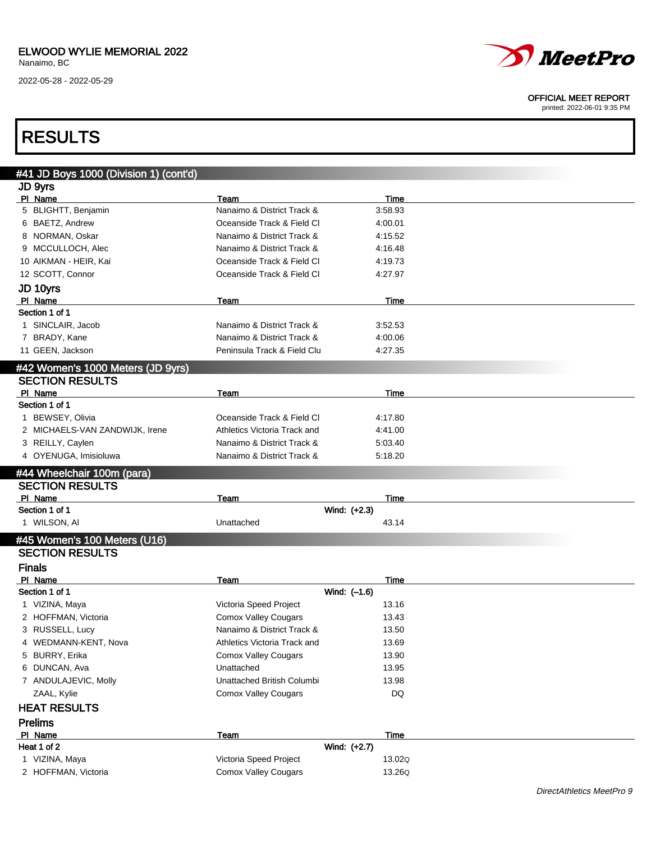

#### OFFICIAL MEET REPORT

printed: 2022-06-01 9:35 PM

## RESULTS

| JD 9yrs<br>PI Name<br><b>Time</b><br>Team<br>Nanaimo & District Track &<br>5 BLIGHTT, Benjamin<br>3:58.93<br>6 BAETZ, Andrew<br>Oceanside Track & Field Cl<br>4:00.01<br>8 NORMAN, Oskar<br>Nanaimo & District Track &<br>4:15.52<br>9 MCCULLOCH, Alec<br>Nanaimo & District Track &<br>4:16.48<br>10 AIKMAN - HEIR, Kai<br>Oceanside Track & Field Cl<br>4:19.73<br>12 SCOTT, Connor<br>Oceanside Track & Field Cl<br>4:27.97<br>JD 10yrs<br>PI Name<br>Team<br>Time<br>Section 1 of 1<br>1 SINCLAIR, Jacob<br>Nanaimo & District Track &<br>3:52.53<br>7 BRADY, Kane<br>Nanaimo & District Track &<br>4:00.06<br>11 GEEN, Jackson<br>Peninsula Track & Field Clu<br>4:27.35<br>#42 Women's 1000 Meters (JD 9yrs)<br><b>SECTION RESULTS</b><br>PI Name<br>Time<br>Team<br>Section 1 of 1<br>1 BEWSEY, Olivia<br>Oceanside Track & Field Cl<br>4:17.80<br>2 MICHAELS-VAN ZANDWIJK, Irene<br>Athletics Victoria Track and<br>4:41.00<br>3 REILLY, Caylen<br>Nanaimo & District Track &<br>5:03.40<br>4 OYENUGA, Imisioluwa<br>Nanaimo & District Track &<br>5:18.20<br>#44 Wheelchair 100m (para)<br><b>SECTION RESULTS</b><br>PI Name<br>Team<br>Time<br>Wind: (+2.3)<br>Section 1 of 1<br>1 WILSON, AI<br>Unattached<br>43.14<br>#45 Women's 100 Meters (U16)<br><b>SECTION RESULTS</b><br><b>Finals</b><br>PI Name<br><b>Time</b><br>Team<br>Section 1 of 1<br>Wind: (-1.6)<br>1 VIZINA, Maya<br>Victoria Speed Project<br>13.16<br>2 HOFFMAN, Victoria<br><b>Comox Valley Cougars</b><br>13.43<br>Nanaimo & District Track &<br>3 RUSSELL, Lucy<br>13.50<br>4 WEDMANN-KENT, Nova<br>13.69<br>Athletics Victoria Track and<br>5 BURRY, Erika<br><b>Comox Valley Cougars</b><br>13.90<br>6 DUNCAN, Ava<br>Unattached<br>13.95<br>7 ANDULAJEVIC, Molly<br>Unattached British Columbi<br>13.98<br>DQ<br>ZAAL, Kylie<br><b>Comox Valley Cougars</b><br><b>HEAT RESULTS</b><br><b>Prelims</b><br>PI Name<br>Time<br>Team<br>Wind: (+2.7)<br>Heat 1 of 2<br>1 VIZINA, Maya<br>Victoria Speed Project<br>13.02Q<br><b>Comox Valley Cougars</b><br>2 HOFFMAN, Victoria<br>13.26Q | #41 JD Boys 1000 (Division 1) (cont'd) |  |  |
|----------------------------------------------------------------------------------------------------------------------------------------------------------------------------------------------------------------------------------------------------------------------------------------------------------------------------------------------------------------------------------------------------------------------------------------------------------------------------------------------------------------------------------------------------------------------------------------------------------------------------------------------------------------------------------------------------------------------------------------------------------------------------------------------------------------------------------------------------------------------------------------------------------------------------------------------------------------------------------------------------------------------------------------------------------------------------------------------------------------------------------------------------------------------------------------------------------------------------------------------------------------------------------------------------------------------------------------------------------------------------------------------------------------------------------------------------------------------------------------------------------------------------------------------------------------------------------------------------------------------------------------------------------------------------------------------------------------------------------------------------------------------------------------------------------------------------------------------------------------------------------------------------------------------------------------------------------------------------------------------------------------------------------------------------------------------------|----------------------------------------|--|--|
|                                                                                                                                                                                                                                                                                                                                                                                                                                                                                                                                                                                                                                                                                                                                                                                                                                                                                                                                                                                                                                                                                                                                                                                                                                                                                                                                                                                                                                                                                                                                                                                                                                                                                                                                                                                                                                                                                                                                                                                                                                                                            |                                        |  |  |
|                                                                                                                                                                                                                                                                                                                                                                                                                                                                                                                                                                                                                                                                                                                                                                                                                                                                                                                                                                                                                                                                                                                                                                                                                                                                                                                                                                                                                                                                                                                                                                                                                                                                                                                                                                                                                                                                                                                                                                                                                                                                            |                                        |  |  |
|                                                                                                                                                                                                                                                                                                                                                                                                                                                                                                                                                                                                                                                                                                                                                                                                                                                                                                                                                                                                                                                                                                                                                                                                                                                                                                                                                                                                                                                                                                                                                                                                                                                                                                                                                                                                                                                                                                                                                                                                                                                                            |                                        |  |  |
|                                                                                                                                                                                                                                                                                                                                                                                                                                                                                                                                                                                                                                                                                                                                                                                                                                                                                                                                                                                                                                                                                                                                                                                                                                                                                                                                                                                                                                                                                                                                                                                                                                                                                                                                                                                                                                                                                                                                                                                                                                                                            |                                        |  |  |
|                                                                                                                                                                                                                                                                                                                                                                                                                                                                                                                                                                                                                                                                                                                                                                                                                                                                                                                                                                                                                                                                                                                                                                                                                                                                                                                                                                                                                                                                                                                                                                                                                                                                                                                                                                                                                                                                                                                                                                                                                                                                            |                                        |  |  |
|                                                                                                                                                                                                                                                                                                                                                                                                                                                                                                                                                                                                                                                                                                                                                                                                                                                                                                                                                                                                                                                                                                                                                                                                                                                                                                                                                                                                                                                                                                                                                                                                                                                                                                                                                                                                                                                                                                                                                                                                                                                                            |                                        |  |  |
|                                                                                                                                                                                                                                                                                                                                                                                                                                                                                                                                                                                                                                                                                                                                                                                                                                                                                                                                                                                                                                                                                                                                                                                                                                                                                                                                                                                                                                                                                                                                                                                                                                                                                                                                                                                                                                                                                                                                                                                                                                                                            |                                        |  |  |
|                                                                                                                                                                                                                                                                                                                                                                                                                                                                                                                                                                                                                                                                                                                                                                                                                                                                                                                                                                                                                                                                                                                                                                                                                                                                                                                                                                                                                                                                                                                                                                                                                                                                                                                                                                                                                                                                                                                                                                                                                                                                            |                                        |  |  |
|                                                                                                                                                                                                                                                                                                                                                                                                                                                                                                                                                                                                                                                                                                                                                                                                                                                                                                                                                                                                                                                                                                                                                                                                                                                                                                                                                                                                                                                                                                                                                                                                                                                                                                                                                                                                                                                                                                                                                                                                                                                                            |                                        |  |  |
|                                                                                                                                                                                                                                                                                                                                                                                                                                                                                                                                                                                                                                                                                                                                                                                                                                                                                                                                                                                                                                                                                                                                                                                                                                                                                                                                                                                                                                                                                                                                                                                                                                                                                                                                                                                                                                                                                                                                                                                                                                                                            |                                        |  |  |
|                                                                                                                                                                                                                                                                                                                                                                                                                                                                                                                                                                                                                                                                                                                                                                                                                                                                                                                                                                                                                                                                                                                                                                                                                                                                                                                                                                                                                                                                                                                                                                                                                                                                                                                                                                                                                                                                                                                                                                                                                                                                            |                                        |  |  |
|                                                                                                                                                                                                                                                                                                                                                                                                                                                                                                                                                                                                                                                                                                                                                                                                                                                                                                                                                                                                                                                                                                                                                                                                                                                                                                                                                                                                                                                                                                                                                                                                                                                                                                                                                                                                                                                                                                                                                                                                                                                                            |                                        |  |  |
|                                                                                                                                                                                                                                                                                                                                                                                                                                                                                                                                                                                                                                                                                                                                                                                                                                                                                                                                                                                                                                                                                                                                                                                                                                                                                                                                                                                                                                                                                                                                                                                                                                                                                                                                                                                                                                                                                                                                                                                                                                                                            |                                        |  |  |
|                                                                                                                                                                                                                                                                                                                                                                                                                                                                                                                                                                                                                                                                                                                                                                                                                                                                                                                                                                                                                                                                                                                                                                                                                                                                                                                                                                                                                                                                                                                                                                                                                                                                                                                                                                                                                                                                                                                                                                                                                                                                            |                                        |  |  |
|                                                                                                                                                                                                                                                                                                                                                                                                                                                                                                                                                                                                                                                                                                                                                                                                                                                                                                                                                                                                                                                                                                                                                                                                                                                                                                                                                                                                                                                                                                                                                                                                                                                                                                                                                                                                                                                                                                                                                                                                                                                                            |                                        |  |  |
|                                                                                                                                                                                                                                                                                                                                                                                                                                                                                                                                                                                                                                                                                                                                                                                                                                                                                                                                                                                                                                                                                                                                                                                                                                                                                                                                                                                                                                                                                                                                                                                                                                                                                                                                                                                                                                                                                                                                                                                                                                                                            |                                        |  |  |
|                                                                                                                                                                                                                                                                                                                                                                                                                                                                                                                                                                                                                                                                                                                                                                                                                                                                                                                                                                                                                                                                                                                                                                                                                                                                                                                                                                                                                                                                                                                                                                                                                                                                                                                                                                                                                                                                                                                                                                                                                                                                            |                                        |  |  |
|                                                                                                                                                                                                                                                                                                                                                                                                                                                                                                                                                                                                                                                                                                                                                                                                                                                                                                                                                                                                                                                                                                                                                                                                                                                                                                                                                                                                                                                                                                                                                                                                                                                                                                                                                                                                                                                                                                                                                                                                                                                                            |                                        |  |  |
|                                                                                                                                                                                                                                                                                                                                                                                                                                                                                                                                                                                                                                                                                                                                                                                                                                                                                                                                                                                                                                                                                                                                                                                                                                                                                                                                                                                                                                                                                                                                                                                                                                                                                                                                                                                                                                                                                                                                                                                                                                                                            |                                        |  |  |
|                                                                                                                                                                                                                                                                                                                                                                                                                                                                                                                                                                                                                                                                                                                                                                                                                                                                                                                                                                                                                                                                                                                                                                                                                                                                                                                                                                                                                                                                                                                                                                                                                                                                                                                                                                                                                                                                                                                                                                                                                                                                            |                                        |  |  |
|                                                                                                                                                                                                                                                                                                                                                                                                                                                                                                                                                                                                                                                                                                                                                                                                                                                                                                                                                                                                                                                                                                                                                                                                                                                                                                                                                                                                                                                                                                                                                                                                                                                                                                                                                                                                                                                                                                                                                                                                                                                                            |                                        |  |  |
|                                                                                                                                                                                                                                                                                                                                                                                                                                                                                                                                                                                                                                                                                                                                                                                                                                                                                                                                                                                                                                                                                                                                                                                                                                                                                                                                                                                                                                                                                                                                                                                                                                                                                                                                                                                                                                                                                                                                                                                                                                                                            |                                        |  |  |
|                                                                                                                                                                                                                                                                                                                                                                                                                                                                                                                                                                                                                                                                                                                                                                                                                                                                                                                                                                                                                                                                                                                                                                                                                                                                                                                                                                                                                                                                                                                                                                                                                                                                                                                                                                                                                                                                                                                                                                                                                                                                            |                                        |  |  |
|                                                                                                                                                                                                                                                                                                                                                                                                                                                                                                                                                                                                                                                                                                                                                                                                                                                                                                                                                                                                                                                                                                                                                                                                                                                                                                                                                                                                                                                                                                                                                                                                                                                                                                                                                                                                                                                                                                                                                                                                                                                                            |                                        |  |  |
|                                                                                                                                                                                                                                                                                                                                                                                                                                                                                                                                                                                                                                                                                                                                                                                                                                                                                                                                                                                                                                                                                                                                                                                                                                                                                                                                                                                                                                                                                                                                                                                                                                                                                                                                                                                                                                                                                                                                                                                                                                                                            |                                        |  |  |
|                                                                                                                                                                                                                                                                                                                                                                                                                                                                                                                                                                                                                                                                                                                                                                                                                                                                                                                                                                                                                                                                                                                                                                                                                                                                                                                                                                                                                                                                                                                                                                                                                                                                                                                                                                                                                                                                                                                                                                                                                                                                            |                                        |  |  |
|                                                                                                                                                                                                                                                                                                                                                                                                                                                                                                                                                                                                                                                                                                                                                                                                                                                                                                                                                                                                                                                                                                                                                                                                                                                                                                                                                                                                                                                                                                                                                                                                                                                                                                                                                                                                                                                                                                                                                                                                                                                                            |                                        |  |  |
|                                                                                                                                                                                                                                                                                                                                                                                                                                                                                                                                                                                                                                                                                                                                                                                                                                                                                                                                                                                                                                                                                                                                                                                                                                                                                                                                                                                                                                                                                                                                                                                                                                                                                                                                                                                                                                                                                                                                                                                                                                                                            |                                        |  |  |
|                                                                                                                                                                                                                                                                                                                                                                                                                                                                                                                                                                                                                                                                                                                                                                                                                                                                                                                                                                                                                                                                                                                                                                                                                                                                                                                                                                                                                                                                                                                                                                                                                                                                                                                                                                                                                                                                                                                                                                                                                                                                            |                                        |  |  |
|                                                                                                                                                                                                                                                                                                                                                                                                                                                                                                                                                                                                                                                                                                                                                                                                                                                                                                                                                                                                                                                                                                                                                                                                                                                                                                                                                                                                                                                                                                                                                                                                                                                                                                                                                                                                                                                                                                                                                                                                                                                                            |                                        |  |  |
|                                                                                                                                                                                                                                                                                                                                                                                                                                                                                                                                                                                                                                                                                                                                                                                                                                                                                                                                                                                                                                                                                                                                                                                                                                                                                                                                                                                                                                                                                                                                                                                                                                                                                                                                                                                                                                                                                                                                                                                                                                                                            |                                        |  |  |
|                                                                                                                                                                                                                                                                                                                                                                                                                                                                                                                                                                                                                                                                                                                                                                                                                                                                                                                                                                                                                                                                                                                                                                                                                                                                                                                                                                                                                                                                                                                                                                                                                                                                                                                                                                                                                                                                                                                                                                                                                                                                            |                                        |  |  |
|                                                                                                                                                                                                                                                                                                                                                                                                                                                                                                                                                                                                                                                                                                                                                                                                                                                                                                                                                                                                                                                                                                                                                                                                                                                                                                                                                                                                                                                                                                                                                                                                                                                                                                                                                                                                                                                                                                                                                                                                                                                                            |                                        |  |  |
|                                                                                                                                                                                                                                                                                                                                                                                                                                                                                                                                                                                                                                                                                                                                                                                                                                                                                                                                                                                                                                                                                                                                                                                                                                                                                                                                                                                                                                                                                                                                                                                                                                                                                                                                                                                                                                                                                                                                                                                                                                                                            |                                        |  |  |
|                                                                                                                                                                                                                                                                                                                                                                                                                                                                                                                                                                                                                                                                                                                                                                                                                                                                                                                                                                                                                                                                                                                                                                                                                                                                                                                                                                                                                                                                                                                                                                                                                                                                                                                                                                                                                                                                                                                                                                                                                                                                            |                                        |  |  |
|                                                                                                                                                                                                                                                                                                                                                                                                                                                                                                                                                                                                                                                                                                                                                                                                                                                                                                                                                                                                                                                                                                                                                                                                                                                                                                                                                                                                                                                                                                                                                                                                                                                                                                                                                                                                                                                                                                                                                                                                                                                                            |                                        |  |  |
|                                                                                                                                                                                                                                                                                                                                                                                                                                                                                                                                                                                                                                                                                                                                                                                                                                                                                                                                                                                                                                                                                                                                                                                                                                                                                                                                                                                                                                                                                                                                                                                                                                                                                                                                                                                                                                                                                                                                                                                                                                                                            |                                        |  |  |
|                                                                                                                                                                                                                                                                                                                                                                                                                                                                                                                                                                                                                                                                                                                                                                                                                                                                                                                                                                                                                                                                                                                                                                                                                                                                                                                                                                                                                                                                                                                                                                                                                                                                                                                                                                                                                                                                                                                                                                                                                                                                            |                                        |  |  |
|                                                                                                                                                                                                                                                                                                                                                                                                                                                                                                                                                                                                                                                                                                                                                                                                                                                                                                                                                                                                                                                                                                                                                                                                                                                                                                                                                                                                                                                                                                                                                                                                                                                                                                                                                                                                                                                                                                                                                                                                                                                                            |                                        |  |  |
|                                                                                                                                                                                                                                                                                                                                                                                                                                                                                                                                                                                                                                                                                                                                                                                                                                                                                                                                                                                                                                                                                                                                                                                                                                                                                                                                                                                                                                                                                                                                                                                                                                                                                                                                                                                                                                                                                                                                                                                                                                                                            |                                        |  |  |
|                                                                                                                                                                                                                                                                                                                                                                                                                                                                                                                                                                                                                                                                                                                                                                                                                                                                                                                                                                                                                                                                                                                                                                                                                                                                                                                                                                                                                                                                                                                                                                                                                                                                                                                                                                                                                                                                                                                                                                                                                                                                            |                                        |  |  |
|                                                                                                                                                                                                                                                                                                                                                                                                                                                                                                                                                                                                                                                                                                                                                                                                                                                                                                                                                                                                                                                                                                                                                                                                                                                                                                                                                                                                                                                                                                                                                                                                                                                                                                                                                                                                                                                                                                                                                                                                                                                                            |                                        |  |  |
|                                                                                                                                                                                                                                                                                                                                                                                                                                                                                                                                                                                                                                                                                                                                                                                                                                                                                                                                                                                                                                                                                                                                                                                                                                                                                                                                                                                                                                                                                                                                                                                                                                                                                                                                                                                                                                                                                                                                                                                                                                                                            |                                        |  |  |
|                                                                                                                                                                                                                                                                                                                                                                                                                                                                                                                                                                                                                                                                                                                                                                                                                                                                                                                                                                                                                                                                                                                                                                                                                                                                                                                                                                                                                                                                                                                                                                                                                                                                                                                                                                                                                                                                                                                                                                                                                                                                            |                                        |  |  |
|                                                                                                                                                                                                                                                                                                                                                                                                                                                                                                                                                                                                                                                                                                                                                                                                                                                                                                                                                                                                                                                                                                                                                                                                                                                                                                                                                                                                                                                                                                                                                                                                                                                                                                                                                                                                                                                                                                                                                                                                                                                                            |                                        |  |  |
|                                                                                                                                                                                                                                                                                                                                                                                                                                                                                                                                                                                                                                                                                                                                                                                                                                                                                                                                                                                                                                                                                                                                                                                                                                                                                                                                                                                                                                                                                                                                                                                                                                                                                                                                                                                                                                                                                                                                                                                                                                                                            |                                        |  |  |
|                                                                                                                                                                                                                                                                                                                                                                                                                                                                                                                                                                                                                                                                                                                                                                                                                                                                                                                                                                                                                                                                                                                                                                                                                                                                                                                                                                                                                                                                                                                                                                                                                                                                                                                                                                                                                                                                                                                                                                                                                                                                            |                                        |  |  |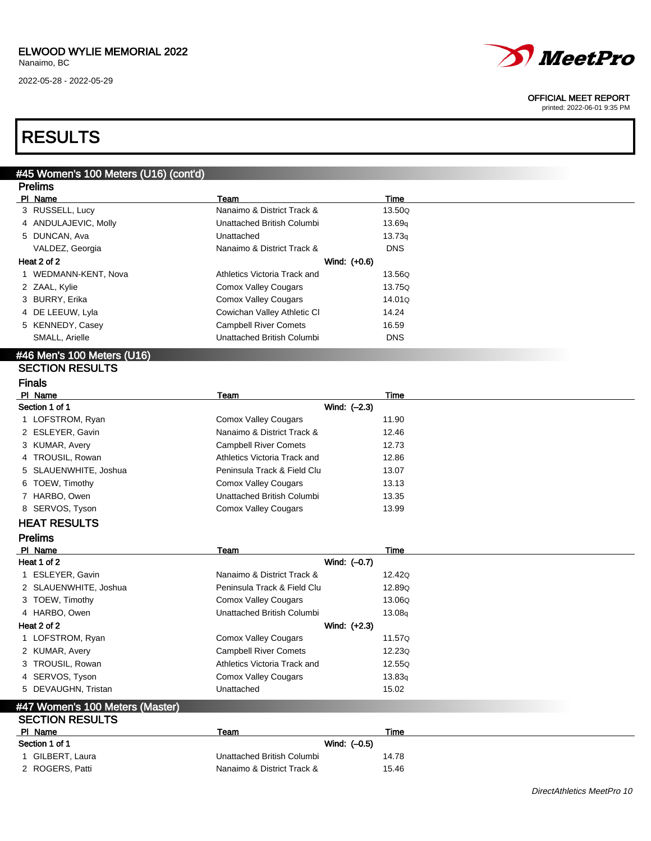2022-05-28 - 2022-05-29



#### OFFICIAL MEET REPORT

printed: 2022-06-01 9:35 PM

## RESULTS

| #45 Women's 100 Meters (U16) (cont'd)                     |                              |                    |
|-----------------------------------------------------------|------------------------------|--------------------|
| <b>Prelims</b>                                            |                              |                    |
| PI Name                                                   | Team                         | <b>Time</b>        |
| 3 RUSSELL, Lucy                                           | Nanaimo & District Track &   | 13.50Q             |
| 4 ANDULAJEVIC, Molly                                      | Unattached British Columbi   | 13.69 <sub>q</sub> |
| 5 DUNCAN, Ava                                             | Unattached                   | 13.73q             |
| VALDEZ, Georgia                                           | Nanaimo & District Track &   | <b>DNS</b>         |
| Heat 2 of 2                                               | Wind: (+0.6)                 |                    |
| 1 WEDMANN-KENT, Nova                                      | Athletics Victoria Track and | 13.56Q             |
| 2 ZAAL, Kylie                                             | <b>Comox Valley Cougars</b>  | 13.75Q             |
| 3 BURRY, Erika                                            | <b>Comox Valley Cougars</b>  | 14.01Q             |
| 4 DE LEEUW, Lyla                                          | Cowichan Valley Athletic CI  | 14.24              |
| 5 KENNEDY, Casey                                          | <b>Campbell River Comets</b> | 16.59              |
| SMALL, Arielle                                            | Unattached British Columbi   | <b>DNS</b>         |
| #46 Men's 100 Meters (U16)                                |                              |                    |
| <b>SECTION RESULTS</b>                                    |                              |                    |
| <b>Finals</b>                                             |                              |                    |
| PI Name                                                   | Team                         | Time               |
| Section 1 of 1                                            | Wind: (-2.3)                 |                    |
| 1 LOFSTROM, Ryan                                          | <b>Comox Valley Cougars</b>  | 11.90              |
| 2 ESLEYER, Gavin                                          | Nanaimo & District Track &   | 12.46              |
| 3 KUMAR, Avery                                            | <b>Campbell River Comets</b> | 12.73              |
| 4 TROUSIL, Rowan                                          | Athletics Victoria Track and | 12.86              |
| SLAUENWHITE, Joshua<br>5                                  | Peninsula Track & Field Clu  | 13.07              |
| TOEW, Timothy<br>6                                        | <b>Comox Valley Cougars</b>  | 13.13              |
| 7 HARBO, Owen                                             | Unattached British Columbi   | 13.35              |
| 8 SERVOS, Tyson                                           | <b>Comox Valley Cougars</b>  | 13.99              |
| <b>HEAT RESULTS</b>                                       |                              |                    |
| <b>Prelims</b>                                            |                              |                    |
| PI Name                                                   | Team                         | <b>Time</b>        |
| Heat 1 of 2                                               | Wind: (-0.7)                 |                    |
| 1 ESLEYER, Gavin                                          | Nanaimo & District Track &   | 12.42Q             |
| 2 SLAUENWHITE, Joshua                                     | Peninsula Track & Field Clu  | 12.89Q             |
| 3 TOEW, Timothy                                           | <b>Comox Valley Cougars</b>  | 13.06Q             |
| 4 HARBO, Owen                                             | Unattached British Columbi   | 13.08q             |
| Heat 2 of 2                                               | Wind: $(+2.3)$               |                    |
| 1 LOFSTROM, Ryan                                          | Comox Valley Cougars         | 11.57Q             |
| 2 KUMAR, Avery                                            | <b>Campbell River Comets</b> | 12.23Q             |
| 3 TROUSIL, Rowan                                          | Athletics Victoria Track and | 12.55Q             |
| 4 SERVOS, Tyson                                           | <b>Comox Valley Cougars</b>  | 13.83q             |
| 5 DEVAUGHN, Tristan                                       | Unattached                   | 15.02              |
|                                                           |                              |                    |
| #47 Women's 100 Meters (Master)<br><b>SECTION RESULTS</b> |                              |                    |
| PI Name                                                   | <b>Team</b>                  | <u>Time</u>        |
| Section 1 of 1                                            | Wind: (-0.5)                 |                    |
| 1 GILBERT, Laura                                          | Unattached British Columbi   | 14.78              |
| 2 ROGERS, Patti                                           | Nanaimo & District Track &   | 15.46              |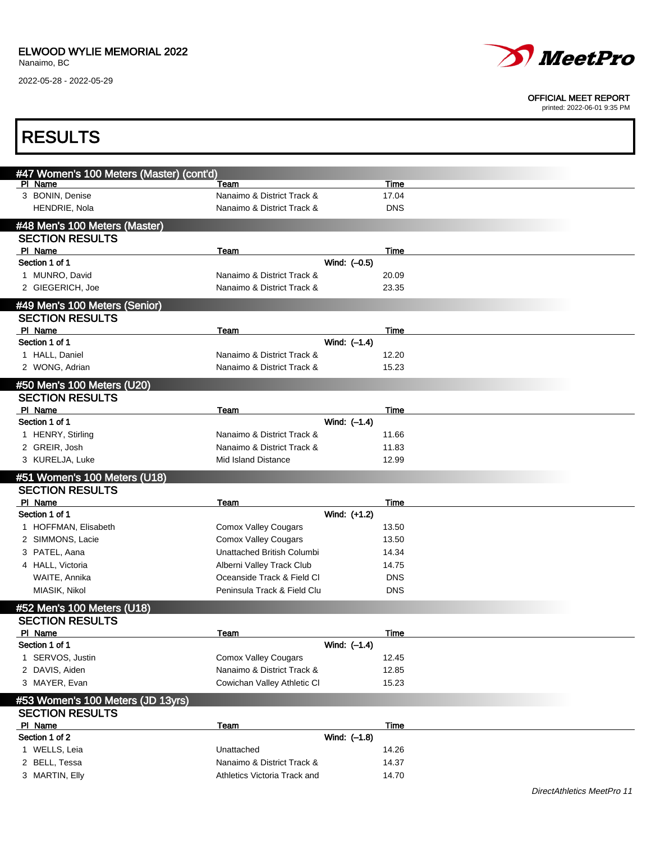

#### OFFICIAL MEET REPORT

| <b>RESULTS</b>                                       |                              |                |            |                            |
|------------------------------------------------------|------------------------------|----------------|------------|----------------------------|
| #47 Women's 100 Meters (Master) (cont'd)             |                              |                |            |                            |
| PI Name                                              | Team                         |                | Time       |                            |
| 3 BONIN, Denise                                      | Nanaimo & District Track &   |                | 17.04      |                            |
| HENDRIE, Nola                                        | Nanaimo & District Track &   |                | <b>DNS</b> |                            |
| #48 Men's 100 Meters (Master)                        |                              |                |            |                            |
| <b>SECTION RESULTS</b>                               |                              |                |            |                            |
| PI Name                                              | Team                         |                | Time       |                            |
| Section 1 of 1                                       |                              | Wind: (-0.5)   |            |                            |
| 1 MUNRO, David                                       | Nanaimo & District Track &   |                | 20.09      |                            |
| 2 GIEGERICH, Joe                                     | Nanaimo & District Track &   |                | 23.35      |                            |
| #49 Men's 100 Meters (Senior)                        |                              |                |            |                            |
| <b>SECTION RESULTS</b>                               |                              |                |            |                            |
| PI Name                                              | Team                         |                | Time       |                            |
| Section 1 of 1                                       |                              | Wind: $(-1.4)$ |            |                            |
| 1 HALL, Daniel                                       | Nanaimo & District Track &   |                | 12.20      |                            |
| 2 WONG, Adrian                                       | Nanaimo & District Track &   |                | 15.23      |                            |
| #50 Men's 100 Meters (U20)                           |                              |                |            |                            |
| <b>SECTION RESULTS</b>                               |                              |                |            |                            |
| PI Name                                              | Team                         |                | Time       |                            |
| Section 1 of 1                                       |                              | Wind: (-1.4)   |            |                            |
| 1 HENRY, Stirling                                    | Nanaimo & District Track &   |                | 11.66      |                            |
| 2 GREIR, Josh                                        | Nanaimo & District Track &   |                | 11.83      |                            |
| 3 KURELJA, Luke                                      | Mid Island Distance          |                | 12.99      |                            |
|                                                      |                              |                |            |                            |
| #51 Women's 100 Meters (U18)                         |                              |                |            |                            |
| <b>SECTION RESULTS</b>                               |                              |                |            |                            |
| PI Name                                              | <b>Team</b>                  |                | Time       |                            |
| Section 1 of 1                                       |                              | Wind: (+1.2)   |            |                            |
| 1 HOFFMAN, Elisabeth                                 | <b>Comox Valley Cougars</b>  |                | 13.50      |                            |
| 2 SIMMONS, Lacie                                     | <b>Comox Valley Cougars</b>  |                | 13.50      |                            |
| 3 PATEL, Aana                                        | Unattached British Columbi   |                | 14.34      |                            |
| 4 HALL, Victoria                                     | Alberni Valley Track Club    |                | 14.75      |                            |
| WAITE, Annika                                        | Oceanside Track & Field CI   |                | <b>DNS</b> |                            |
| MIASIK, Nikol                                        | Peninsula Track & Field Clu  |                | <b>DNS</b> |                            |
| #52 Men's 100 Meters (U18)<br><b>SECTION RESULTS</b> |                              |                |            |                            |
| PI Name                                              | <b>Team</b>                  |                | Time       |                            |
| Section 1 of 1                                       |                              | Wind: (-1.4)   |            |                            |
| 1 SERVOS, Justin                                     | <b>Comox Valley Cougars</b>  |                | 12.45      |                            |
| 2 DAVIS, Aiden                                       | Nanaimo & District Track &   |                | 12.85      |                            |
| 3 MAYER, Evan                                        | Cowichan Valley Athletic CI  |                | 15.23      |                            |
| #53 Women's 100 Meters (JD 13yrs)                    |                              |                |            |                            |
| <b>SECTION RESULTS</b>                               |                              |                |            |                            |
| PI Name                                              | Team                         |                | Time       |                            |
| Section 1 of 2                                       |                              | Wind: (-1.8)   |            |                            |
| 1 WELLS, Leia                                        | Unattached                   |                | 14.26      |                            |
| 2 BELL, Tessa                                        | Nanaimo & District Track &   |                | 14.37      |                            |
| 3 MARTIN, Elly                                       | Athletics Victoria Track and |                | 14.70      |                            |
|                                                      |                              |                |            | DirectAthletics MeetPro 11 |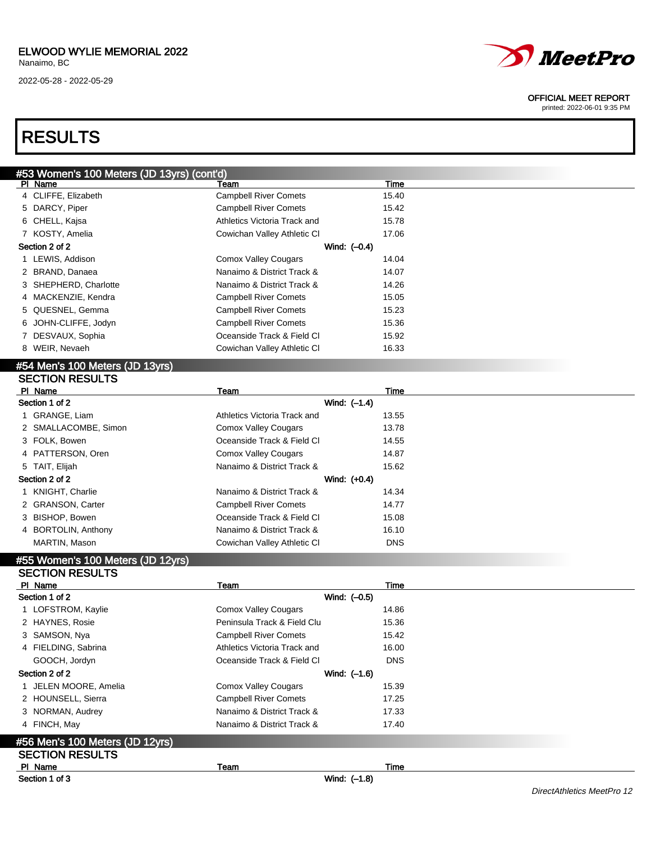

#### OFFICIAL MEET REPORT

printed: 2022-06-01 9:35 PM

### RESULTS

| #53 Women's 100 Meters (JD 13yrs) (cont'd) |                              |       |  |
|--------------------------------------------|------------------------------|-------|--|
| PI Name                                    | Team                         | Time  |  |
| 4 CLIFFE, Elizabeth                        | <b>Campbell River Comets</b> | 15.40 |  |
| 5 DARCY, Piper                             | <b>Campbell River Comets</b> | 15.42 |  |
| 6 CHELL, Kajsa                             | Athletics Victoria Track and | 15.78 |  |
| 7 KOSTY, Amelia                            | Cowichan Valley Athletic CI  | 17.06 |  |
| Section 2 of 2                             | Wind: $(-0.4)$               |       |  |
| 1 LEWIS, Addison                           | <b>Comox Valley Cougars</b>  | 14.04 |  |
| 2 BRAND, Danaea                            | Nanaimo & District Track &   | 14.07 |  |
| 3 SHEPHERD, Charlotte                      | Nanaimo & District Track &   | 14.26 |  |
| 4 MACKENZIE, Kendra                        | <b>Campbell River Comets</b> | 15.05 |  |
| 5 QUESNEL, Gemma                           | <b>Campbell River Comets</b> | 15.23 |  |
| 6 JOHN-CLIFFE, Jodyn                       | <b>Campbell River Comets</b> | 15.36 |  |
| 7 DESVAUX, Sophia                          | Oceanside Track & Field Cl   | 15.92 |  |
| 8 WEIR, Nevaeh                             | Cowichan Valley Athletic CI  | 16.33 |  |
| #54 Men's 100 Meters (JD 13yrs)            |                              |       |  |
| <b>SECTION RESULTS</b>                     |                              |       |  |
| PI Name                                    | Team                         | Time  |  |
| Section 1 of 2                             | Wind: (-1.4)                 |       |  |
| 1 GRANGE, Liam                             | Athletics Victoria Track and | 13.55 |  |
| 2 SMALLACOMBE, Simon                       | <b>Comox Valley Cougars</b>  | 13.78 |  |
| 3 FOLK, Bowen                              | Oceanside Track & Field Cl   | 14.55 |  |
| 4 PATTERSON, Oren                          | <b>Comox Valley Cougars</b>  | 14.87 |  |
| 5 TAIT, Elijah                             | Nanaimo & District Track &   | 15.62 |  |

| Section 2 of 2 |                     |                              | Wind: $(+0.4)$ |  |
|----------------|---------------------|------------------------------|----------------|--|
|                | 1 KNIGHT, Charlie   | Nanaimo & District Track &   | 14.34          |  |
|                | 2 GRANSON, Carter   | <b>Campbell River Comets</b> | 14.77          |  |
|                | 3 BISHOP, Bowen     | Oceanside Track & Field Cl   | 15.08          |  |
|                | 4 BORTOLIN, Anthony | Nanaimo & District Track &   | 16.10          |  |
|                | MARTIN, Mason       | Cowichan Valley Athletic CI  | DNS            |  |

### #55 Women's 100 Meters (JD 12yrs)

| <b>SECTION RESULTS</b>          |                              |            |
|---------------------------------|------------------------------|------------|
| PI Name                         | Team                         | Time       |
| Section 1 of 2                  | Wind: (-0.5)                 |            |
| 1 LOFSTROM, Kaylie              | Comox Valley Cougars         | 14.86      |
| 2 HAYNES, Rosie                 | Peninsula Track & Field Clu  | 15.36      |
| 3 SAMSON, Nya                   | <b>Campbell River Comets</b> | 15.42      |
| 4 FIELDING, Sabrina             | Athletics Victoria Track and | 16.00      |
| GOOCH, Jordyn                   | Oceanside Track & Field CI   | <b>DNS</b> |
| Section 2 of 2                  | Wind: (-1.6)                 |            |
| 1 JELEN MOORE, Amelia           | <b>Comox Valley Cougars</b>  | 15.39      |
| 2 HOUNSELL, Sierra              | <b>Campbell River Comets</b> | 17.25      |
| 3 NORMAN, Audrey                | Nanaimo & District Track &   | 17.33      |
| 4 FINCH, May                    | Nanaimo & District Track &   | 17.40      |
| #56 Men's 100 Meters (JD 12yrs) |                              |            |
| <b>SECTION RESULTS</b>          |                              |            |
| PI Name                         | Team                         | Time       |
| Section 1 of 3                  | Wind: (-1.8)                 |            |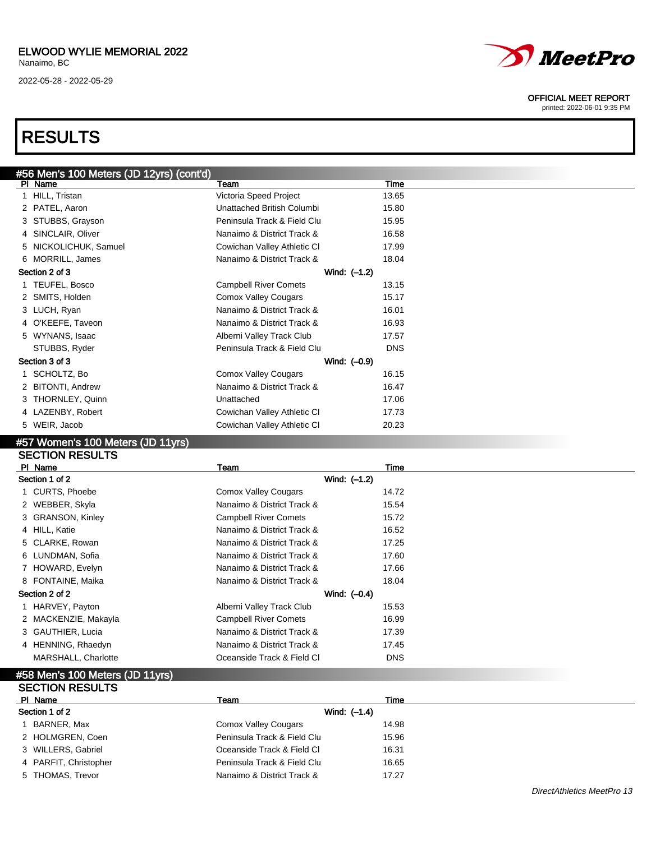#### ELWOOD WYLIE MEMORIAL 2022 Nanaimo, BC

2022-05-28 - 2022-05-29



#### OFFICIAL MEET REPORT

printed: 2022-06-01 9:35 PM

## RESULTS

|   | #56 Men's 100 Meters (JD 12yrs) (cont'd) |                              |            |
|---|------------------------------------------|------------------------------|------------|
|   | PI Name                                  | Team                         | Time       |
|   | 1 HILL, Tristan                          | Victoria Speed Project       | 13.65      |
|   | 2 PATEL, Aaron                           | Unattached British Columbi   | 15.80      |
|   | 3 STUBBS, Grayson                        | Peninsula Track & Field Clu  | 15.95      |
|   | 4 SINCLAIR, Oliver                       | Nanaimo & District Track &   | 16.58      |
| 5 | NICKOLICHUK, Samuel                      | Cowichan Valley Athletic CI  | 17.99      |
|   | 6 MORRILL, James                         | Nanaimo & District Track &   | 18.04      |
|   | Section 2 of 3                           | Wind: $(-1.2)$               |            |
|   | 1 TEUFEL, Bosco                          | <b>Campbell River Comets</b> | 13.15      |
|   | 2 SMITS, Holden                          | <b>Comox Valley Cougars</b>  | 15.17      |
|   | 3 LUCH, Ryan                             | Nanaimo & District Track &   | 16.01      |
|   | 4 O'KEEFE, Taveon                        | Nanaimo & District Track &   | 16.93      |
|   | 5 WYNANS, Isaac                          | Alberni Valley Track Club    | 17.57      |
|   | STUBBS, Ryder                            | Peninsula Track & Field Clu  | <b>DNS</b> |
|   | Section 3 of 3                           | Wind: (-0.9)                 |            |
|   | SCHOLTZ, Bo                              | <b>Comox Valley Cougars</b>  | 16.15      |
|   | 2 BITONTI, Andrew                        | Nanaimo & District Track &   | 16.47      |
|   | 3 THORNLEY, Quinn                        | Unattached                   | 17.06      |
|   | 4 LAZENBY, Robert                        | Cowichan Valley Athletic CI  | 17.73      |
| 5 | WEIR, Jacob                              | Cowichan Valley Athletic CI  | 20.23      |
|   |                                          |                              |            |

#### #57 Women's 100 Meters (JD 11yrs) SECTION RESULTS

| PI Name              | Team                         | Time       |
|----------------------|------------------------------|------------|
| Section 1 of 2       | Wind: (-1.2)                 |            |
| 1 CURTS, Phoebe      | <b>Comox Valley Cougars</b>  | 14.72      |
| 2 WEBBER, Skyla      | Nanaimo & District Track &   | 15.54      |
| 3 GRANSON, Kinley    | <b>Campbell River Comets</b> | 15.72      |
| 4 HILL, Katie        | Nanaimo & District Track &   | 16.52      |
| 5 CLARKE, Rowan      | Nanaimo & District Track &   | 17.25      |
| 6 LUNDMAN, Sofia     | Nanaimo & District Track &   | 17.60      |
| 7 HOWARD, Evelyn     | Nanaimo & District Track &   | 17.66      |
| 8 FONTAINE, Maika    | Nanaimo & District Track &   | 18.04      |
| Section 2 of 2       | Wind: $(-0.4)$               |            |
| 1 HARVEY, Payton     | Alberni Valley Track Club    | 15.53      |
| 2 MACKENZIE, Makayla | <b>Campbell River Comets</b> | 16.99      |
| 3 GAUTHIER, Lucia    | Nanaimo & District Track &   | 17.39      |
| 4 HENNING, Rhaedyn   | Nanaimo & District Track &   | 17.45      |
| MARSHALL, Charlotte  | Oceanside Track & Field Cl   | <b>DNS</b> |
|                      |                              |            |

#### #58 Men's 100 Meters (JD 11yrs) SECTION RESULTS

| PI Name               | Team                        | Time  |  |
|-----------------------|-----------------------------|-------|--|
| Section 1 of 2        | Wind: $(-1.4)$              |       |  |
| 1 BARNER, Max         | Comox Valley Cougars        | 14.98 |  |
| 2 HOLMGREN, Coen      | Peninsula Track & Field Clu | 15.96 |  |
| 3 WILLERS, Gabriel    | Oceanside Track & Field Cl  | 16.31 |  |
| 4 PARFIT, Christopher | Peninsula Track & Field Clu | 16.65 |  |
| 5 THOMAS, Trevor      | Nanaimo & District Track &  | 17.27 |  |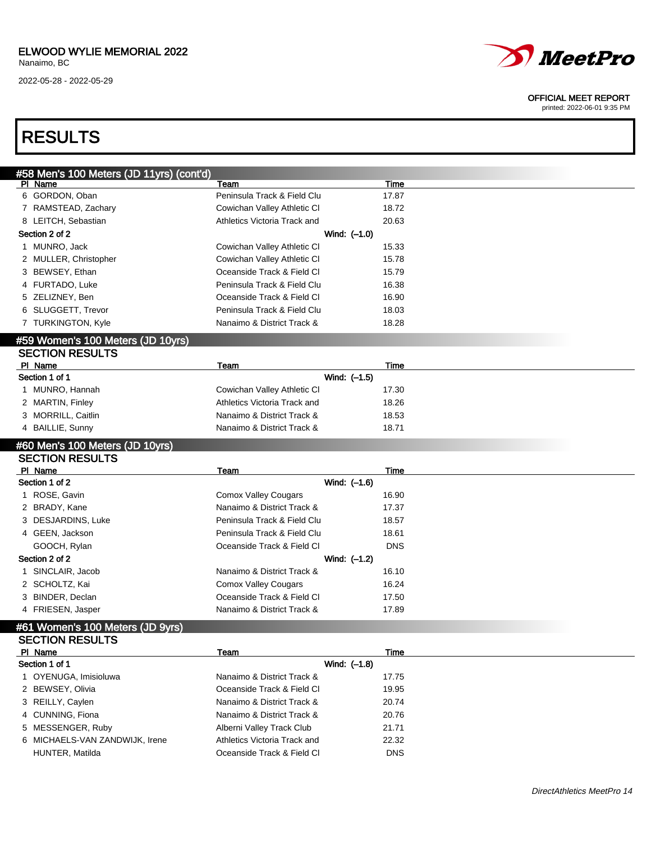

#### OFFICIAL MEET REPORT

printed: 2022-06-01 9:35 PM

## RESULTS

| #58 Men's 100 Meters (JD 11yrs) (cont'd) |                              |            |  |
|------------------------------------------|------------------------------|------------|--|
| PI Name                                  | Team                         | Time       |  |
| 6 GORDON, Oban                           | Peninsula Track & Field Clu  | 17.87      |  |
| 7 RAMSTEAD, Zachary                      | Cowichan Valley Athletic CI  | 18.72      |  |
| 8 LEITCH, Sebastian                      | Athletics Victoria Track and | 20.63      |  |
| Section 2 of 2                           | Wind: (-1.0)                 |            |  |
| 1 MUNRO, Jack                            | Cowichan Valley Athletic CI  | 15.33      |  |
| 2 MULLER, Christopher                    | Cowichan Valley Athletic CI  | 15.78      |  |
| 3 BEWSEY, Ethan                          | Oceanside Track & Field Cl   | 15.79      |  |
| 4 FURTADO, Luke                          | Peninsula Track & Field Clu  | 16.38      |  |
| 5 ZELIZNEY, Ben                          | Oceanside Track & Field Cl   | 16.90      |  |
| 6 SLUGGETT, Trevor                       | Peninsula Track & Field Clu  | 18.03      |  |
| 7 TURKINGTON, Kyle                       | Nanaimo & District Track &   | 18.28      |  |
| #59 Women's 100 Meters (JD 10yrs)        |                              |            |  |
| <b>SECTION RESULTS</b>                   |                              |            |  |
| PI Name                                  | Team                         | Time       |  |
| Section 1 of 1                           | Wind: (-1.5)                 |            |  |
| MUNRO, Hannah<br>1                       | Cowichan Valley Athletic CI  | 17.30      |  |
| 2 MARTIN, Finley                         | Athletics Victoria Track and | 18.26      |  |
| 3 MORRILL, Caitlin                       | Nanaimo & District Track &   | 18.53      |  |
| 4 BAILLIE, Sunny                         | Nanaimo & District Track &   | 18.71      |  |
|                                          |                              |            |  |
| #60 Men's 100 Meters (JD 10yrs)          |                              |            |  |
| <b>SECTION RESULTS</b><br>PI Name        | Team                         | Time       |  |
| Section 1 of 2                           | Wind: (-1.6)                 |            |  |
| 1 ROSE, Gavin                            | <b>Comox Valley Cougars</b>  | 16.90      |  |
| 2 BRADY, Kane                            | Nanaimo & District Track &   | 17.37      |  |
|                                          | Peninsula Track & Field Clu  | 18.57      |  |
| 3 DESJARDINS, Luke                       |                              |            |  |
| 4 GEEN, Jackson                          | Peninsula Track & Field Clu  | 18.61      |  |
| GOOCH, Rylan                             | Oceanside Track & Field Cl   | <b>DNS</b> |  |
| Section 2 of 2                           | Wind: (-1.2)                 |            |  |
| SINCLAIR, Jacob                          | Nanaimo & District Track &   | 16.10      |  |
| 2 SCHOLTZ, Kai                           | <b>Comox Valley Cougars</b>  | 16.24      |  |

### #61 Women's 100 Meters (JD 9yrs)

3 BINDER, Declan Coeanside Track & Field Cl 17.50 4 FRIESEN, Jasper Nanaimo & District Track & 17.89

| <b>SECTION RESULTS</b>         |                              |            |  |
|--------------------------------|------------------------------|------------|--|
| PI Name                        | Team                         | Time       |  |
| Section 1 of 1                 | Wind: (-1.8)                 |            |  |
| 1 OYENUGA, Imisioluwa          | Nanaimo & District Track &   | 17.75      |  |
| 2 BEWSEY, Olivia               | Oceanside Track & Field CI   | 19.95      |  |
| 3 REILLY, Caylen               | Nanaimo & District Track &   | 20.74      |  |
| 4 CUNNING, Fiona               | Nanaimo & District Track &   | 20.76      |  |
| 5 MESSENGER, Ruby              | Alberni Valley Track Club    | 21.71      |  |
| 6 MICHAELS-VAN ZANDWIJK, Irene | Athletics Victoria Track and | 22.32      |  |
| HUNTER, Matilda                | Oceanside Track & Field CI   | <b>DNS</b> |  |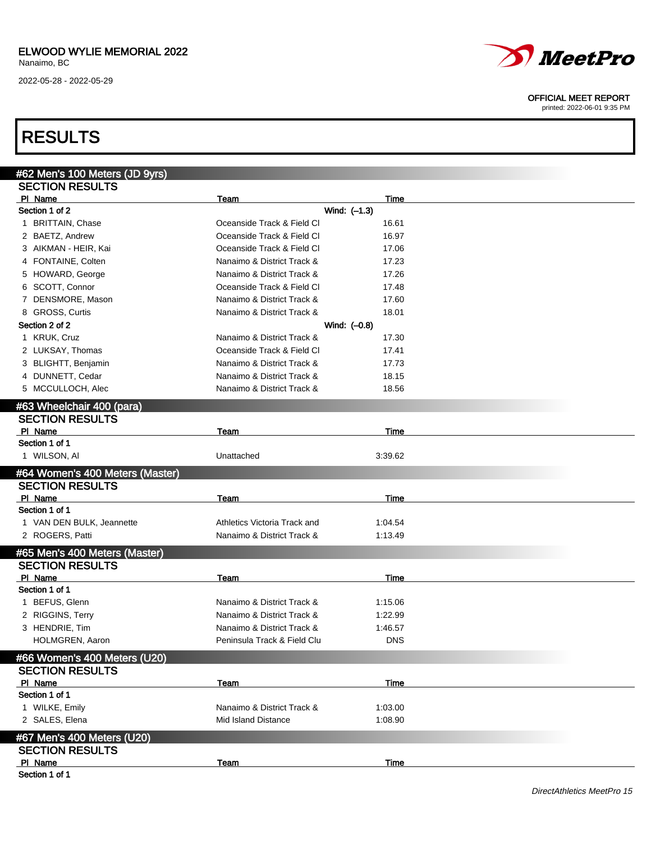

#### OFFICIAL MEET REPORT

printed: 2022-06-01 9:35 PM

## RESULTS

| #62 Men's 100 Meters (JD 9yrs)    |                              |              |  |
|-----------------------------------|------------------------------|--------------|--|
| <b>SECTION RESULTS</b>            |                              |              |  |
| PI Name                           | Team                         | Time         |  |
| Section 1 of 2                    |                              | Wind: (-1.3) |  |
| 1 BRITTAIN, Chase                 | Oceanside Track & Field CI   | 16.61        |  |
| 2 BAETZ, Andrew                   | Oceanside Track & Field CI   | 16.97        |  |
| 3 AIKMAN - HEIR, Kai              | Oceanside Track & Field CI   | 17.06        |  |
| 4 FONTAINE, Colten                | Nanaimo & District Track &   | 17.23        |  |
| 5 HOWARD, George                  | Nanaimo & District Track &   | 17.26        |  |
| 6 SCOTT, Connor                   | Oceanside Track & Field Cl   | 17.48        |  |
| 7 DENSMORE, Mason                 | Nanaimo & District Track &   | 17.60        |  |
| 8 GROSS, Curtis                   | Nanaimo & District Track &   | 18.01        |  |
| Section 2 of 2                    |                              | Wind: (-0.8) |  |
| 1 KRUK, Cruz                      | Nanaimo & District Track &   | 17.30        |  |
| 2 LUKSAY, Thomas                  | Oceanside Track & Field CI   | 17.41        |  |
| 3 BLIGHTT, Benjamin               | Nanaimo & District Track &   | 17.73        |  |
| 4 DUNNETT, Cedar                  | Nanaimo & District Track &   | 18.15        |  |
| 5 MCCULLOCH, Alec                 | Nanaimo & District Track &   | 18.56        |  |
|                                   |                              |              |  |
| #63 Wheelchair 400 (para)         |                              |              |  |
| <b>SECTION RESULTS</b><br>PI Name |                              | Time         |  |
| Section 1 of 1                    | Team                         |              |  |
| 1 WILSON, AI                      | Unattached                   | 3:39.62      |  |
|                                   |                              |              |  |
| #64 Women's 400 Meters (Master)   |                              |              |  |
| <b>SECTION RESULTS</b>            |                              |              |  |
| PI Name                           | Team                         | Time         |  |
| Section 1 of 1                    |                              |              |  |
| 1 VAN DEN BULK, Jeannette         | Athletics Victoria Track and | 1:04.54      |  |
| 2 ROGERS, Patti                   | Nanaimo & District Track &   | 1:13.49      |  |
| #65 Men's 400 Meters (Master)     |                              |              |  |
| <b>SECTION RESULTS</b>            |                              |              |  |
| PI Name                           | Team                         | Time         |  |
| Section 1 of 1                    |                              |              |  |
| 1 BEFUS, Glenn                    | Nanaimo & District Track &   | 1:15.06      |  |
| 2 RIGGINS, Terry                  | Nanaimo & District Track &   | 1:22.99      |  |
| 3 HENDRIE, Tim                    | Nanaimo & District Track &   | 1:46.57      |  |
| HOLMGREN, Aaron                   | Peninsula Track & Field Clu  | <b>DNS</b>   |  |
| #66 Women's 400 Meters (U20)      |                              |              |  |
| <b>SECTION RESULTS</b>            |                              |              |  |
| PI Name                           | Team                         | Time         |  |
| Section 1 of 1                    |                              |              |  |
| 1 WILKE, Emily                    | Nanaimo & District Track &   | 1:03.00      |  |
| 2 SALES, Elena                    | Mid Island Distance          | 1:08.90      |  |
|                                   |                              |              |  |
| #67 Men's 400 Meters (U20)        |                              |              |  |
| <b>SECTION RESULTS</b>            |                              |              |  |
| PI Name                           | Team                         | Time         |  |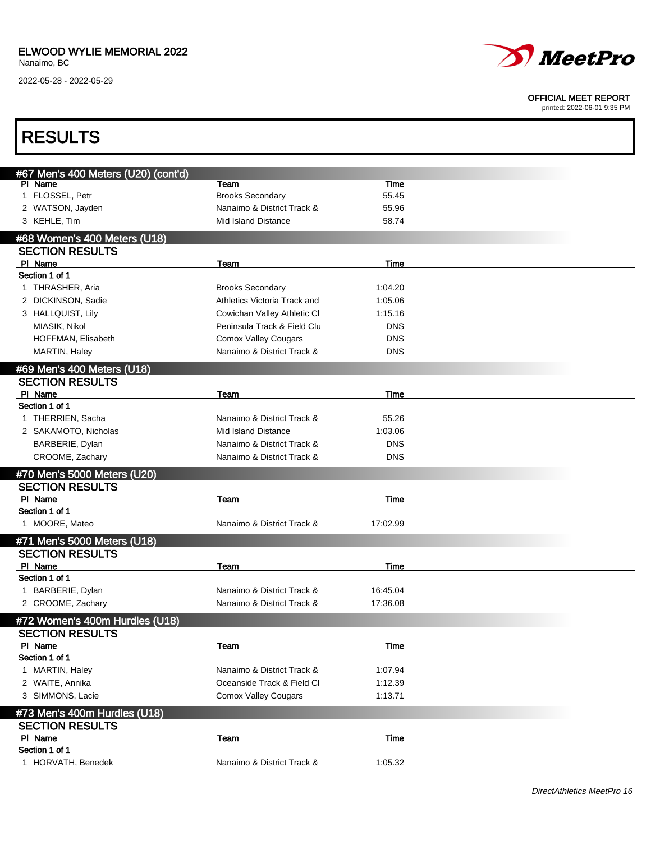2022-05-28 - 2022-05-29



#### OFFICIAL MEET REPORT

| <b>RESULTS</b>                      |                              |            |  |
|-------------------------------------|------------------------------|------------|--|
| #67 Men's 400 Meters (U20) (cont'd) |                              |            |  |
| PI Name                             | Team                         | Time       |  |
| 1 FLOSSEL, Petr                     | <b>Brooks Secondary</b>      | 55.45      |  |
| 2 WATSON, Jayden                    | Nanaimo & District Track &   | 55.96      |  |
| 3 KEHLE, Tim                        | Mid Island Distance          | 58.74      |  |
| #68 Women's 400 Meters (U18)        |                              |            |  |
| <b>SECTION RESULTS</b>              |                              |            |  |
| PI Name                             | Team                         | Time       |  |
| Section 1 of 1                      |                              |            |  |
| 1 THRASHER, Aria                    | <b>Brooks Secondary</b>      | 1:04.20    |  |
| 2 DICKINSON, Sadie                  | Athletics Victoria Track and | 1:05.06    |  |
| 3 HALLQUIST, Lily                   | Cowichan Valley Athletic CI  | 1:15.16    |  |
| MIASIK, Nikol                       | Peninsula Track & Field Clu  | <b>DNS</b> |  |
| HOFFMAN, Elisabeth                  | <b>Comox Valley Cougars</b>  | <b>DNS</b> |  |
| MARTIN, Haley                       | Nanaimo & District Track &   | <b>DNS</b> |  |
| #69 Men's 400 Meters (U18)          |                              |            |  |
| <b>SECTION RESULTS</b>              |                              |            |  |
| PI Name                             | Team                         | Time       |  |
| Section 1 of 1                      |                              |            |  |
| 1 THERRIEN, Sacha                   | Nanaimo & District Track &   | 55.26      |  |
| 2 SAKAMOTO, Nicholas                | <b>Mid Island Distance</b>   | 1:03.06    |  |
| BARBERIE, Dylan                     | Nanaimo & District Track &   | <b>DNS</b> |  |
| CROOME, Zachary                     | Nanaimo & District Track &   | <b>DNS</b> |  |
| #70 Men's 5000 Meters (U20)         |                              |            |  |
| <b>SECTION RESULTS</b>              |                              |            |  |
| PI Name                             | Team                         | Time       |  |
| Section 1 of 1                      |                              |            |  |
| 1 MOORE, Mateo                      | Nanaimo & District Track &   | 17:02.99   |  |
| #71 Men's 5000 Meters (U18)         |                              |            |  |
| <b>SECTION RESULTS</b>              |                              |            |  |
| PI Name                             | <u>Team</u>                  | Time       |  |
| Section 1 of 1                      |                              |            |  |
| 1 BARBERIE, Dylan                   | Nanaimo & District Track &   | 16:45.04   |  |
| 2 CROOME, Zachary                   | Nanaimo & District Track &   | 17:36.08   |  |
| #72 Women's 400m Hurdles (U18)      |                              |            |  |
| <b>SECTION RESULTS</b>              |                              |            |  |
| PI Name                             | Team                         | Time       |  |
| Section 1 of 1                      |                              |            |  |
| 1 MARTIN, Haley                     | Nanaimo & District Track &   | 1:07.94    |  |
| 2 WAITE, Annika                     | Oceanside Track & Field Cl   | 1:12.39    |  |
| 3 SIMMONS, Lacie                    | <b>Comox Valley Cougars</b>  | 1:13.71    |  |
| #73 Men's 400m Hurdles (U18)        |                              |            |  |
| <b>SECTION RESULTS</b>              |                              |            |  |
| PI Name                             | Team                         | Time       |  |
| Section 1 of 1                      |                              |            |  |
| 1 HORVATH, Benedek                  | Nanaimo & District Track &   | 1:05.32    |  |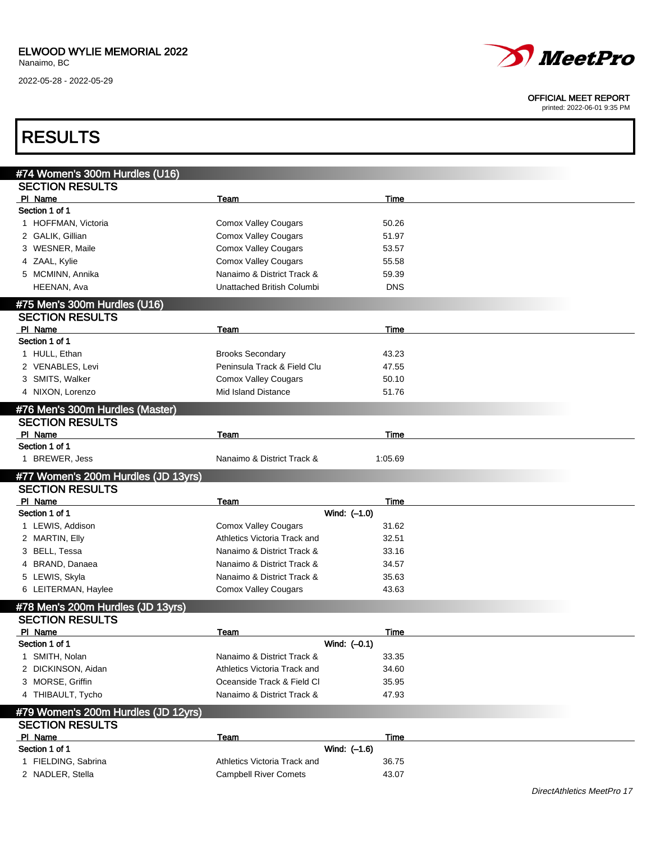

OFFICIAL MEET REPORT

| <b>RESULTS</b>                      |                              |             |                            |
|-------------------------------------|------------------------------|-------------|----------------------------|
| #74 Women's 300m Hurdles (U16)      |                              |             |                            |
| <b>SECTION RESULTS</b>              |                              |             |                            |
| PI Name                             | Team                         | Time        |                            |
| Section 1 of 1                      |                              |             |                            |
| 1 HOFFMAN, Victoria                 | <b>Comox Valley Cougars</b>  | 50.26       |                            |
| 2 GALIK, Gillian                    | <b>Comox Valley Cougars</b>  | 51.97       |                            |
| 3 WESNER, Maile                     | <b>Comox Valley Cougars</b>  | 53.57       |                            |
| 4 ZAAL, Kylie                       | <b>Comox Valley Cougars</b>  | 55.58       |                            |
| 5 MCMINN, Annika                    | Nanaimo & District Track &   | 59.39       |                            |
| HEENAN, Ava                         | Unattached British Columbi   | <b>DNS</b>  |                            |
| #75 Men's 300m Hurdles (U16)        |                              |             |                            |
| <b>SECTION RESULTS</b>              |                              |             |                            |
| PI Name                             | Team                         | Time        |                            |
| Section 1 of 1                      |                              |             |                            |
| 1 HULL, Ethan                       | <b>Brooks Secondary</b>      | 43.23       |                            |
| 2 VENABLES, Levi                    | Peninsula Track & Field Clu  | 47.55       |                            |
| 3 SMITS, Walker                     | <b>Comox Valley Cougars</b>  | 50.10       |                            |
| 4 NIXON, Lorenzo                    | <b>Mid Island Distance</b>   | 51.76       |                            |
|                                     |                              |             |                            |
| #76 Men's 300m Hurdles (Master)     |                              |             |                            |
| <b>SECTION RESULTS</b>              |                              |             |                            |
| PI Name<br>Section 1 of 1           | Team                         | Time        |                            |
| 1 BREWER, Jess                      | Nanaimo & District Track &   | 1:05.69     |                            |
| #77 Women's 200m Hurdles (JD 13yrs) |                              |             |                            |
| <b>SECTION RESULTS</b>              |                              |             |                            |
| PI Name                             | Team                         | Time        |                            |
| Section 1 of 1                      | Wind: (-1.0)                 |             |                            |
| 1 LEWIS, Addison                    | <b>Comox Valley Cougars</b>  | 31.62       |                            |
| 2 MARTIN, Elly                      | Athletics Victoria Track and | 32.51       |                            |
| 3 BELL, Tessa                       | Nanaimo & District Track &   | 33.16       |                            |
| 4 BRAND, Danaea                     | Nanaimo & District Track &   | 34.57       |                            |
| 5 LEWIS, Skyla                      | Nanaimo & District Track &   | 35.63       |                            |
| 6 LEITERMAN, Haylee                 | <b>Comox Valley Cougars</b>  | 43.63       |                            |
|                                     |                              |             |                            |
| #78 Men's 200m Hurdles (JD 13yrs)   |                              |             |                            |
| <b>SECTION RESULTS</b>              |                              |             |                            |
| PI Name                             | Team                         | <b>Time</b> |                            |
| Section 1 of 1                      | Wind: $(-0.1)$               |             |                            |
| 1 SMITH, Nolan                      | Nanaimo & District Track &   | 33.35       |                            |
| 2 DICKINSON, Aidan                  | Athletics Victoria Track and | 34.60       |                            |
| 3 MORSE, Griffin                    | Oceanside Track & Field Cl   | 35.95       |                            |
| 4 THIBAULT, Tycho                   | Nanaimo & District Track &   | 47.93       |                            |
| #79 Women's 200m Hurdles (JD 12yrs) |                              |             |                            |
| <b>SECTION RESULTS</b>              |                              |             |                            |
| PI Name                             | Team                         | Time        |                            |
| Section 1 of 1                      | Wind: $(-1.6)$               |             |                            |
| 1 FIELDING, Sabrina                 | Athletics Victoria Track and | 36.75       |                            |
| 2 NADLER, Stella                    | <b>Campbell River Comets</b> | 43.07       |                            |
|                                     |                              |             | DirectAthletics MeetPro 17 |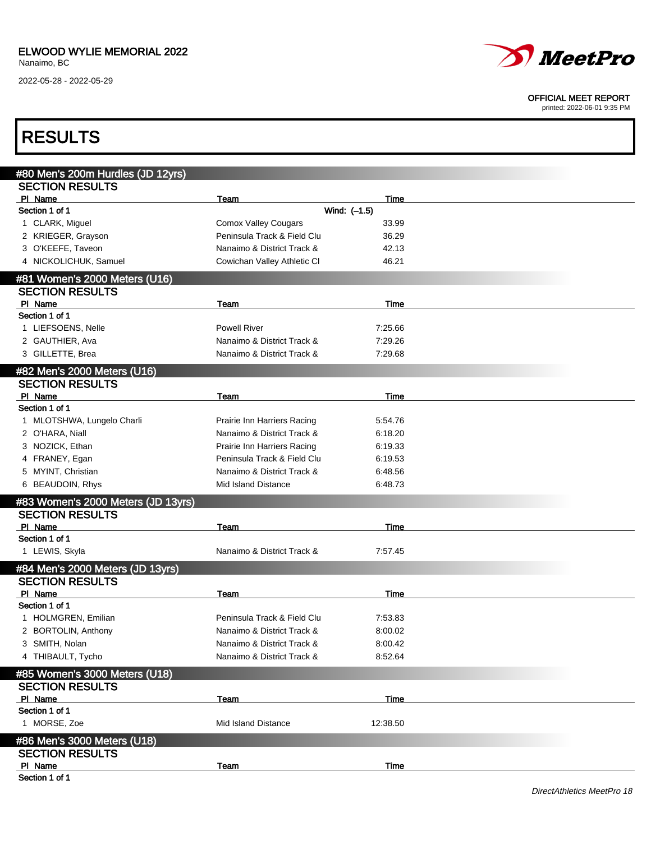

#### OFFICIAL MEET REPORT

| <b>RESULTS</b>                                              |                             |              |  |
|-------------------------------------------------------------|-----------------------------|--------------|--|
|                                                             |                             |              |  |
| #80 Men's 200m Hurdles (JD 12yrs)<br><b>SECTION RESULTS</b> |                             |              |  |
| PI Name                                                     | Team                        | Time         |  |
| Section 1 of 1                                              |                             | Wind: (-1.5) |  |
| 1 CLARK, Miguel                                             | <b>Comox Valley Cougars</b> | 33.99        |  |
| 2 KRIEGER, Grayson                                          | Peninsula Track & Field Clu | 36.29        |  |
| 3 O'KEEFE, Taveon                                           | Nanaimo & District Track &  | 42.13        |  |
| 4 NICKOLICHUK, Samuel                                       | Cowichan Valley Athletic CI | 46.21        |  |
| #81 Women's 2000 Meters (U16)                               |                             |              |  |
| <b>SECTION RESULTS</b>                                      |                             |              |  |
| PI Name                                                     | Team                        | Time         |  |
| Section 1 of 1                                              |                             |              |  |
| 1 LIEFSOENS, Nelle                                          | <b>Powell River</b>         | 7:25.66      |  |
| 2 GAUTHIER, Ava                                             | Nanaimo & District Track &  | 7:29.26      |  |
| 3 GILLETTE, Brea                                            | Nanaimo & District Track &  | 7:29.68      |  |
| #82 Men's 2000 Meters (U16)                                 |                             |              |  |
| <b>SECTION RESULTS</b>                                      |                             |              |  |
| PI Name                                                     | Team                        | Time         |  |
| Section 1 of 1                                              |                             |              |  |
| 1 MLOTSHWA, Lungelo Charli                                  | Prairie Inn Harriers Racing | 5:54.76      |  |
| 2 O'HARA, Niall                                             | Nanaimo & District Track &  | 6:18.20      |  |
| 3 NOZICK, Ethan                                             | Prairie Inn Harriers Racing | 6:19.33      |  |
| 4 FRANEY, Egan                                              | Peninsula Track & Field Clu | 6:19.53      |  |
| 5 MYINT, Christian                                          | Nanaimo & District Track &  | 6:48.56      |  |
| 6 BEAUDOIN, Rhys                                            | Mid Island Distance         | 6:48.73      |  |
| #83 Women's 2000 Meters (JD 13yrs)                          |                             |              |  |
| <b>SECTION RESULTS</b>                                      |                             |              |  |
| PI Name                                                     | Team                        | Time         |  |
| Section 1 of 1                                              |                             |              |  |
| 1 LEWIS, Skyla                                              | Nanaimo & District Track &  | 7:57.45      |  |
| #84 Men's 2000 Meters (JD 13yrs)                            |                             |              |  |
| <b>SECTION RESULTS</b>                                      |                             |              |  |
| PI Name                                                     | Team                        | Time         |  |
| Section 1 of 1                                              |                             |              |  |
| 1 HOLMGREN, Emilian                                         | Peninsula Track & Field Clu | 7:53.83      |  |
| 2 BORTOLIN, Anthony                                         | Nanaimo & District Track &  | 8:00.02      |  |
| 3 SMITH, Nolan                                              | Nanaimo & District Track &  | 8:00.42      |  |
| 4 THIBAULT, Tycho                                           | Nanaimo & District Track &  | 8:52.64      |  |
| #85 Women's 3000 Meters (U18)                               |                             |              |  |
| <b>SECTION RESULTS</b>                                      |                             |              |  |
| PI Name                                                     | <b>Team</b>                 | <b>Time</b>  |  |
| Section 1 of 1                                              |                             |              |  |
| 1 MORSE, Zoe                                                | Mid Island Distance         | 12:38.50     |  |
| #86 Men's 3000 Meters (U18)                                 |                             |              |  |
| <b>SECTION RESULTS</b>                                      |                             |              |  |
| PI Name                                                     | Team                        | Time         |  |
| Section 1 of 1                                              |                             |              |  |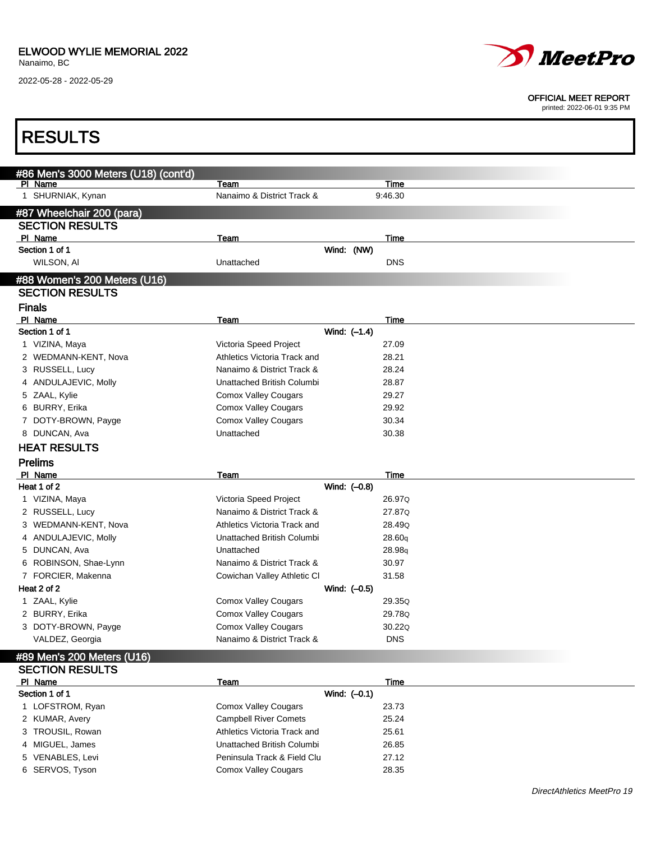I

2022-05-28 - 2022-05-29



#### OFFICIAL MEET REPORT

printed: 2022-06-01 9:35 PM

| <b>RESULTS</b>                                  |                                                            |                |                 |  |
|-------------------------------------------------|------------------------------------------------------------|----------------|-----------------|--|
|                                                 |                                                            |                |                 |  |
| #86 Men's 3000 Meters (U18) (cont'd)<br>PI Name |                                                            |                |                 |  |
| 1 SHURNIAK, Kynan                               | Team<br>Nanaimo & District Track &                         |                | Time<br>9:46.30 |  |
|                                                 |                                                            |                |                 |  |
| #87 Wheelchair 200 (para)                       |                                                            |                |                 |  |
| <b>SECTION RESULTS</b>                          |                                                            |                |                 |  |
| PI Name                                         | Team                                                       |                | Time            |  |
| Section 1 of 1                                  |                                                            | Wind: (NW)     |                 |  |
| WILSON, AI                                      | Unattached                                                 |                | <b>DNS</b>      |  |
| #88 Women's 200 Meters (U16)                    |                                                            |                |                 |  |
| <b>SECTION RESULTS</b>                          |                                                            |                |                 |  |
| <b>Finals</b>                                   |                                                            |                |                 |  |
| PI Name                                         | <b>Team</b>                                                |                | Time            |  |
| Section 1 of 1                                  |                                                            | Wind: (-1.4)   |                 |  |
| 1 VIZINA, Maya                                  | Victoria Speed Project                                     |                | 27.09           |  |
| 2 WEDMANN-KENT, Nova                            | Athletics Victoria Track and                               |                | 28.21           |  |
| 3 RUSSELL, Lucy                                 | Nanaimo & District Track &                                 |                | 28.24           |  |
| 4 ANDULAJEVIC, Molly                            | Unattached British Columbi                                 |                | 28.87           |  |
| 5 ZAAL, Kylie                                   | <b>Comox Valley Cougars</b>                                |                | 29.27           |  |
| 6 BURRY, Erika                                  | <b>Comox Valley Cougars</b>                                |                | 29.92           |  |
| 7 DOTY-BROWN, Payge                             | <b>Comox Valley Cougars</b>                                |                | 30.34           |  |
| 8 DUNCAN, Ava                                   | Unattached                                                 |                | 30.38           |  |
| <b>HEAT RESULTS</b>                             |                                                            |                |                 |  |
| <b>Prelims</b>                                  |                                                            |                |                 |  |
| PI Name                                         | Team                                                       |                | Time            |  |
| Heat 1 of 2                                     |                                                            | Wind: (-0.8)   |                 |  |
| 1 VIZINA, Maya                                  | Victoria Speed Project                                     |                | 26.97Q          |  |
| 2 RUSSELL, Lucy                                 | Nanaimo & District Track &                                 |                | 27.87Q          |  |
| 3 WEDMANN-KENT, Nova                            | Athletics Victoria Track and                               |                | 28.49Q          |  |
| 4 ANDULAJEVIC, Molly                            | Unattached British Columbi                                 |                | 28.60q          |  |
| 5 DUNCAN, Ava                                   | Unattached                                                 |                | 28.98q          |  |
| 6 ROBINSON, Shae-Lynn                           | Nanaimo & District Track &                                 |                | 30.97           |  |
| 7 FORCIER, Makenna                              | Cowichan Valley Athletic CI                                |                | 31.58           |  |
| Heat 2 of 2                                     |                                                            | Wind: $(-0.5)$ |                 |  |
|                                                 |                                                            |                |                 |  |
| 1 ZAAL, Kylie                                   | <b>Comox Valley Cougars</b>                                |                | 29.35Q          |  |
| 2 BURRY, Erika                                  | <b>Comox Valley Cougars</b>                                |                | 29.78Q          |  |
| 3 DOTY-BROWN, Payge                             | <b>Comox Valley Cougars</b>                                |                | 30.22Q          |  |
| VALDEZ, Georgia                                 | Nanaimo & District Track &                                 |                | <b>DNS</b>      |  |
| #89 Men's 200 Meters (U16)                      |                                                            |                |                 |  |
| <b>SECTION RESULTS</b>                          |                                                            |                |                 |  |
| PI Name                                         | <u>Team</u>                                                |                | Time            |  |
| Section 1 of 1                                  |                                                            | Wind: $(-0.1)$ |                 |  |
| 1 LOFSTROM, Ryan                                | <b>Comox Valley Cougars</b>                                |                | 23.73           |  |
| 2 KUMAR, Avery                                  | <b>Campbell River Comets</b>                               |                | 25.24           |  |
| 3 TROUSIL, Rowan                                | Athletics Victoria Track and                               |                | 25.61           |  |
| 4 MIGUEL, James                                 | Unattached British Columbi                                 |                | 26.85           |  |
| 5 VENABLES, Levi<br>6 SERVOS, Tyson             | Peninsula Track & Field Clu<br><b>Comox Valley Cougars</b> |                | 27.12<br>28.35  |  |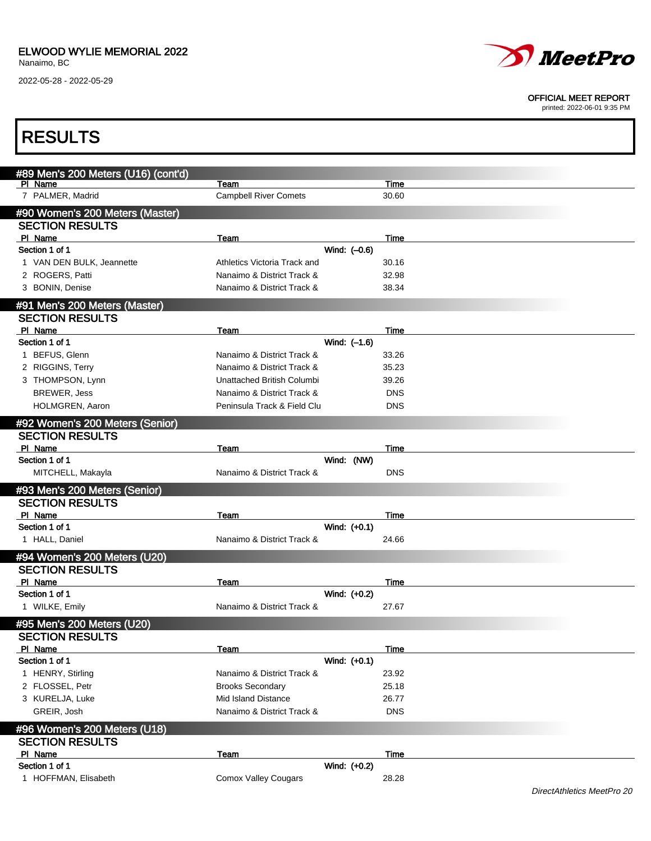Г

2022-05-28 - 2022-05-29



#### OFFICIAL MEET REPORT

printed: 2022-06-01 9:35 PM

| <b>RESULTS</b>                      |                              |                |            |                            |
|-------------------------------------|------------------------------|----------------|------------|----------------------------|
|                                     |                              |                |            |                            |
| #89 Men's 200 Meters (U16) (cont'd) |                              |                |            |                            |
| PI Name                             | Team                         |                | Time       |                            |
| 7 PALMER, Madrid                    | <b>Campbell River Comets</b> |                | 30.60      |                            |
| #90 Women's 200 Meters (Master)     |                              |                |            |                            |
| <b>SECTION RESULTS</b>              |                              |                |            |                            |
| PI Name                             | Team                         |                | Time       |                            |
| Section 1 of 1                      |                              | Wind: (-0.6)   |            |                            |
| 1 VAN DEN BULK, Jeannette           | Athletics Victoria Track and |                | 30.16      |                            |
| 2 ROGERS, Patti                     | Nanaimo & District Track &   |                | 32.98      |                            |
| 3 BONIN, Denise                     | Nanaimo & District Track &   |                | 38.34      |                            |
| #91 Men's 200 Meters (Master)       |                              |                |            |                            |
| <b>SECTION RESULTS</b>              |                              |                |            |                            |
| PI Name                             | Team                         |                | Time       |                            |
| Section 1 of 1                      |                              | Wind: (-1.6)   |            |                            |
| 1 BEFUS, Glenn                      | Nanaimo & District Track &   |                | 33.26      |                            |
| 2 RIGGINS, Terry                    | Nanaimo & District Track &   |                | 35.23      |                            |
| 3 THOMPSON, Lynn                    | Unattached British Columbi   |                | 39.26      |                            |
| <b>BREWER, Jess</b>                 | Nanaimo & District Track &   |                | <b>DNS</b> |                            |
| HOLMGREN, Aaron                     | Peninsula Track & Field Clu  |                | <b>DNS</b> |                            |
| #92 Women's 200 Meters (Senior)     |                              |                |            |                            |
| <b>SECTION RESULTS</b>              |                              |                |            |                            |
| PI Name                             | Team                         |                | Time       |                            |
| Section 1 of 1                      |                              | Wind: (NW)     |            |                            |
| MITCHELL, Makayla                   | Nanaimo & District Track &   |                | <b>DNS</b> |                            |
| #93 Men's 200 Meters (Senior)       |                              |                |            |                            |
| <b>SECTION RESULTS</b>              |                              |                |            |                            |
| PI Name                             | Team                         |                | Time       |                            |
| Section 1 of 1                      |                              | Wind: $(+0.1)$ |            |                            |
| 1 HALL, Daniel                      | Nanaimo & District Track &   |                | 24.66      |                            |
| #94 Women's 200 Meters (U20)        |                              |                |            |                            |
| <b>SECTION RESULTS</b>              |                              |                |            |                            |
| PI Name                             | Team                         |                | Time       |                            |
| Section 1 of 1                      |                              | Wind: (+0.2)   |            |                            |
| 1 WILKE, Emily                      | Nanaimo & District Track &   |                | 27.67      |                            |
| #95 Men's 200 Meters (U20)          |                              |                |            |                            |
| <b>SECTION RESULTS</b>              |                              |                |            |                            |
| PI Name                             | Team                         |                | Time       |                            |
| Section 1 of 1                      |                              | Wind: (+0.1)   |            |                            |
| 1 HENRY, Stirling                   | Nanaimo & District Track &   |                | 23.92      |                            |
| 2 FLOSSEL, Petr                     | <b>Brooks Secondary</b>      |                | 25.18      |                            |
| 3 KURELJA, Luke                     | Mid Island Distance          |                | 26.77      |                            |
| GREIR, Josh                         | Nanaimo & District Track &   |                | <b>DNS</b> |                            |
| #96 Women's 200 Meters (U18)        |                              |                |            |                            |
| <b>SECTION RESULTS</b>              |                              |                |            |                            |
| PI Name                             | <b>Team</b>                  |                | Time       |                            |
| Section 1 of 1                      |                              | Wind: (+0.2)   |            |                            |
| 1 HOFFMAN, Elisabeth                | <b>Comox Valley Cougars</b>  |                | 28.28      |                            |
|                                     |                              |                |            | DirectAthletics MeetPro 20 |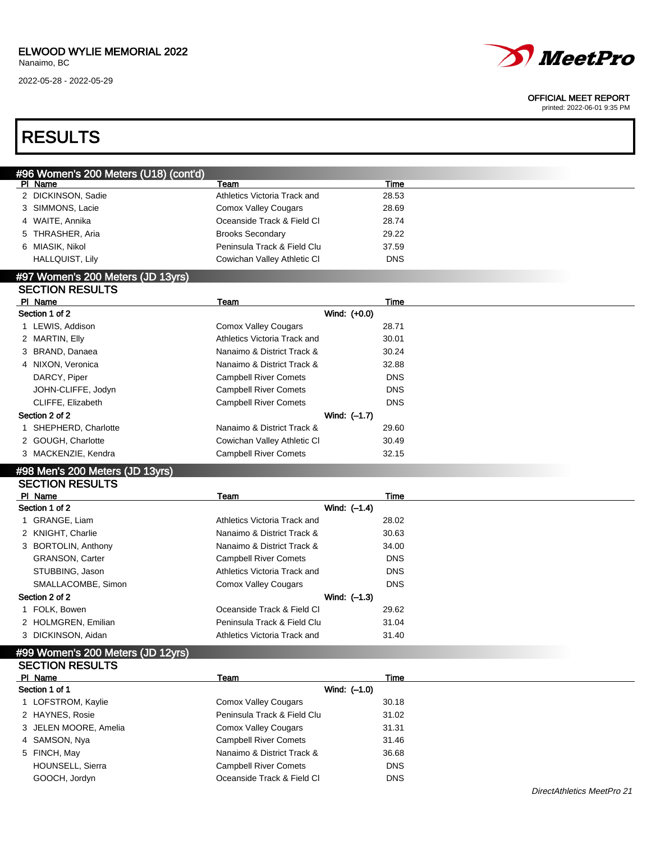### ELWOOD WYLIE MEMORIAL 2022

Nanaimo, BC

2022-05-28 - 2022-05-29



#### OFFICIAL MEET REPORT

printed: 2022-06-01 9:35 PM

## RESULTS

| #96 Women's 200 Meters (U18) (cont'd),<br>PI Name | Team                         | Time       |  |
|---------------------------------------------------|------------------------------|------------|--|
| 2 DICKINSON, Sadie                                | Athletics Victoria Track and | 28.53      |  |
| 3 SIMMONS, Lacie                                  | <b>Comox Valley Cougars</b>  | 28.69      |  |
| 4 WAITE, Annika                                   | Oceanside Track & Field Cl   | 28.74      |  |
| 5 THRASHER, Aria                                  | <b>Brooks Secondary</b>      | 29.22      |  |
| 6 MIASIK, Nikol                                   | Peninsula Track & Field Clu  | 37.59      |  |
| <b>HALLQUIST, Lily</b>                            | Cowichan Valley Athletic CI  | <b>DNS</b> |  |
| $#07$ Waman's 200 Matare ( $In 42$                |                              |            |  |

#### 7 Women's 200 Meters (JD 13yrs) SECTION RESULTS

| <u> 929 1191 1129921 9</u> |                              |            |  |
|----------------------------|------------------------------|------------|--|
| PI Name                    | Team                         | Time       |  |
| Section 1 of 2             | Wind: (+0.0)                 |            |  |
| 1 LEWIS, Addison           | <b>Comox Valley Cougars</b>  | 28.71      |  |
| 2 MARTIN, Elly             | Athletics Victoria Track and | 30.01      |  |
| 3 BRAND, Danaea            | Nanaimo & District Track &   | 30.24      |  |
| 4 NIXON, Veronica          | Nanaimo & District Track &   | 32.88      |  |
| DARCY, Piper               | <b>Campbell River Comets</b> | <b>DNS</b> |  |
| JOHN-CLIFFE, Jodyn         | <b>Campbell River Comets</b> | <b>DNS</b> |  |
| CLIFFE, Elizabeth          | <b>Campbell River Comets</b> | <b>DNS</b> |  |
| Section 2 of 2             | Wind: (-1.7)                 |            |  |
| 1 SHEPHERD, Charlotte      | Nanaimo & District Track &   | 29.60      |  |
| 2 GOUGH, Charlotte         | Cowichan Valley Athletic CI  | 30.49      |  |
| 3 MACKENZIE, Kendra        | <b>Campbell River Comets</b> | 32.15      |  |
|                            |                              |            |  |

#### #98 Men's 200 Meters (JD 13yrs) SECTION RESULTS

| -------------          |                              |            |
|------------------------|------------------------------|------------|
| PI Name                | Team                         | Time       |
| Section 1 of 2         | Wind: (-1.4)                 |            |
| 1 GRANGE, Liam         | Athletics Victoria Track and | 28.02      |
| 2 KNIGHT, Charlie      | Nanaimo & District Track &   | 30.63      |
| 3 BORTOLIN, Anthony    | Nanaimo & District Track &   | 34.00      |
| <b>GRANSON, Carter</b> | <b>Campbell River Comets</b> | <b>DNS</b> |
| STUBBING, Jason        | Athletics Victoria Track and | <b>DNS</b> |
| SMALLACOMBE, Simon     | <b>Comox Valley Cougars</b>  | <b>DNS</b> |
| Section 2 of 2         | Wind: (-1.3)                 |            |
| 1 FOLK, Bowen          | Oceanside Track & Field CI   | 29.62      |
| 2 HOLMGREN, Emilian    | Peninsula Track & Field Clu  | 31.04      |
| 3 DICKINSON, Aidan     | Athletics Victoria Track and | 31.40      |

#### #99 Women's 200 Meters (JD 12yrs) SECTION RESULTS

| <b>OEUTIUN NEOULTO</b>  |                              |            |  |
|-------------------------|------------------------------|------------|--|
| PI Name                 | Team                         | Time       |  |
| Section 1 of 1          | Wind: (-1.0)                 |            |  |
| LOFSTROM, Kaylie        | Comox Valley Cougars         | 30.18      |  |
| 2 HAYNES, Rosie         | Peninsula Track & Field Clu  | 31.02      |  |
| 3 JELEN MOORE, Amelia   | <b>Comox Valley Cougars</b>  | 31.31      |  |
| 4 SAMSON, Nya           | <b>Campbell River Comets</b> | 31.46      |  |
| 5 FINCH, May            | Nanaimo & District Track &   | 36.68      |  |
| <b>HOUNSELL, Sierra</b> | <b>Campbell River Comets</b> | <b>DNS</b> |  |
| GOOCH, Jordyn           | Oceanside Track & Field Cl   | <b>DNS</b> |  |
|                         |                              |            |  |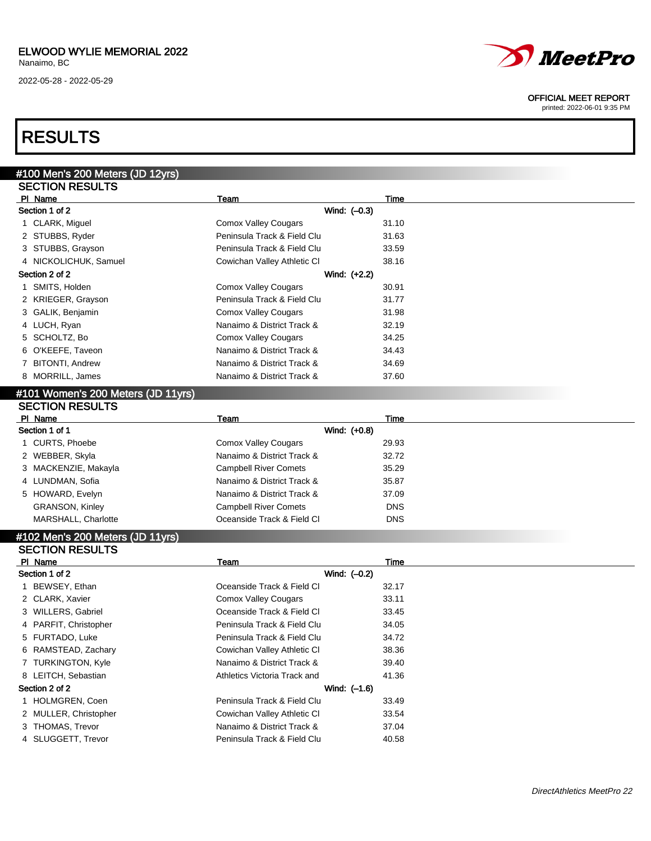2022-05-28 - 2022-05-29



#### OFFICIAL MEET REPORT

printed: 2022-06-01 9:35 PM

## RESULTS

| #100 Men's 200 Meters (JD 12yrs)   |                             |       |  |
|------------------------------------|-----------------------------|-------|--|
| <b>SECTION RESULTS</b>             |                             |       |  |
| PI Name                            | Team                        | Time  |  |
| Section 1 of 2                     | Wind: $(-0.3)$              |       |  |
| 1 CLARK, Miguel                    | <b>Comox Valley Cougars</b> | 31.10 |  |
| 2 STUBBS, Ryder                    | Peninsula Track & Field Clu | 31.63 |  |
| 3 STUBBS, Grayson                  | Peninsula Track & Field Clu | 33.59 |  |
| 4 NICKOLICHUK, Samuel              | Cowichan Valley Athletic CI | 38.16 |  |
| Section 2 of 2                     | Wind: (+2.2)                |       |  |
| SMITS, Holden                      | Comox Valley Cougars        | 30.91 |  |
| 2 KRIEGER, Grayson                 | Peninsula Track & Field Clu | 31.77 |  |
| 3 GALIK, Benjamin                  | <b>Comox Valley Cougars</b> | 31.98 |  |
| 4 LUCH, Ryan                       | Nanaimo & District Track &  | 32.19 |  |
| 5 SCHOLTZ, Bo                      | <b>Comox Valley Cougars</b> | 34.25 |  |
| 6 O'KEEFE, Taveon                  | Nanaimo & District Track &  | 34.43 |  |
| 7 BITONTI, Andrew                  | Nanaimo & District Track &  | 34.69 |  |
| 8 MORRILL, James                   | Nanaimo & District Track &  | 37.60 |  |
| #101 Women's 200 Meters (JD 11yrs) |                             |       |  |
| <b>SECTION RESULTS</b>             |                             |       |  |
| PI Name                            | Team                        | Time  |  |

| PI Name                | Team                         | Time       |
|------------------------|------------------------------|------------|
| Section 1 of 1         | Wind: (+0.8)                 |            |
| 1 CURTS, Phoebe        | Comox Valley Cougars         | 29.93      |
| 2 WEBBER, Skyla        | Nanaimo & District Track &   | 32.72      |
| 3 MACKENZIE, Makayla   | <b>Campbell River Comets</b> | 35.29      |
| 4 LUNDMAN, Sofia       | Nanaimo & District Track &   | 35.87      |
| 5 HOWARD, Evelyn       | Nanaimo & District Track &   | 37.09      |
| <b>GRANSON, Kinley</b> | <b>Campbell River Comets</b> | <b>DNS</b> |
| MARSHALL, Charlotte    | Oceanside Track & Field CI   | <b>DNS</b> |

#### #102 Men's 200 Meters (JD 11yrs) SECTION RESULTS

| PI Name               | Team                         | Time  |  |
|-----------------------|------------------------------|-------|--|
| Section 1 of 2        | Wind: (-0.2)                 |       |  |
| 1 BEWSEY, Ethan       | Oceanside Track & Field Cl   | 32.17 |  |
| 2 CLARK, Xavier       | <b>Comox Valley Cougars</b>  | 33.11 |  |
| 3 WILLERS, Gabriel    | Oceanside Track & Field Cl   | 33.45 |  |
| 4 PARFIT, Christopher | Peninsula Track & Field Clu  | 34.05 |  |
| 5 FURTADO, Luke       | Peninsula Track & Field Clu  | 34.72 |  |
| 6 RAMSTEAD, Zachary   | Cowichan Valley Athletic CI  | 38.36 |  |
| 7 TURKINGTON, Kyle    | Nanaimo & District Track &   | 39.40 |  |
| 8 LEITCH, Sebastian   | Athletics Victoria Track and | 41.36 |  |
| Section 2 of 2        | Wind: (-1.6)                 |       |  |
| 1 HOLMGREN, Coen      | Peninsula Track & Field Clu  | 33.49 |  |
| 2 MULLER, Christopher | Cowichan Valley Athletic CI  | 33.54 |  |
| 3 THOMAS, Trevor      | Nanaimo & District Track &   | 37.04 |  |
| 4 SLUGGETT, Trevor    | Peninsula Track & Field Clu  | 40.58 |  |
|                       |                              |       |  |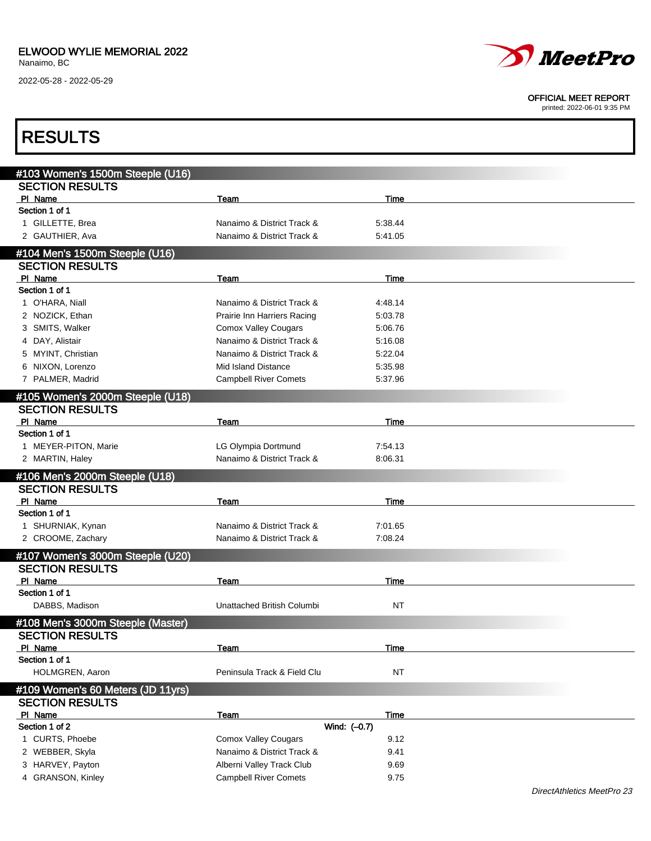

#### OFFICIAL MEET REPORT

printed: 2022-06-01 9:35 PM

| <b>RESULTS</b>                                             |                              |           |  |
|------------------------------------------------------------|------------------------------|-----------|--|
|                                                            |                              |           |  |
| #103 Women's 1500m Steeple (U16)<br><b>SECTION RESULTS</b> |                              |           |  |
| PI Name                                                    | Team                         | Time      |  |
| Section 1 of 1                                             |                              |           |  |
| 1 GILLETTE, Brea                                           | Nanaimo & District Track &   | 5:38.44   |  |
| 2 GAUTHIER, Ava                                            | Nanaimo & District Track &   | 5:41.05   |  |
| #104 Men's 1500m Steeple (U16)                             |                              |           |  |
| <b>SECTION RESULTS</b>                                     |                              |           |  |
| PI Name                                                    | Team                         | Time      |  |
| Section 1 of 1                                             |                              |           |  |
| 1 O'HARA, Niall                                            | Nanaimo & District Track &   | 4:48.14   |  |
| 2 NOZICK, Ethan                                            | Prairie Inn Harriers Racing  | 5:03.78   |  |
| 3 SMITS, Walker                                            | <b>Comox Valley Cougars</b>  | 5:06.76   |  |
| 4 DAY, Alistair                                            | Nanaimo & District Track &   | 5:16.08   |  |
| 5 MYINT, Christian                                         | Nanaimo & District Track &   | 5:22.04   |  |
| 6 NIXON, Lorenzo                                           | Mid Island Distance          | 5:35.98   |  |
| 7 PALMER, Madrid                                           | <b>Campbell River Comets</b> | 5:37.96   |  |
| #105 Women's 2000m Steeple (U18)                           |                              |           |  |
| <b>SECTION RESULTS</b>                                     |                              |           |  |
| PI Name                                                    | Team                         | Time      |  |
| Section 1 of 1                                             |                              |           |  |
| 1 MEYER-PITON, Marie                                       | LG Olympia Dortmund          | 7:54.13   |  |
| 2 MARTIN, Haley                                            | Nanaimo & District Track &   | 8:06.31   |  |
| #106 Men's 2000m Steeple (U18)                             |                              |           |  |
| <b>SECTION RESULTS</b>                                     |                              |           |  |
| PI Name                                                    | Team                         | Time      |  |
| Section 1 of 1                                             |                              |           |  |
| 1 SHURNIAK, Kynan                                          | Nanaimo & District Track &   | 7:01.65   |  |
| 2 CROOME, Zachary                                          | Nanaimo & District Track &   | 7:08.24   |  |
| #107 Women's 3000m Steeple (U20)                           |                              |           |  |
| <b>SECTION RESULTS</b>                                     |                              |           |  |
| PI Name                                                    | <b>Team</b>                  | Time      |  |
| Section 1 of 1                                             |                              |           |  |
| DABBS, Madison                                             | Unattached British Columbi   | NT        |  |
| #108 Men's 3000m Steeple (Master)                          |                              |           |  |
| <b>SECTION RESULTS</b>                                     |                              |           |  |
| PI Name                                                    | Team                         | Time      |  |
| Section 1 of 1                                             |                              |           |  |
| HOLMGREN, Aaron                                            | Peninsula Track & Field Clu  | <b>NT</b> |  |
| #109 Women's 60 Meters (JD 11yrs)                          |                              |           |  |
| <b>SECTION RESULTS</b>                                     |                              |           |  |
| PI Name                                                    | Team                         | Time      |  |
| Section 1 of 2                                             | Wind: (-0.7)                 |           |  |
| 1 CURTS, Phoebe                                            | <b>Comox Valley Cougars</b>  | 9.12      |  |
| 2 WEBBER, Skyla                                            | Nanaimo & District Track &   | 9.41      |  |
| 3 HARVEY, Payton                                           | Alberni Valley Track Club    | 9.69      |  |
| 4 GRANSON, Kinley                                          | <b>Campbell River Comets</b> | 9.75      |  |
|                                                            |                              |           |  |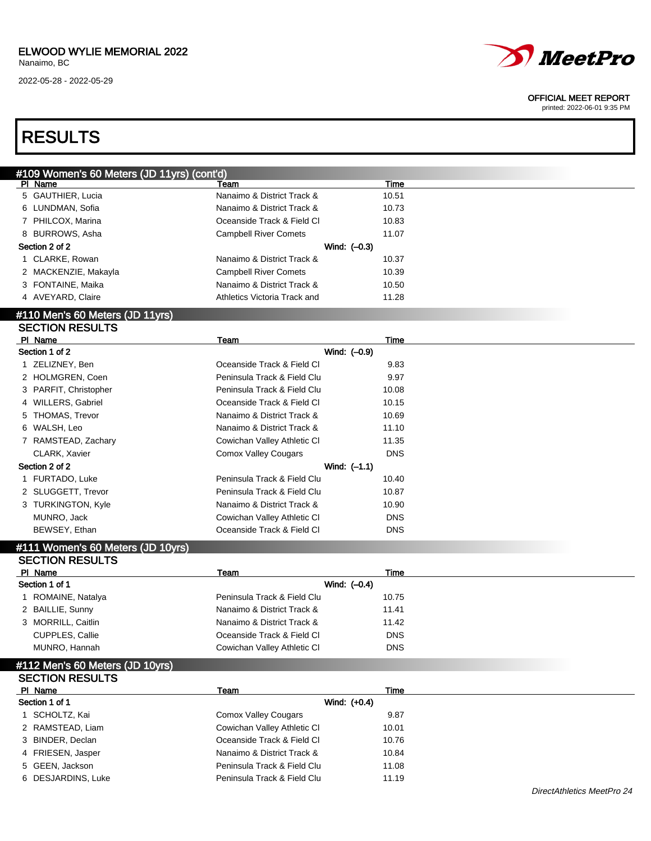

#### OFFICIAL MEET REPORT

printed: 2022-06-01 9:35 PM

## RESULTS

| #109 Women's 60 Meters (JD 11yrs) (cont'd) |                              |       |
|--------------------------------------------|------------------------------|-------|
| PI Name                                    | Team                         | Time  |
| 5 GAUTHIER, Lucia                          | Nanaimo & District Track &   | 10.51 |
| 6 LUNDMAN, Sofia                           | Nanaimo & District Track &   | 10.73 |
| 7 PHILCOX, Marina                          | Oceanside Track & Field Cl   | 10.83 |
| 8 BURROWS, Asha                            | <b>Campbell River Comets</b> | 11.07 |
| Section 2 of 2                             | Wind: $(-0.3)$               |       |
| 1 CLARKE, Rowan                            | Nanaimo & District Track &   | 10.37 |
| 2 MACKENZIE, Makayla                       | <b>Campbell River Comets</b> | 10.39 |
| 3 FONTAINE, Maika                          | Nanaimo & District Track &   | 10.50 |
| 4 AVEYARD, Claire                          | Athletics Victoria Track and | 11.28 |
| 8440 Media 00 Metaur (IB 44-3-5)           |                              |       |

#### #110 Men's 60 Meters (JD 11yrs) SECTION RESULTS

| PI Name               | Team                        | Time       |
|-----------------------|-----------------------------|------------|
| Section 1 of 2        | Wind: (-0.9)                |            |
| 1 ZELIZNEY, Ben       | Oceanside Track & Field CI  | 9.83       |
| 2 HOLMGREN, Coen      | Peninsula Track & Field Clu | 9.97       |
| 3 PARFIT, Christopher | Peninsula Track & Field Clu | 10.08      |
| 4 WILLERS, Gabriel    | Oceanside Track & Field CI  | 10.15      |
| 5 THOMAS, Trevor      | Nanaimo & District Track &  | 10.69      |
| 6 WALSH, Leo          | Nanaimo & District Track &  | 11.10      |
| 7 RAMSTEAD, Zachary   | Cowichan Valley Athletic CI | 11.35      |
| CLARK, Xavier         | <b>Comox Valley Cougars</b> | <b>DNS</b> |
| Section 2 of 2        | Wind: $(-1.1)$              |            |
| 1 FURTADO, Luke       | Peninsula Track & Field Clu | 10.40      |
| 2 SLUGGETT, Trevor    | Peninsula Track & Field Clu | 10.87      |
| 3 TURKINGTON, Kyle    | Nanaimo & District Track &  | 10.90      |
| MUNRO, Jack           | Cowichan Valley Athletic CI | <b>DNS</b> |
| BEWSEY, Ethan         | Oceanside Track & Field CI  | <b>DNS</b> |

#### #111 Women's 60 Meters (JD 10yrs)  $S$  SECTION  $S$

| <b>SEUTIUN RESULTS</b> |                             |            |  |
|------------------------|-----------------------------|------------|--|
| PI Name                | Team                        | Time       |  |
| Section 1 of 1         | Wind: $(-0.4)$              |            |  |
| 1 ROMAINE, Natalya     | Peninsula Track & Field Clu | 10.75      |  |
| 2 BAILLIE, Sunny       | Nanaimo & District Track &  | 11.41      |  |
| 3 MORRILL, Caitlin     | Nanaimo & District Track &  | 11.42      |  |
| <b>CUPPLES, Callie</b> | Oceanside Track & Field CI  | <b>DNS</b> |  |
| MUNRO, Hannah          | Cowichan Valley Athletic CI | <b>DNS</b> |  |
|                        |                             |            |  |

#### #112 Men's 60 Meters (JD 10yrs) SECTION RESULTS

| PI Name            | Team                        | Time  |
|--------------------|-----------------------------|-------|
| Section 1 of 1     | Wind: $(+0.4)$              |       |
| SCHOLTZ, Kai       | <b>Comox Valley Cougars</b> | 9.87  |
| 2 RAMSTEAD, Liam   | Cowichan Valley Athletic CI | 10.01 |
| 3 BINDER, Declan   | Oceanside Track & Field Cl  | 10.76 |
| 4 FRIESEN, Jasper  | Nanaimo & District Track &  | 10.84 |
| 5 GEEN, Jackson    | Peninsula Track & Field Clu | 11.08 |
| 6 DESJARDINS, Luke | Peninsula Track & Field Clu | 11.19 |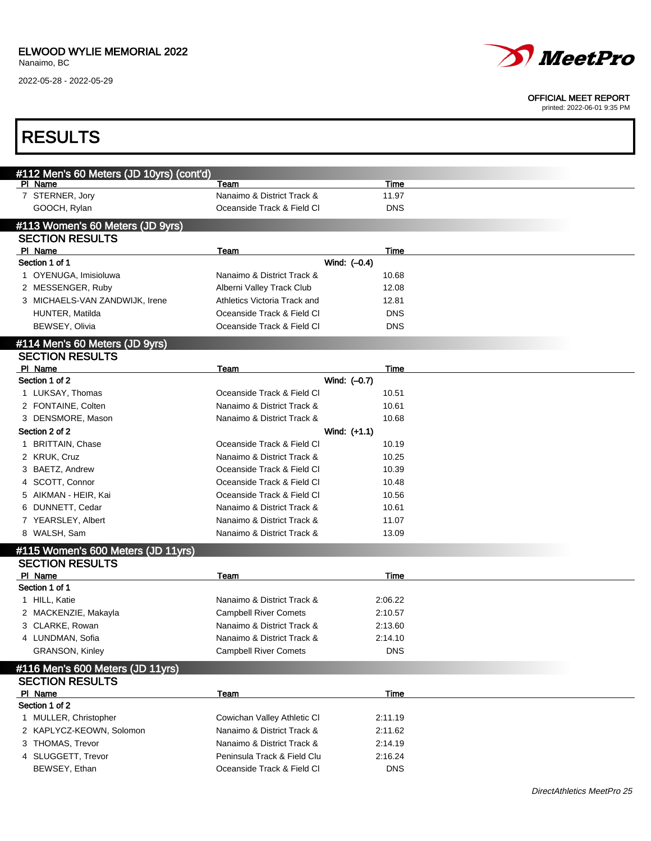2022-05-28 - 2022-05-29



#### OFFICIAL MEET REPORT

| <b>RESULTS</b>                                    |                                                           |                      |  |
|---------------------------------------------------|-----------------------------------------------------------|----------------------|--|
| #112 Men's 60 Meters (JD 10yrs) (cont'd)          |                                                           |                      |  |
| PI Name                                           | Team                                                      | Time                 |  |
| 7 STERNER, Jory                                   | Nanaimo & District Track &                                | 11.97                |  |
| GOOCH, Rylan                                      | Oceanside Track & Field Cl                                | <b>DNS</b>           |  |
| #113 Women's 60 Meters (JD 9yrs)                  |                                                           |                      |  |
| <b>SECTION RESULTS</b>                            |                                                           |                      |  |
| PI Name                                           | Team                                                      | Time                 |  |
| Section 1 of 1                                    |                                                           | Wind: $(-0.4)$       |  |
| 1 OYENUGA, Imisioluwa                             | Nanaimo & District Track &                                | 10.68                |  |
| 2 MESSENGER, Ruby                                 | Alberni Valley Track Club<br>Athletics Victoria Track and | 12.08                |  |
| 3 MICHAELS-VAN ZANDWIJK, Irene<br>HUNTER, Matilda | Oceanside Track & Field CI                                | 12.81<br><b>DNS</b>  |  |
| BEWSEY, Olivia                                    | Oceanside Track & Field Cl                                | <b>DNS</b>           |  |
|                                                   |                                                           |                      |  |
| #114 Men's 60 Meters (JD 9yrs)                    |                                                           |                      |  |
| <b>SECTION RESULTS</b>                            |                                                           |                      |  |
| PI Name<br>Section 1 of 2                         | Team                                                      | Time<br>Wind: (-0.7) |  |
| 1 LUKSAY, Thomas                                  | Oceanside Track & Field Cl                                | 10.51                |  |
| 2 FONTAINE, Colten                                | Nanaimo & District Track &                                | 10.61                |  |
| 3 DENSMORE, Mason                                 | Nanaimo & District Track &                                | 10.68                |  |
| Section 2 of 2                                    |                                                           | Wind: $(+1.1)$       |  |
| 1 BRITTAIN, Chase                                 | Oceanside Track & Field Cl                                | 10.19                |  |
| 2 KRUK, Cruz                                      | Nanaimo & District Track &                                | 10.25                |  |
| 3 BAETZ, Andrew                                   | Oceanside Track & Field CI                                | 10.39                |  |
| 4 SCOTT, Connor                                   | Oceanside Track & Field CI                                | 10.48                |  |
| 5 AIKMAN - HEIR, Kai                              | Oceanside Track & Field Cl                                | 10.56                |  |
| 6 DUNNETT, Cedar                                  | Nanaimo & District Track &                                | 10.61                |  |
| 7 YEARSLEY, Albert                                | Nanaimo & District Track &                                | 11.07                |  |
| 8 WALSH, Sam                                      | Nanaimo & District Track &                                | 13.09                |  |
| #115 Women's 600 Meters (JD 11yrs)                |                                                           |                      |  |
| <b>SECTION RESULTS</b>                            |                                                           |                      |  |
| PI Name                                           | Team                                                      | Time                 |  |
| Section 1 of 1                                    |                                                           |                      |  |
| 1 HILL, Katie                                     | Nanaimo & District Track &                                | 2:06.22              |  |
| 2 MACKENZIE, Makayla                              | <b>Campbell River Comets</b>                              | 2:10.57              |  |
| 3 CLARKE, Rowan                                   | Nanaimo & District Track &                                | 2:13.60              |  |
| 4 LUNDMAN, Sofia                                  | Nanaimo & District Track &                                | 2:14.10              |  |
| <b>GRANSON, Kinley</b>                            | <b>Campbell River Comets</b>                              | <b>DNS</b>           |  |
| #116 Men's 600 Meters (JD 11yrs)                  |                                                           |                      |  |
| <b>SECTION RESULTS</b>                            |                                                           |                      |  |
| PI Name                                           | Team                                                      | Time                 |  |
| Section 1 of 2                                    |                                                           |                      |  |
| 1 MULLER, Christopher                             | Cowichan Valley Athletic CI                               | 2:11.19              |  |
| 2 KAPLYCZ-KEOWN, Solomon                          | Nanaimo & District Track &                                | 2:11.62              |  |
| 3 THOMAS, Trevor                                  | Nanaimo & District Track &                                | 2:14.19              |  |
| 4 SLUGGETT, Trevor                                | Peninsula Track & Field Clu                               | 2:16.24              |  |
| BEWSEY, Ethan                                     | Oceanside Track & Field Cl                                | <b>DNS</b>           |  |
|                                                   |                                                           |                      |  |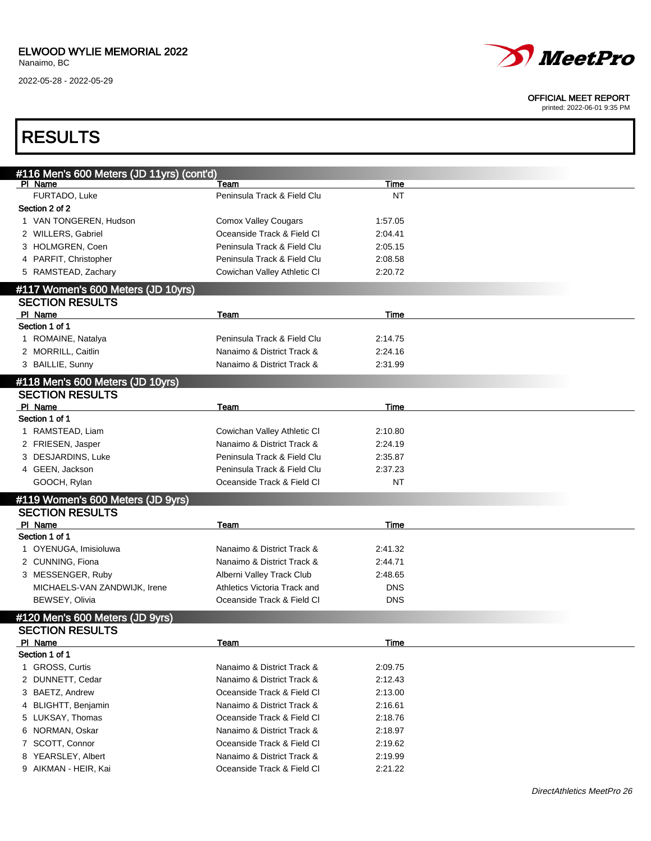

#### OFFICIAL MEET REPORT

printed: 2022-06-01 9:35 PM

## RESULTS

| #116 Men's 600 Meters (JD 11yrs) (cont'd)<br>PI Name         | Team                         | Time       |  |
|--------------------------------------------------------------|------------------------------|------------|--|
| FURTADO, Luke                                                | Peninsula Track & Field Clu  | <b>NT</b>  |  |
| Section 2 of 2                                               |                              |            |  |
| 1 VAN TONGEREN, Hudson                                       | <b>Comox Valley Cougars</b>  | 1:57.05    |  |
| 2 WILLERS, Gabriel                                           | Oceanside Track & Field Cl   | 2:04.41    |  |
| 3 HOLMGREN, Coen                                             | Peninsula Track & Field Clu  | 2:05.15    |  |
| 4 PARFIT, Christopher                                        | Peninsula Track & Field Clu  | 2:08.58    |  |
| 5 RAMSTEAD, Zachary                                          | Cowichan Valley Athletic CI  | 2:20.72    |  |
|                                                              |                              |            |  |
| #117 Women's 600 Meters (JD 10yrs)<br><b>SECTION RESULTS</b> |                              |            |  |
| PI Name                                                      | Team                         | Time       |  |
| Section 1 of 1                                               |                              |            |  |
| 1 ROMAINE, Natalya                                           | Peninsula Track & Field Clu  | 2:14.75    |  |
| 2 MORRILL, Caitlin                                           | Nanaimo & District Track &   | 2:24.16    |  |
| 3 BAILLIE, Sunny                                             | Nanaimo & District Track &   | 2:31.99    |  |
|                                                              |                              |            |  |
| #118 Men's 600 Meters (JD 10yrs)                             |                              |            |  |
| <b>SECTION RESULTS</b>                                       |                              |            |  |
| PI Name                                                      | Team                         | Time       |  |
| Section 1 of 1                                               |                              |            |  |
| 1 RAMSTEAD, Liam                                             | Cowichan Valley Athletic CI  | 2:10.80    |  |
| 2 FRIESEN, Jasper                                            | Nanaimo & District Track &   | 2:24.19    |  |
| 3 DESJARDINS, Luke                                           | Peninsula Track & Field Clu  | 2:35.87    |  |
| 4 GEEN, Jackson                                              | Peninsula Track & Field Clu  | 2:37.23    |  |
| GOOCH, Rylan                                                 | Oceanside Track & Field Cl   | <b>NT</b>  |  |
| #119 Women's 600 Meters (JD 9yrs)                            |                              |            |  |
| <b>SECTION RESULTS</b>                                       |                              |            |  |
| PI Name                                                      | Team                         | Time       |  |
| Section 1 of 1                                               |                              |            |  |
| 1 OYENUGA, Imisioluwa                                        | Nanaimo & District Track &   | 2:41.32    |  |
| 2 CUNNING, Fiona                                             | Nanaimo & District Track &   | 2:44.71    |  |
| 3 MESSENGER, Ruby                                            | Alberni Valley Track Club    | 2:48.65    |  |
| MICHAELS-VAN ZANDWIJK, Irene                                 | Athletics Victoria Track and | <b>DNS</b> |  |
| BEWSEY, Olivia                                               | Oceanside Track & Field Cl   | <b>DNS</b> |  |
| #120 Men's 600 Meters (JD 9yrs)                              |                              |            |  |
| <b>SECTION RESULTS</b>                                       |                              |            |  |
| PI Name                                                      | Team                         | Time       |  |
| Section 1 of 1                                               |                              |            |  |
| <b>GROSS, Curtis</b><br>1.                                   | Nanaimo & District Track &   | 2:09.75    |  |
| DUNNETT, Cedar<br>2                                          | Nanaimo & District Track &   | 2:12.43    |  |
| BAETZ, Andrew<br>3                                           | Oceanside Track & Field Cl   | 2:13.00    |  |
| <b>BLIGHTT, Benjamin</b><br>4                                | Nanaimo & District Track &   | 2:16.61    |  |
| LUKSAY, Thomas<br>5.                                         | Oceanside Track & Field Cl   | 2:18.76    |  |
| NORMAN, Oskar<br>6                                           | Nanaimo & District Track &   | 2:18.97    |  |
| 7 SCOTT, Connor                                              | Oceanside Track & Field Cl   | 2:19.62    |  |
| YEARSLEY, Albert<br>8                                        | Nanaimo & District Track &   | 2:19.99    |  |
| 9 AIKMAN - HEIR, Kai                                         | Oceanside Track & Field CI   | 2:21.22    |  |
|                                                              |                              |            |  |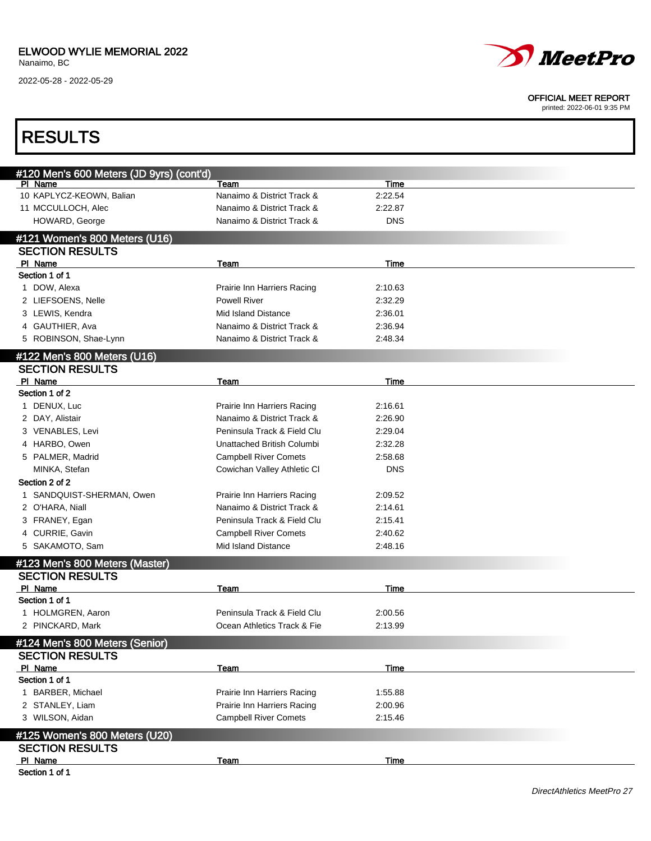

#### OFFICIAL MEET REPORT

| #120 Men's 600 Meters (JD 9yrs) (cont'd)<br>PI Name<br>Team<br>Time<br>10 KAPLYCZ-KEOWN, Balian<br>Nanaimo & District Track &<br>2:22.54<br>11 MCCULLOCH, Alec<br>Nanaimo & District Track &<br>2:22.87<br>HOWARD, George<br>Nanaimo & District Track &<br><b>DNS</b><br>Team<br>Time<br>1 DOW, Alexa<br>Prairie Inn Harriers Racing<br>2:10.63<br>2 LIEFSOENS, Nelle<br><b>Powell River</b><br>2:32.29<br>3 LEWIS, Kendra<br><b>Mid Island Distance</b><br>2:36.01<br>4 GAUTHIER, Ava<br>Nanaimo & District Track &<br>2:36.94<br>5 ROBINSON, Shae-Lynn<br>Nanaimo & District Track &<br>2:48.34<br><b>SECTION RESULTS</b><br>PI Name<br>Time<br>Team<br>Section 1 of 2<br>1 DENUX, Luc<br>Prairie Inn Harriers Racing<br>2:16.61<br>2 DAY, Alistair<br>Nanaimo & District Track &<br>2:26.90<br>3 VENABLES, Levi<br>Peninsula Track & Field Clu<br>2:29.04<br>4 HARBO, Owen<br>Unattached British Columbi<br>2:32.28<br>5 PALMER, Madrid<br><b>Campbell River Comets</b><br>2:58.68<br>MINKA, Stefan<br>Cowichan Valley Athletic CI<br>DNS<br>Section 2 of 2<br>1 SANDQUIST-SHERMAN, Owen<br>Prairie Inn Harriers Racing<br>2:09.52<br>2 O'HARA, Niall<br>Nanaimo & District Track &<br>2:14.61<br>3 FRANEY, Egan<br>Peninsula Track & Field Clu<br>2:15.41<br>4 CURRIE, Gavin<br><b>Campbell River Comets</b><br>2:40.62<br>Mid Island Distance<br>5 SAKAMOTO, Sam<br>2:48.16<br>PI Name<br>Team<br>Time<br>Peninsula Track & Field Clu<br>2:00.56<br>1 HOLMGREN, Aaron<br>2 PINCKARD, Mark<br>Ocean Athletics Track & Fie<br>2:13.99<br><b>SECTION RESULTS</b><br>PI Name<br>Time<br>Team<br>Section 1 of 1<br>1 BARBER, Michael<br>Prairie Inn Harriers Racing<br>1:55.88<br>2 STANLEY, Liam<br>Prairie Inn Harriers Racing<br>2:00.96<br>3 WILSON, Aidan<br><b>Campbell River Comets</b><br>2:15.46<br><b>SECTION RESULTS</b><br>PI Name<br><b>Time</b><br>Team | <b>RESULTS</b>                                           |  |  |
|-----------------------------------------------------------------------------------------------------------------------------------------------------------------------------------------------------------------------------------------------------------------------------------------------------------------------------------------------------------------------------------------------------------------------------------------------------------------------------------------------------------------------------------------------------------------------------------------------------------------------------------------------------------------------------------------------------------------------------------------------------------------------------------------------------------------------------------------------------------------------------------------------------------------------------------------------------------------------------------------------------------------------------------------------------------------------------------------------------------------------------------------------------------------------------------------------------------------------------------------------------------------------------------------------------------------------------------------------------------------------------------------------------------------------------------------------------------------------------------------------------------------------------------------------------------------------------------------------------------------------------------------------------------------------------------------------------------------------------------------------------------------------------------------------------------------------------------------------------------------------|----------------------------------------------------------|--|--|
|                                                                                                                                                                                                                                                                                                                                                                                                                                                                                                                                                                                                                                                                                                                                                                                                                                                                                                                                                                                                                                                                                                                                                                                                                                                                                                                                                                                                                                                                                                                                                                                                                                                                                                                                                                                                                                                                       |                                                          |  |  |
|                                                                                                                                                                                                                                                                                                                                                                                                                                                                                                                                                                                                                                                                                                                                                                                                                                                                                                                                                                                                                                                                                                                                                                                                                                                                                                                                                                                                                                                                                                                                                                                                                                                                                                                                                                                                                                                                       |                                                          |  |  |
|                                                                                                                                                                                                                                                                                                                                                                                                                                                                                                                                                                                                                                                                                                                                                                                                                                                                                                                                                                                                                                                                                                                                                                                                                                                                                                                                                                                                                                                                                                                                                                                                                                                                                                                                                                                                                                                                       |                                                          |  |  |
|                                                                                                                                                                                                                                                                                                                                                                                                                                                                                                                                                                                                                                                                                                                                                                                                                                                                                                                                                                                                                                                                                                                                                                                                                                                                                                                                                                                                                                                                                                                                                                                                                                                                                                                                                                                                                                                                       |                                                          |  |  |
|                                                                                                                                                                                                                                                                                                                                                                                                                                                                                                                                                                                                                                                                                                                                                                                                                                                                                                                                                                                                                                                                                                                                                                                                                                                                                                                                                                                                                                                                                                                                                                                                                                                                                                                                                                                                                                                                       |                                                          |  |  |
|                                                                                                                                                                                                                                                                                                                                                                                                                                                                                                                                                                                                                                                                                                                                                                                                                                                                                                                                                                                                                                                                                                                                                                                                                                                                                                                                                                                                                                                                                                                                                                                                                                                                                                                                                                                                                                                                       | #121 Women's 800 Meters (U16)<br><b>SECTION RESULTS</b>  |  |  |
|                                                                                                                                                                                                                                                                                                                                                                                                                                                                                                                                                                                                                                                                                                                                                                                                                                                                                                                                                                                                                                                                                                                                                                                                                                                                                                                                                                                                                                                                                                                                                                                                                                                                                                                                                                                                                                                                       | PI Name                                                  |  |  |
|                                                                                                                                                                                                                                                                                                                                                                                                                                                                                                                                                                                                                                                                                                                                                                                                                                                                                                                                                                                                                                                                                                                                                                                                                                                                                                                                                                                                                                                                                                                                                                                                                                                                                                                                                                                                                                                                       | Section 1 of 1                                           |  |  |
|                                                                                                                                                                                                                                                                                                                                                                                                                                                                                                                                                                                                                                                                                                                                                                                                                                                                                                                                                                                                                                                                                                                                                                                                                                                                                                                                                                                                                                                                                                                                                                                                                                                                                                                                                                                                                                                                       |                                                          |  |  |
|                                                                                                                                                                                                                                                                                                                                                                                                                                                                                                                                                                                                                                                                                                                                                                                                                                                                                                                                                                                                                                                                                                                                                                                                                                                                                                                                                                                                                                                                                                                                                                                                                                                                                                                                                                                                                                                                       |                                                          |  |  |
|                                                                                                                                                                                                                                                                                                                                                                                                                                                                                                                                                                                                                                                                                                                                                                                                                                                                                                                                                                                                                                                                                                                                                                                                                                                                                                                                                                                                                                                                                                                                                                                                                                                                                                                                                                                                                                                                       |                                                          |  |  |
|                                                                                                                                                                                                                                                                                                                                                                                                                                                                                                                                                                                                                                                                                                                                                                                                                                                                                                                                                                                                                                                                                                                                                                                                                                                                                                                                                                                                                                                                                                                                                                                                                                                                                                                                                                                                                                                                       |                                                          |  |  |
|                                                                                                                                                                                                                                                                                                                                                                                                                                                                                                                                                                                                                                                                                                                                                                                                                                                                                                                                                                                                                                                                                                                                                                                                                                                                                                                                                                                                                                                                                                                                                                                                                                                                                                                                                                                                                                                                       |                                                          |  |  |
|                                                                                                                                                                                                                                                                                                                                                                                                                                                                                                                                                                                                                                                                                                                                                                                                                                                                                                                                                                                                                                                                                                                                                                                                                                                                                                                                                                                                                                                                                                                                                                                                                                                                                                                                                                                                                                                                       | #122 Men's 800 Meters (U16)                              |  |  |
|                                                                                                                                                                                                                                                                                                                                                                                                                                                                                                                                                                                                                                                                                                                                                                                                                                                                                                                                                                                                                                                                                                                                                                                                                                                                                                                                                                                                                                                                                                                                                                                                                                                                                                                                                                                                                                                                       |                                                          |  |  |
|                                                                                                                                                                                                                                                                                                                                                                                                                                                                                                                                                                                                                                                                                                                                                                                                                                                                                                                                                                                                                                                                                                                                                                                                                                                                                                                                                                                                                                                                                                                                                                                                                                                                                                                                                                                                                                                                       |                                                          |  |  |
|                                                                                                                                                                                                                                                                                                                                                                                                                                                                                                                                                                                                                                                                                                                                                                                                                                                                                                                                                                                                                                                                                                                                                                                                                                                                                                                                                                                                                                                                                                                                                                                                                                                                                                                                                                                                                                                                       |                                                          |  |  |
|                                                                                                                                                                                                                                                                                                                                                                                                                                                                                                                                                                                                                                                                                                                                                                                                                                                                                                                                                                                                                                                                                                                                                                                                                                                                                                                                                                                                                                                                                                                                                                                                                                                                                                                                                                                                                                                                       |                                                          |  |  |
|                                                                                                                                                                                                                                                                                                                                                                                                                                                                                                                                                                                                                                                                                                                                                                                                                                                                                                                                                                                                                                                                                                                                                                                                                                                                                                                                                                                                                                                                                                                                                                                                                                                                                                                                                                                                                                                                       |                                                          |  |  |
|                                                                                                                                                                                                                                                                                                                                                                                                                                                                                                                                                                                                                                                                                                                                                                                                                                                                                                                                                                                                                                                                                                                                                                                                                                                                                                                                                                                                                                                                                                                                                                                                                                                                                                                                                                                                                                                                       |                                                          |  |  |
|                                                                                                                                                                                                                                                                                                                                                                                                                                                                                                                                                                                                                                                                                                                                                                                                                                                                                                                                                                                                                                                                                                                                                                                                                                                                                                                                                                                                                                                                                                                                                                                                                                                                                                                                                                                                                                                                       |                                                          |  |  |
|                                                                                                                                                                                                                                                                                                                                                                                                                                                                                                                                                                                                                                                                                                                                                                                                                                                                                                                                                                                                                                                                                                                                                                                                                                                                                                                                                                                                                                                                                                                                                                                                                                                                                                                                                                                                                                                                       |                                                          |  |  |
|                                                                                                                                                                                                                                                                                                                                                                                                                                                                                                                                                                                                                                                                                                                                                                                                                                                                                                                                                                                                                                                                                                                                                                                                                                                                                                                                                                                                                                                                                                                                                                                                                                                                                                                                                                                                                                                                       |                                                          |  |  |
|                                                                                                                                                                                                                                                                                                                                                                                                                                                                                                                                                                                                                                                                                                                                                                                                                                                                                                                                                                                                                                                                                                                                                                                                                                                                                                                                                                                                                                                                                                                                                                                                                                                                                                                                                                                                                                                                       |                                                          |  |  |
|                                                                                                                                                                                                                                                                                                                                                                                                                                                                                                                                                                                                                                                                                                                                                                                                                                                                                                                                                                                                                                                                                                                                                                                                                                                                                                                                                                                                                                                                                                                                                                                                                                                                                                                                                                                                                                                                       |                                                          |  |  |
|                                                                                                                                                                                                                                                                                                                                                                                                                                                                                                                                                                                                                                                                                                                                                                                                                                                                                                                                                                                                                                                                                                                                                                                                                                                                                                                                                                                                                                                                                                                                                                                                                                                                                                                                                                                                                                                                       |                                                          |  |  |
|                                                                                                                                                                                                                                                                                                                                                                                                                                                                                                                                                                                                                                                                                                                                                                                                                                                                                                                                                                                                                                                                                                                                                                                                                                                                                                                                                                                                                                                                                                                                                                                                                                                                                                                                                                                                                                                                       |                                                          |  |  |
|                                                                                                                                                                                                                                                                                                                                                                                                                                                                                                                                                                                                                                                                                                                                                                                                                                                                                                                                                                                                                                                                                                                                                                                                                                                                                                                                                                                                                                                                                                                                                                                                                                                                                                                                                                                                                                                                       |                                                          |  |  |
|                                                                                                                                                                                                                                                                                                                                                                                                                                                                                                                                                                                                                                                                                                                                                                                                                                                                                                                                                                                                                                                                                                                                                                                                                                                                                                                                                                                                                                                                                                                                                                                                                                                                                                                                                                                                                                                                       |                                                          |  |  |
|                                                                                                                                                                                                                                                                                                                                                                                                                                                                                                                                                                                                                                                                                                                                                                                                                                                                                                                                                                                                                                                                                                                                                                                                                                                                                                                                                                                                                                                                                                                                                                                                                                                                                                                                                                                                                                                                       | #123 Men's 800 Meters (Master)<br><b>SECTION RESULTS</b> |  |  |
|                                                                                                                                                                                                                                                                                                                                                                                                                                                                                                                                                                                                                                                                                                                                                                                                                                                                                                                                                                                                                                                                                                                                                                                                                                                                                                                                                                                                                                                                                                                                                                                                                                                                                                                                                                                                                                                                       |                                                          |  |  |
|                                                                                                                                                                                                                                                                                                                                                                                                                                                                                                                                                                                                                                                                                                                                                                                                                                                                                                                                                                                                                                                                                                                                                                                                                                                                                                                                                                                                                                                                                                                                                                                                                                                                                                                                                                                                                                                                       | Section 1 of 1                                           |  |  |
|                                                                                                                                                                                                                                                                                                                                                                                                                                                                                                                                                                                                                                                                                                                                                                                                                                                                                                                                                                                                                                                                                                                                                                                                                                                                                                                                                                                                                                                                                                                                                                                                                                                                                                                                                                                                                                                                       |                                                          |  |  |
|                                                                                                                                                                                                                                                                                                                                                                                                                                                                                                                                                                                                                                                                                                                                                                                                                                                                                                                                                                                                                                                                                                                                                                                                                                                                                                                                                                                                                                                                                                                                                                                                                                                                                                                                                                                                                                                                       |                                                          |  |  |
|                                                                                                                                                                                                                                                                                                                                                                                                                                                                                                                                                                                                                                                                                                                                                                                                                                                                                                                                                                                                                                                                                                                                                                                                                                                                                                                                                                                                                                                                                                                                                                                                                                                                                                                                                                                                                                                                       | #124 Men's 800 Meters (Senior)                           |  |  |
|                                                                                                                                                                                                                                                                                                                                                                                                                                                                                                                                                                                                                                                                                                                                                                                                                                                                                                                                                                                                                                                                                                                                                                                                                                                                                                                                                                                                                                                                                                                                                                                                                                                                                                                                                                                                                                                                       |                                                          |  |  |
|                                                                                                                                                                                                                                                                                                                                                                                                                                                                                                                                                                                                                                                                                                                                                                                                                                                                                                                                                                                                                                                                                                                                                                                                                                                                                                                                                                                                                                                                                                                                                                                                                                                                                                                                                                                                                                                                       |                                                          |  |  |
|                                                                                                                                                                                                                                                                                                                                                                                                                                                                                                                                                                                                                                                                                                                                                                                                                                                                                                                                                                                                                                                                                                                                                                                                                                                                                                                                                                                                                                                                                                                                                                                                                                                                                                                                                                                                                                                                       |                                                          |  |  |
|                                                                                                                                                                                                                                                                                                                                                                                                                                                                                                                                                                                                                                                                                                                                                                                                                                                                                                                                                                                                                                                                                                                                                                                                                                                                                                                                                                                                                                                                                                                                                                                                                                                                                                                                                                                                                                                                       |                                                          |  |  |
|                                                                                                                                                                                                                                                                                                                                                                                                                                                                                                                                                                                                                                                                                                                                                                                                                                                                                                                                                                                                                                                                                                                                                                                                                                                                                                                                                                                                                                                                                                                                                                                                                                                                                                                                                                                                                                                                       |                                                          |  |  |
|                                                                                                                                                                                                                                                                                                                                                                                                                                                                                                                                                                                                                                                                                                                                                                                                                                                                                                                                                                                                                                                                                                                                                                                                                                                                                                                                                                                                                                                                                                                                                                                                                                                                                                                                                                                                                                                                       |                                                          |  |  |
|                                                                                                                                                                                                                                                                                                                                                                                                                                                                                                                                                                                                                                                                                                                                                                                                                                                                                                                                                                                                                                                                                                                                                                                                                                                                                                                                                                                                                                                                                                                                                                                                                                                                                                                                                                                                                                                                       | #125 Women's 800 Meters (U20)                            |  |  |
|                                                                                                                                                                                                                                                                                                                                                                                                                                                                                                                                                                                                                                                                                                                                                                                                                                                                                                                                                                                                                                                                                                                                                                                                                                                                                                                                                                                                                                                                                                                                                                                                                                                                                                                                                                                                                                                                       |                                                          |  |  |
|                                                                                                                                                                                                                                                                                                                                                                                                                                                                                                                                                                                                                                                                                                                                                                                                                                                                                                                                                                                                                                                                                                                                                                                                                                                                                                                                                                                                                                                                                                                                                                                                                                                                                                                                                                                                                                                                       | Section 1 of 1                                           |  |  |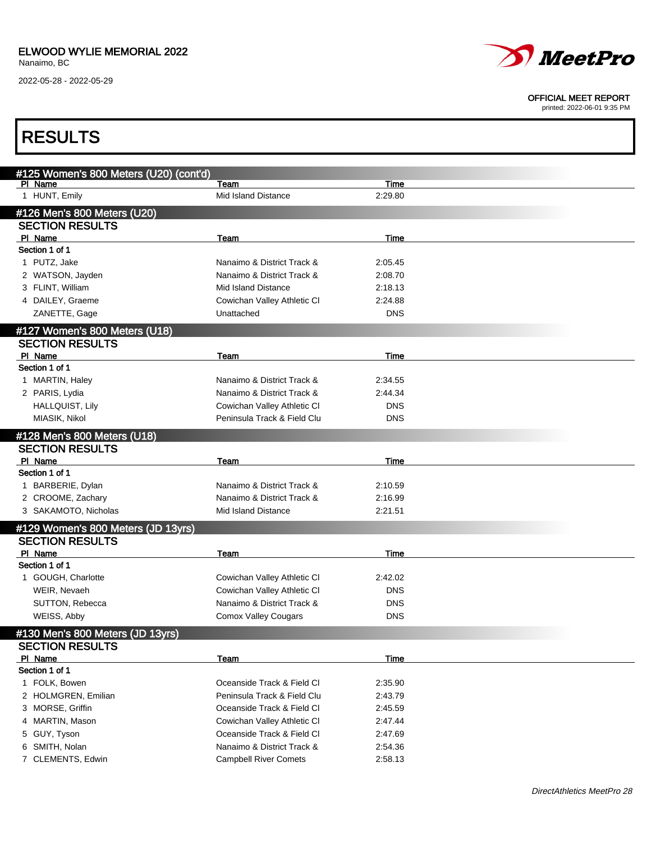

#### OFFICIAL MEET REPORT

| <b>RESULTS</b>                                          |                              |             |  |
|---------------------------------------------------------|------------------------------|-------------|--|
|                                                         |                              |             |  |
| #125 Women's 800 Meters (U20) (cont'd)<br>PI Name       | Team                         | Time        |  |
| 1 HUNT, Emily                                           | Mid Island Distance          | 2:29.80     |  |
| #126 Men's 800 Meters (U20)                             |                              |             |  |
| <b>SECTION RESULTS</b>                                  |                              |             |  |
| PI Name                                                 | Team                         | Time        |  |
| Section 1 of 1                                          |                              |             |  |
| 1 PUTZ, Jake                                            | Nanaimo & District Track &   | 2:05.45     |  |
| 2 WATSON, Jayden                                        | Nanaimo & District Track &   | 2:08.70     |  |
| 3 FLINT, William                                        | <b>Mid Island Distance</b>   | 2:18.13     |  |
| 4 DAILEY, Graeme                                        | Cowichan Valley Athletic CI  | 2:24.88     |  |
| ZANETTE, Gage                                           | Unattached                   | DNS         |  |
|                                                         |                              |             |  |
| #127 Women's 800 Meters (U18)<br><b>SECTION RESULTS</b> |                              |             |  |
| PI Name                                                 | Team                         | Time        |  |
| Section 1 of 1                                          |                              |             |  |
| 1 MARTIN, Haley                                         | Nanaimo & District Track &   | 2:34.55     |  |
| 2 PARIS, Lydia                                          | Nanaimo & District Track &   | 2:44.34     |  |
| <b>HALLQUIST, Lily</b>                                  | Cowichan Valley Athletic CI  | DNS         |  |
| MIASIK, Nikol                                           | Peninsula Track & Field Clu  | DNS         |  |
|                                                         |                              |             |  |
| #128 Men's 800 Meters (U18)                             |                              |             |  |
| <b>SECTION RESULTS</b>                                  |                              |             |  |
| PI Name<br>Section 1 of 1                               | Team                         | Time        |  |
| 1 BARBERIE, Dylan                                       | Nanaimo & District Track &   | 2:10.59     |  |
| 2 CROOME, Zachary                                       | Nanaimo & District Track &   | 2:16.99     |  |
| 3 SAKAMOTO, Nicholas                                    | Mid Island Distance          | 2:21.51     |  |
|                                                         |                              |             |  |
| #129 Women's 800 Meters (JD 13yrs)                      |                              |             |  |
| <b>SECTION RESULTS</b>                                  |                              |             |  |
| PI Name                                                 | Team                         | Time        |  |
| Section 1 of 1                                          |                              |             |  |
| 1 GOUGH, Charlotte                                      | Cowichan Valley Athletic CI  | 2:42.02     |  |
| WEIR, Nevaeh                                            | Cowichan Valley Athletic CI  | DNS         |  |
| SUTTON, Rebecca                                         | Nanaimo & District Track &   | DNS         |  |
| WEISS, Abby                                             | <b>Comox Valley Cougars</b>  | <b>DNS</b>  |  |
| #130 Men's 800 Meters (JD 13yrs)                        |                              |             |  |
| <b>SECTION RESULTS</b>                                  |                              |             |  |
| PI Name                                                 | Team                         | <b>Time</b> |  |
| Section 1 of 1                                          |                              |             |  |
| 1 FOLK, Bowen                                           | Oceanside Track & Field Cl   | 2:35.90     |  |
| 2 HOLMGREN, Emilian                                     | Peninsula Track & Field Clu  | 2:43.79     |  |
| 3 MORSE, Griffin                                        | Oceanside Track & Field Cl   | 2:45.59     |  |
| 4 MARTIN, Mason                                         | Cowichan Valley Athletic CI  | 2:47.44     |  |
| GUY, Tyson<br>5                                         | Oceanside Track & Field Cl   | 2:47.69     |  |
| 6 SMITH, Nolan                                          | Nanaimo & District Track &   | 2:54.36     |  |
| 7 CLEMENTS, Edwin                                       | <b>Campbell River Comets</b> | 2:58.13     |  |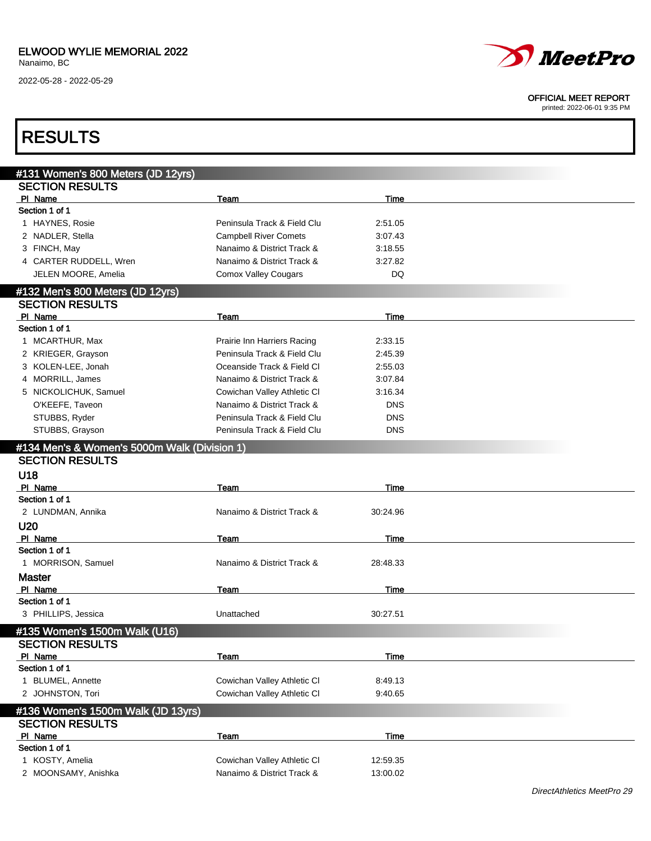

#### OFFICIAL MEET REPORT

| <b>RESULTS</b>                               |                              |            |  |
|----------------------------------------------|------------------------------|------------|--|
| #131 Women's 800 Meters (JD 12yrs)           |                              |            |  |
| <b>SECTION RESULTS</b>                       |                              |            |  |
| PI Name                                      | Team                         | Time       |  |
| Section 1 of 1                               |                              |            |  |
| 1 HAYNES, Rosie                              | Peninsula Track & Field Clu  | 2:51.05    |  |
| 2 NADLER, Stella                             | <b>Campbell River Comets</b> | 3:07.43    |  |
| 3 FINCH, May                                 | Nanaimo & District Track &   | 3:18.55    |  |
| 4 CARTER RUDDELL, Wren                       | Nanaimo & District Track &   | 3:27.82    |  |
| JELEN MOORE, Amelia                          | <b>Comox Valley Cougars</b>  | <b>DQ</b>  |  |
| #132 Men's 800 Meters (JD 12yrs)             |                              |            |  |
| <b>SECTION RESULTS</b>                       |                              |            |  |
| PI Name                                      | Team                         | Time       |  |
| Section 1 of 1                               |                              |            |  |
| 1 MCARTHUR, Max                              | Prairie Inn Harriers Racing  | 2:33.15    |  |
| 2 KRIEGER, Grayson                           | Peninsula Track & Field Clu  | 2:45.39    |  |
| 3 KOLEN-LEE, Jonah                           | Oceanside Track & Field CI   | 2:55.03    |  |
| 4 MORRILL, James                             | Nanaimo & District Track &   | 3:07.84    |  |
| 5 NICKOLICHUK, Samuel                        | Cowichan Valley Athletic CI  | 3:16.34    |  |
| O'KEEFE, Taveon                              | Nanaimo & District Track &   | <b>DNS</b> |  |
| STUBBS, Ryder                                | Peninsula Track & Field Clu  | <b>DNS</b> |  |
| STUBBS, Grayson                              | Peninsula Track & Field Clu  | <b>DNS</b> |  |
|                                              |                              |            |  |
| #134 Men's & Women's 5000m Walk (Division 1) |                              |            |  |
| <b>SECTION RESULTS</b>                       |                              |            |  |
| U18                                          |                              |            |  |
| PI Name                                      | Team                         | Time       |  |
| Section 1 of 1                               |                              |            |  |
| 2 LUNDMAN, Annika                            | Nanaimo & District Track &   | 30:24.96   |  |
| U20                                          |                              |            |  |
| PI Name                                      | Team                         | Time       |  |
| Section 1 of 1                               |                              |            |  |
| 1 MORRISON, Samuel                           | Nanaimo & District Track &   | 28:48.33   |  |
| <b>Master</b>                                |                              |            |  |
| PI Name                                      | Team                         | Time       |  |
| Section 1 of 1                               |                              |            |  |
| 3 PHILLIPS, Jessica                          | Unattached                   | 30:27.51   |  |
| #135 Women's 1500m Walk (U16)                |                              |            |  |
| <b>SECTION RESULTS</b>                       |                              |            |  |
| PI Name                                      | Team                         | Time       |  |
| Section 1 of 1                               |                              |            |  |
| 1 BLUMEL, Annette                            | Cowichan Valley Athletic CI  | 8:49.13    |  |
| 2 JOHNSTON, Tori                             | Cowichan Valley Athletic CI  | 9:40.65    |  |
| #136 Women's 1500m Walk (JD 13yrs)           |                              |            |  |
| <b>SECTION RESULTS</b>                       |                              |            |  |
| PI Name                                      | Team                         | Time       |  |
| Section 1 of 1                               |                              |            |  |
| 1 KOSTY, Amelia                              | Cowichan Valley Athletic CI  | 12:59.35   |  |
| 2 MOONSAMY, Anishka                          | Nanaimo & District Track &   | 13:00.02   |  |
|                                              |                              |            |  |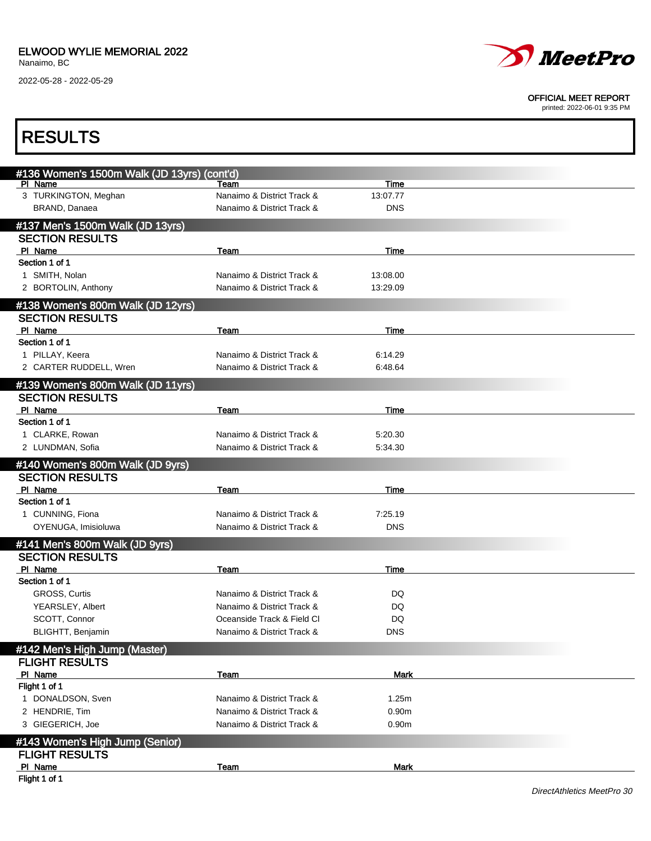

#### OFFICIAL MEET REPORT

| <b>RESULTS</b>                              |                            |                   |  |
|---------------------------------------------|----------------------------|-------------------|--|
| #136 Women's 1500m Walk (JD 13yrs) (cont'd) |                            |                   |  |
| PI Name                                     | Team                       | Time              |  |
| 3 TURKINGTON, Meghan                        | Nanaimo & District Track & | 13:07.77          |  |
| BRAND, Danaea                               | Nanaimo & District Track & | <b>DNS</b>        |  |
| #137 Men's 1500m Walk (JD 13yrs)            |                            |                   |  |
| <b>SECTION RESULTS</b>                      |                            |                   |  |
| PI Name                                     | Team                       | Time              |  |
| Section 1 of 1                              |                            |                   |  |
| 1 SMITH, Nolan                              | Nanaimo & District Track & | 13:08.00          |  |
| 2 BORTOLIN, Anthony                         | Nanaimo & District Track & | 13:29.09          |  |
| #138 Women's 800m Walk (JD 12yrs)           |                            |                   |  |
| <b>SECTION RESULTS</b>                      |                            |                   |  |
| PI Name                                     | Team                       | Time              |  |
| Section 1 of 1                              |                            |                   |  |
| 1 PILLAY, Keera                             | Nanaimo & District Track & | 6:14.29           |  |
| 2 CARTER RUDDELL, Wren                      | Nanaimo & District Track & | 6:48.64           |  |
| #139 Women's 800m Walk (JD 11yrs)           |                            |                   |  |
| <b>SECTION RESULTS</b>                      |                            |                   |  |
| PI Name                                     | Team                       | Time              |  |
| Section 1 of 1                              |                            |                   |  |
| 1 CLARKE, Rowan                             | Nanaimo & District Track & | 5:20.30           |  |
| 2 LUNDMAN, Sofia                            | Nanaimo & District Track & | 5:34.30           |  |
| #140 Women's 800m Walk (JD 9yrs)            |                            |                   |  |
| <b>SECTION RESULTS</b>                      |                            |                   |  |
| PI Name                                     | <b>Team</b>                | Time              |  |
| Section 1 of 1                              |                            |                   |  |
| 1 CUNNING, Fiona                            | Nanaimo & District Track & | 7:25.19           |  |
| OYENUGA, Imisioluwa                         | Nanaimo & District Track & | <b>DNS</b>        |  |
|                                             |                            |                   |  |
| #141 Men's 800m Walk (JD 9yrs)              |                            |                   |  |
| <b>SECTION RESULTS</b>                      |                            |                   |  |
| PI Name<br>Section 1 of 1                   | Team                       | Time              |  |
| GROSS, Curtis                               | Nanaimo & District Track & | DQ                |  |
| YEARSLEY, Albert                            | Nanaimo & District Track & | DQ                |  |
| SCOTT, Connor                               | Oceanside Track & Field Cl | DQ                |  |
| <b>BLIGHTT, Benjamin</b>                    | Nanaimo & District Track & | <b>DNS</b>        |  |
|                                             |                            |                   |  |
| #142 Men's High Jump (Master)               |                            |                   |  |
| <b>FLIGHT RESULTS</b>                       |                            |                   |  |
| PI Name                                     | Team                       | <b>Mark</b>       |  |
| Flight 1 of 1                               |                            |                   |  |
| 1 DONALDSON, Sven                           | Nanaimo & District Track & | 1.25m             |  |
| 2 HENDRIE, Tim                              | Nanaimo & District Track & | 0.90 <sub>m</sub> |  |
| 3 GIEGERICH, Joe                            | Nanaimo & District Track & | 0.90 <sub>m</sub> |  |
| #143 Women's High Jump (Senior)             |                            |                   |  |
| <b>FLIGHT RESULTS</b>                       |                            |                   |  |
| PI Name                                     | Team                       | <b>Mark</b>       |  |
| Flight 1 of 1                               |                            |                   |  |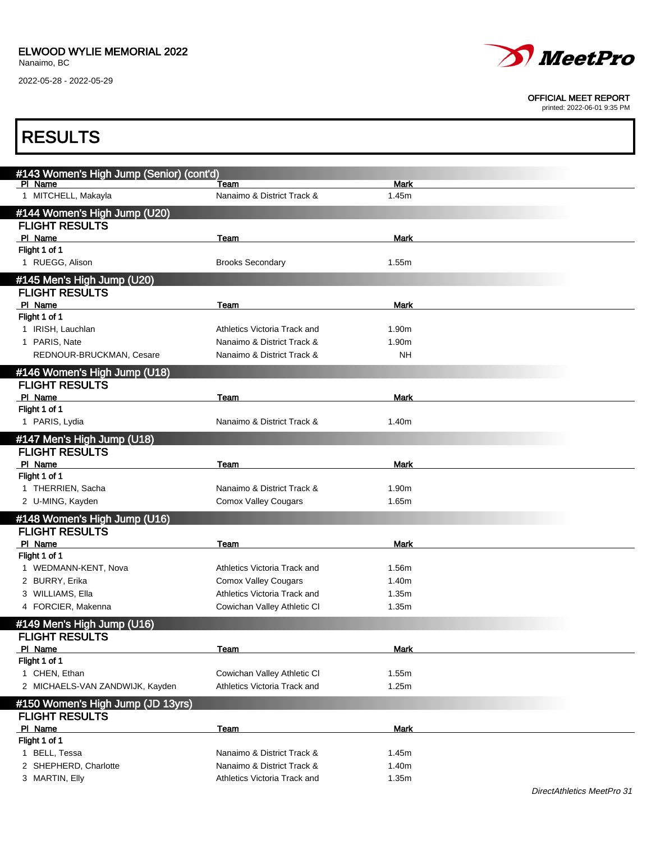

#### OFFICIAL MEET REPORT

| <b>RESULTS</b>                           |                              |             |  |
|------------------------------------------|------------------------------|-------------|--|
| #143 Women's High Jump (Senior) (cont'd) |                              |             |  |
| PI Name                                  | Team                         | <b>Mark</b> |  |
| 1 MITCHELL, Makayla                      | Nanaimo & District Track &   | 1.45m       |  |
| #144 Women's High Jump (U20)             |                              |             |  |
| <b>FLIGHT RESULTS</b>                    |                              |             |  |
| PI Name                                  | Team                         | <b>Mark</b> |  |
| Flight 1 of 1                            |                              |             |  |
| 1 RUEGG, Alison                          | <b>Brooks Secondary</b>      | 1.55m       |  |
| #145 Men's High Jump (U20)               |                              |             |  |
| <b>FLIGHT RESULTS</b>                    |                              |             |  |
| PI Name                                  | Team                         | <b>Mark</b> |  |
| Flight 1 of 1                            |                              |             |  |
| 1 IRISH, Lauchlan                        | Athletics Victoria Track and | 1.90m       |  |
| 1 PARIS, Nate                            | Nanaimo & District Track &   | 1.90m       |  |
| REDNOUR-BRUCKMAN, Cesare                 | Nanaimo & District Track &   | NΗ          |  |
| #146 Women's High Jump (U18)             |                              |             |  |
| <b>FLIGHT RESULTS</b>                    |                              |             |  |
| PI Name                                  | Team                         | Mark        |  |
| Flight 1 of 1                            |                              |             |  |
| 1 PARIS, Lydia                           | Nanaimo & District Track &   | 1.40m       |  |
| #147 Men's High Jump (U18)               |                              |             |  |
| <b>FLIGHT RESULTS</b>                    |                              |             |  |
| PI Name                                  | Team                         | <b>Mark</b> |  |
| Flight 1 of 1                            |                              |             |  |
| 1 THERRIEN, Sacha                        | Nanaimo & District Track &   | 1.90m       |  |
| 2 U-MING, Kayden                         | <b>Comox Valley Cougars</b>  | 1.65m       |  |
| #148 Women's High Jump (U16)             |                              |             |  |
| <b>FLIGHT RESULTS</b>                    |                              |             |  |
| PI Name                                  | Team                         | Mark        |  |
| Flight 1 of 1                            |                              |             |  |
| 1 WEDMANN-KENT, Nova                     | Athletics Victoria Track and | 1.56m       |  |
| 2 BURRY, Erika                           | <b>Comox Valley Cougars</b>  | 1.40m       |  |
| 3 WILLIAMS, Ella                         | Athletics Victoria Track and | 1.35m       |  |
| 4 FORCIER, Makenna                       | Cowichan Valley Athletic CI  | 1.35m       |  |
| #149 Men's High Jump (U16)               |                              |             |  |
| <b>FLIGHT RESULTS</b>                    |                              |             |  |
| PI Name                                  | <u>Team</u>                  | <b>Mark</b> |  |
| Flight 1 of 1                            |                              |             |  |
| 1 CHEN, Ethan                            | Cowichan Valley Athletic CI  | 1.55m       |  |
| 2 MICHAELS-VAN ZANDWIJK, Kayden          | Athletics Victoria Track and | 1.25m       |  |
| #150 Women's High Jump (JD 13yrs)        |                              |             |  |
| <b>FLIGHT RESULTS</b>                    |                              |             |  |
| PI Name                                  | <b>Team</b>                  | <b>Mark</b> |  |
| Flight 1 of 1                            |                              |             |  |
| 1 BELL, Tessa                            | Nanaimo & District Track &   | 1.45m       |  |
| 2 SHEPHERD, Charlotte                    | Nanaimo & District Track &   | 1.40m       |  |
| 3 MARTIN, Elly                           | Athletics Victoria Track and | 1.35m       |  |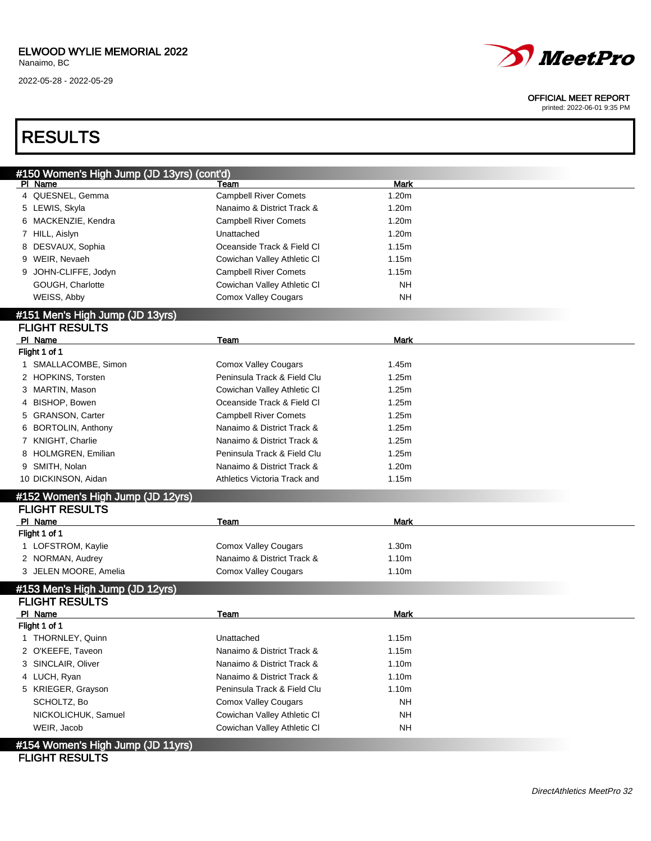### ELWOOD WYLIE MEMORIAL 2022

Nanaimo, BC

2022-05-28 - 2022-05-29



#### OFFICIAL MEET REPORT

printed: 2022-06-01 9:35 PM

## RESULTS

| #150 Women's High Jump (JD 13yrs) (cont'd)               |                                                            |             |  |
|----------------------------------------------------------|------------------------------------------------------------|-------------|--|
| PI Name                                                  | Team                                                       | Mark        |  |
| 4 QUESNEL, Gemma                                         | <b>Campbell River Comets</b>                               | 1.20m       |  |
| 5 LEWIS, Skyla                                           | Nanaimo & District Track &                                 | 1.20m       |  |
| MACKENZIE, Kendra<br>6                                   | <b>Campbell River Comets</b>                               | 1.20m       |  |
| 7 HILL, Aislyn                                           | Unattached                                                 | 1.20m       |  |
| DESVAUX, Sophia<br>8                                     | Oceanside Track & Field CI                                 | 1.15m       |  |
| 9 WEIR, Nevaeh                                           | Cowichan Valley Athletic CI                                | 1.15m       |  |
| JOHN-CLIFFE, Jodyn<br>9                                  | <b>Campbell River Comets</b>                               | 1.15m       |  |
| GOUGH, Charlotte                                         | Cowichan Valley Athletic CI                                | <b>NH</b>   |  |
| WEISS, Abby                                              | Comox Valley Cougars                                       | <b>NH</b>   |  |
| #151 Men's High Jump (JD 13yrs)                          |                                                            |             |  |
| <b>FLIGHT RESULTS</b>                                    |                                                            |             |  |
| PI Name                                                  | Team                                                       | <b>Mark</b> |  |
| Flight 1 of 1                                            |                                                            |             |  |
| 1 SMALLACOMBE, Simon                                     | <b>Comox Valley Cougars</b>                                | 1.45m       |  |
| 2 HOPKINS, Torsten                                       | Peninsula Track & Field Clu                                | 1.25m       |  |
| 3 MARTIN, Mason                                          | Cowichan Valley Athletic CI                                | 1.25m       |  |
| BISHOP, Bowen                                            | Oceanside Track & Field Cl                                 | 1.25m       |  |
| 5 GRANSON, Carter                                        | <b>Campbell River Comets</b>                               | 1.25m       |  |
| <b>BORTOLIN, Anthony</b>                                 | Nanaimo & District Track &                                 | 1.25m       |  |
| 7 KNIGHT, Charlie                                        | Nanaimo & District Track &                                 | 1.25m       |  |
| HOLMGREN, Emilian                                        | Peninsula Track & Field Clu                                | 1.25m       |  |
| 9 SMITH, Nolan                                           | Nanaimo & District Track &                                 | 1.20m       |  |
| 10 DICKINSON, Aidan                                      | Athletics Victoria Track and                               | 1.15m       |  |
| #152 Women's High Jump (JD 12yrs)                        |                                                            |             |  |
| <b>FLIGHT RESULTS</b>                                    |                                                            |             |  |
| PI Name                                                  | Team                                                       | <b>Mark</b> |  |
| Flight 1 of 1                                            |                                                            |             |  |
| 1 LOFSTROM, Kaylie                                       | <b>Comox Valley Cougars</b>                                | 1.30m       |  |
| 2 NORMAN, Audrey                                         |                                                            |             |  |
| 3 JELEN MOORE, Amelia                                    | Nanaimo & District Track &                                 | 1.10m       |  |
|                                                          | <b>Comox Valley Cougars</b>                                | 1.10m       |  |
|                                                          |                                                            |             |  |
| #153 Men's High Jump (JD 12yrs)<br><b>FLIGHT RESULTS</b> |                                                            |             |  |
| PI Name                                                  | Team                                                       | <b>Mark</b> |  |
| Flight 1 of 1                                            |                                                            |             |  |
| 1 THORNLEY, Quinn                                        | Unattached                                                 | 1.15m       |  |
| 2 O'KEEFE, Taveon                                        | Nanaimo & District Track &                                 | 1.15m       |  |
| 3 SINCLAIR, Oliver                                       | Nanaimo & District Track &                                 | 1.10m       |  |
| 4 LUCH, Ryan                                             | Nanaimo & District Track &                                 | 1.10m       |  |
| 5 KRIEGER, Grayson                                       | Peninsula Track & Field Clu                                | 1.10m       |  |
| SCHOLTZ, Bo                                              | <b>Comox Valley Cougars</b>                                | <b>NH</b>   |  |
|                                                          |                                                            | <b>NH</b>   |  |
| NICKOLICHUK, Samuel<br>WEIR, Jacob                       | Cowichan Valley Athletic CI<br>Cowichan Valley Athletic CI | <b>NH</b>   |  |

### FLIGHT RESULTS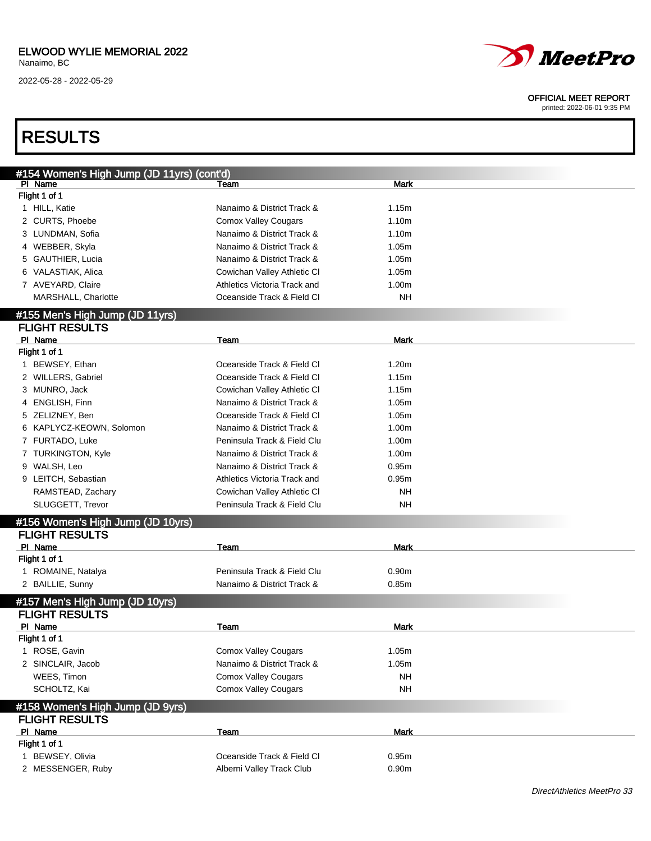

#### OFFICIAL MEET REPORT

| <b>RESULTS</b>                             |                              |                   |  |
|--------------------------------------------|------------------------------|-------------------|--|
| #154 Women's High Jump (JD 11yrs) (cont'd) |                              |                   |  |
| PI Name                                    | Team                         | <b>Mark</b>       |  |
| Flight 1 of 1                              |                              |                   |  |
| 1 HILL, Katie                              | Nanaimo & District Track &   | 1.15m             |  |
| 2 CURTS, Phoebe                            | <b>Comox Valley Cougars</b>  | 1.10 <sub>m</sub> |  |
| 3 LUNDMAN, Sofia                           | Nanaimo & District Track &   | 1.10 <sub>m</sub> |  |
| 4 WEBBER, Skyla                            | Nanaimo & District Track &   | 1.05m             |  |
| 5 GAUTHIER, Lucia                          | Nanaimo & District Track &   | 1.05m             |  |
| 6 VALASTIAK, Alica                         |                              | 1.05m             |  |
|                                            | Cowichan Valley Athletic CI  |                   |  |
| 7 AVEYARD, Claire                          | Athletics Victoria Track and | 1.00m             |  |
| MARSHALL, Charlotte                        | Oceanside Track & Field CI   | <b>NH</b>         |  |
| #155 Men's High Jump (JD 11yrs)            |                              |                   |  |
| <b>FLIGHT RESULTS</b>                      |                              |                   |  |
| PI Name                                    | Team                         | Mark              |  |
| Flight 1 of 1                              |                              |                   |  |
| 1 BEWSEY, Ethan                            | Oceanside Track & Field Cl   | 1.20 <sub>m</sub> |  |
| 2 WILLERS, Gabriel                         | Oceanside Track & Field Cl   | 1.15m             |  |
| 3 MUNRO, Jack                              | Cowichan Valley Athletic CI  | 1.15m             |  |
| 4 ENGLISH, Finn                            | Nanaimo & District Track &   | 1.05m             |  |
| 5 ZELIZNEY, Ben                            | Oceanside Track & Field Cl   | 1.05m             |  |
| 6 KAPLYCZ-KEOWN, Solomon                   | Nanaimo & District Track &   | 1.00m             |  |
| 7 FURTADO, Luke                            | Peninsula Track & Field Clu  | 1.00m             |  |
| 7 TURKINGTON, Kyle                         | Nanaimo & District Track &   | 1.00m             |  |
| 9 WALSH, Leo                               | Nanaimo & District Track &   | 0.95m             |  |
| 9 LEITCH, Sebastian                        | Athletics Victoria Track and | 0.95m             |  |
| RAMSTEAD, Zachary                          | Cowichan Valley Athletic CI  | NΗ                |  |
| SLUGGETT, Trevor                           | Peninsula Track & Field Clu  | NΗ                |  |
| #156 Women's High Jump (JD 10yrs)          |                              |                   |  |
| <b>FLIGHT RESULTS</b>                      |                              |                   |  |
| PI Name                                    | Team                         | Mark              |  |
| Flight 1 of 1                              |                              |                   |  |
| 1 ROMAINE, Natalya                         | Peninsula Track & Field Clu  | 0.90 <sub>m</sub> |  |
| 2 BAILLIE, Sunny                           | Nanaimo & District Track &   | 0.85m             |  |
|                                            |                              |                   |  |
| #157 Men's High Jump (JD 10yrs)            |                              |                   |  |
| <b>FLIGHT RESULTS</b>                      |                              |                   |  |
| PI Name                                    | Team                         | <b>Mark</b>       |  |
| Flight 1 of 1                              |                              |                   |  |
| 1 ROSE, Gavin                              | <b>Comox Valley Cougars</b>  | 1.05m             |  |
| 2 SINCLAIR, Jacob                          | Nanaimo & District Track &   | 1.05m             |  |
| WEES, Timon                                | <b>Comox Valley Cougars</b>  | <b>NH</b>         |  |
| SCHOLTZ, Kai                               | <b>Comox Valley Cougars</b>  | <b>NH</b>         |  |
| #158 Women's High Jump (JD 9yrs)           |                              |                   |  |
| <b>FLIGHT RESULTS</b>                      |                              |                   |  |
| PI Name                                    | Team                         | <b>Mark</b>       |  |
| Flight 1 of 1                              |                              |                   |  |
|                                            | Oceanside Track & Field Cl   |                   |  |
| 1 BEWSEY, Olivia                           |                              | 0.95m             |  |
| 2 MESSENGER, Ruby                          | Alberni Valley Track Club    | 0.90m             |  |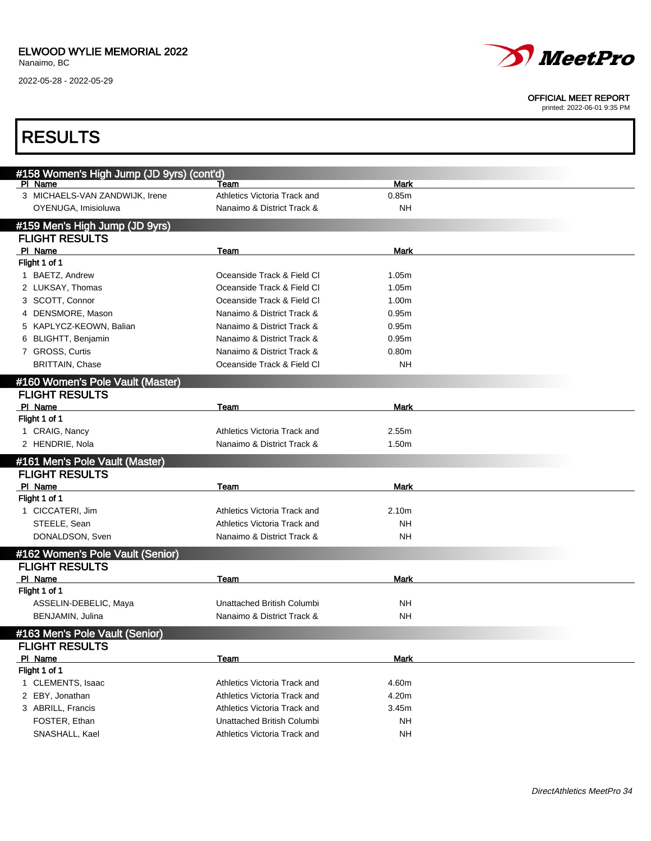

#### OFFICIAL MEET REPORT

| <b>RESULTS</b>                            |                              |                   |  |
|-------------------------------------------|------------------------------|-------------------|--|
| #158 Women's High Jump (JD 9yrs) (cont'd) |                              |                   |  |
| PI Name                                   | Team                         | <b>Mark</b>       |  |
| 3 MICHAELS-VAN ZANDWIJK, Irene            | Athletics Victoria Track and | 0.85m             |  |
| OYENUGA, Imisioluwa                       | Nanaimo & District Track &   | <b>NH</b>         |  |
| #159 Men's High Jump (JD 9yrs)            |                              |                   |  |
| <b>FLIGHT RESULTS</b>                     |                              |                   |  |
| PI Name                                   | Team                         | Mark              |  |
| Flight 1 of 1                             |                              |                   |  |
| 1 BAETZ, Andrew                           | Oceanside Track & Field Cl   | 1.05m             |  |
| 2 LUKSAY, Thomas                          | Oceanside Track & Field Cl   | 1.05m             |  |
| 3 SCOTT, Connor                           | Oceanside Track & Field Cl   | 1.00m             |  |
| 4 DENSMORE, Mason                         | Nanaimo & District Track &   | 0.95m             |  |
| 5 KAPLYCZ-KEOWN, Balian                   | Nanaimo & District Track &   | 0.95m             |  |
| 6 BLIGHTT, Benjamin                       | Nanaimo & District Track &   | 0.95m             |  |
| 7 GROSS, Curtis                           | Nanaimo & District Track &   | 0.80 <sub>m</sub> |  |
| <b>BRITTAIN, Chase</b>                    | Oceanside Track & Field Cl   | <b>NH</b>         |  |
| #160 Women's Pole Vault (Master)          |                              |                   |  |
| <b>FLIGHT RESULTS</b>                     |                              |                   |  |
| PI Name                                   | Team                         | Mark              |  |
| Flight 1 of 1                             |                              |                   |  |
| 1 CRAIG, Nancy                            | Athletics Victoria Track and | 2.55m             |  |
| 2 HENDRIE, Nola                           | Nanaimo & District Track &   | 1.50m             |  |
| #161 Men's Pole Vault (Master)            |                              |                   |  |
| <b>FLIGHT RESULTS</b>                     |                              |                   |  |
| PI Name                                   | Team                         | <b>Mark</b>       |  |
| Flight 1 of 1                             |                              |                   |  |
| 1 CICCATERI, Jim                          | Athletics Victoria Track and | 2.10m             |  |
| STEELE, Sean                              | Athletics Victoria Track and | <b>NH</b>         |  |
| DONALDSON, Sven                           | Nanaimo & District Track &   | NΗ                |  |
| #162 Women's Pole Vault (Senior)          |                              |                   |  |
| <b>FLIGHT RESULTS</b>                     |                              |                   |  |
| PI Name                                   | Team                         | Mark              |  |
| Flight 1 of 1                             |                              |                   |  |
| ASSELIN-DEBELIC, Maya                     | Unattached British Columbi   | NH                |  |
| BENJAMIN, Julina                          | Nanaimo & District Track &   | <b>NH</b>         |  |
|                                           |                              |                   |  |
| #163 Men's Pole Vault (Senior)            |                              |                   |  |
| <b>FLIGHT RESULTS</b><br>PI Name          |                              | <b>Mark</b>       |  |
| Flight 1 of 1                             | Team                         |                   |  |
| 1 CLEMENTS, Isaac                         | Athletics Victoria Track and | 4.60m             |  |
| 2 EBY, Jonathan                           | Athletics Victoria Track and | 4.20m             |  |
| 3 ABRILL, Francis                         | Athletics Victoria Track and | 3.45m             |  |
| FOSTER, Ethan                             | Unattached British Columbi   | NH                |  |
| SNASHALL, Kael                            | Athletics Victoria Track and | <b>NH</b>         |  |
|                                           |                              |                   |  |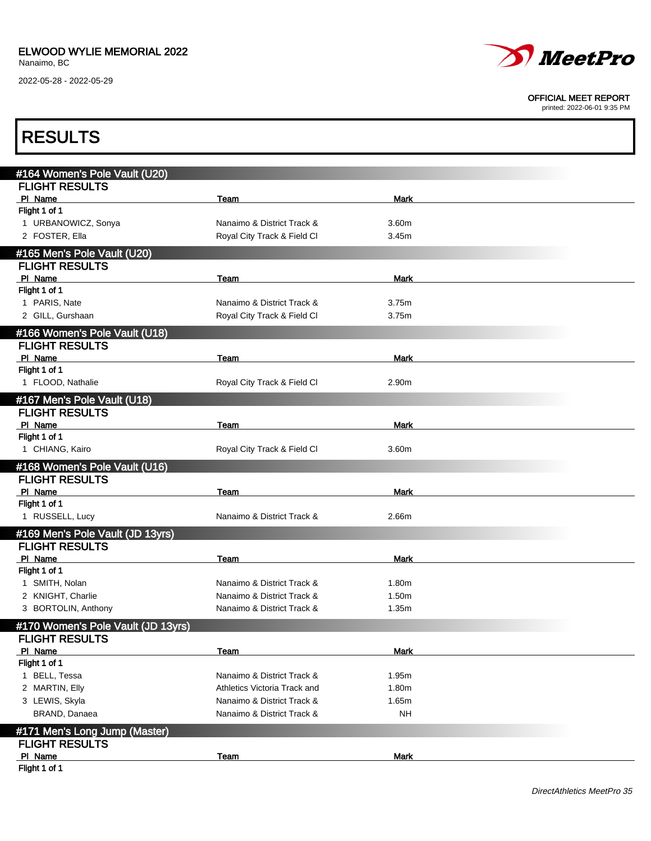

#### OFFICIAL MEET REPORT

| <b>RESULTS</b>                     |                              |             |  |
|------------------------------------|------------------------------|-------------|--|
|                                    |                              |             |  |
| #164 Women's Pole Vault (U20)      |                              |             |  |
| <b>FLIGHT RESULTS</b>              |                              |             |  |
| PI Name<br>Flight 1 of 1           | Team                         | Mark        |  |
| 1 URBANOWICZ, Sonya                | Nanaimo & District Track &   | 3.60m       |  |
| 2 FOSTER, Ella                     | Royal City Track & Field Cl  | 3.45m       |  |
|                                    |                              |             |  |
| #165 Men's Pole Vault (U20)        |                              |             |  |
| <b>FLIGHT RESULTS</b>              |                              |             |  |
| PI Name                            | Team                         | Mark        |  |
| Flight 1 of 1<br>1 PARIS, Nate     | Nanaimo & District Track &   | 3.75m       |  |
| 2 GILL, Gurshaan                   | Royal City Track & Field Cl  | 3.75m       |  |
|                                    |                              |             |  |
| #166 Women's Pole Vault (U18)      |                              |             |  |
| <b>FLIGHT RESULTS</b>              |                              |             |  |
| PI Name                            | Team                         | Mark        |  |
| Flight 1 of 1                      |                              |             |  |
| 1 FLOOD, Nathalie                  | Royal City Track & Field Cl  | 2.90m       |  |
| #167 Men's Pole Vault (U18)        |                              |             |  |
| <b>FLIGHT RESULTS</b>              |                              |             |  |
| PI Name                            | Team                         | Mark        |  |
| Flight 1 of 1                      |                              |             |  |
| 1 CHIANG, Kairo                    | Royal City Track & Field Cl  | 3.60m       |  |
| #168 Women's Pole Vault (U16)      |                              |             |  |
| <b>FLIGHT RESULTS</b>              |                              |             |  |
| PI Name                            | Team                         | Mark        |  |
| Flight 1 of 1                      |                              |             |  |
| 1 RUSSELL, Lucy                    | Nanaimo & District Track &   | 2.66m       |  |
| #169 Men's Pole Vault (JD 13yrs)   |                              |             |  |
| <b>FLIGHT RESULTS</b>              |                              |             |  |
| PI Name                            | Team                         | Mark        |  |
| Flight 1 of 1                      |                              |             |  |
| 1 SMITH, Nolan                     | Nanaimo & District Track &   | 1.80m       |  |
| 2 KNIGHT, Charlie                  | Nanaimo & District Track &   | 1.50m       |  |
| 3 BORTOLIN, Anthony                | Nanaimo & District Track &   | 1.35m       |  |
| #170 Women's Pole Vault (JD 13yrs) |                              |             |  |
| <b>FLIGHT RESULTS</b>              |                              |             |  |
| PI Name                            | Team                         | <b>Mark</b> |  |
| Flight 1 of 1                      |                              |             |  |
| 1 BELL, Tessa                      | Nanaimo & District Track &   | 1.95m       |  |
| 2 MARTIN, Elly                     | Athletics Victoria Track and | 1.80m       |  |
| 3 LEWIS, Skyla                     | Nanaimo & District Track &   | 1.65m       |  |
| BRAND, Danaea                      | Nanaimo & District Track &   | <b>NH</b>   |  |
| #171 Men's Long Jump (Master)      |                              |             |  |
| <b>FLIGHT RESULTS</b>              |                              |             |  |
| PI Name                            | Team                         | <b>Mark</b> |  |
| Flight 1 of 1                      |                              |             |  |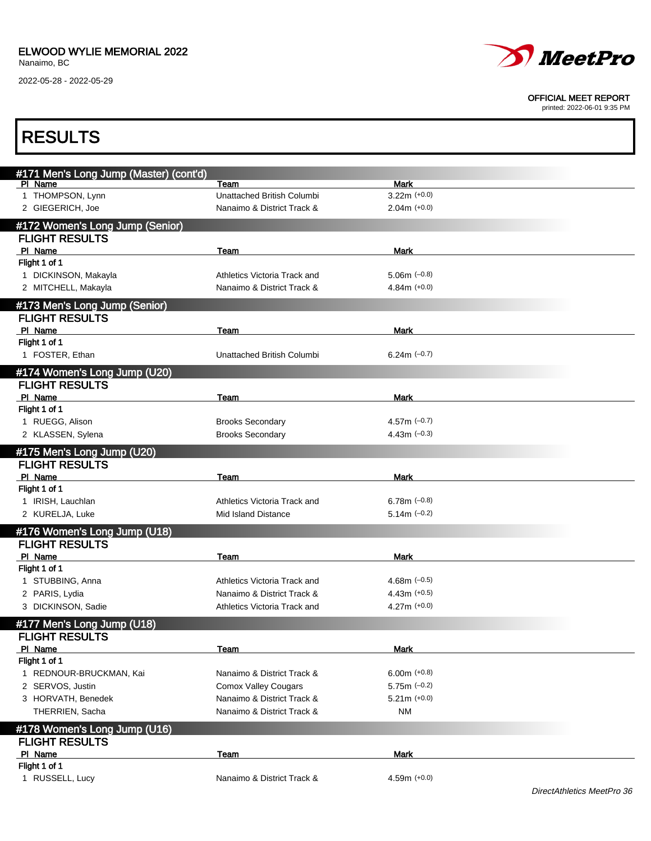

#### OFFICIAL MEET REPORT

| <b>RESULTS</b>                         |                              |                |                            |
|----------------------------------------|------------------------------|----------------|----------------------------|
| #171 Men's Long Jump (Master) (cont'd) |                              |                |                            |
| PI Name                                | Team                         | <b>Mark</b>    |                            |
| 1 THOMPSON, Lynn                       | Unattached British Columbi   | $3.22m (+0.0)$ |                            |
| 2 GIEGERICH, Joe                       | Nanaimo & District Track &   | $2.04m (+0.0)$ |                            |
| #172 Women's Long Jump (Senior)        |                              |                |                            |
| <b>FLIGHT RESULTS</b>                  |                              |                |                            |
| PI Name                                | Team                         | Mark           |                            |
| Flight 1 of 1                          |                              |                |                            |
| 1 DICKINSON, Makayla                   | Athletics Victoria Track and | $5.06m$ (-0.8) |                            |
| 2 MITCHELL, Makayla                    | Nanaimo & District Track &   | $4.84m (+0.0)$ |                            |
| #173 Men's Long Jump (Senior)          |                              |                |                            |
| <b>FLIGHT RESULTS</b>                  |                              |                |                            |
| PI Name                                | Team                         | Mark           |                            |
| Flight 1 of 1                          |                              |                |                            |
| 1 FOSTER, Ethan                        | Unattached British Columbi   | $6.24m (-0.7)$ |                            |
| #174 Women's Long Jump (U20)           |                              |                |                            |
| <b>FLIGHT RESULTS</b>                  |                              |                |                            |
| PI Name                                | Team                         | <b>Mark</b>    |                            |
| Flight 1 of 1                          |                              |                |                            |
| 1 RUEGG, Alison                        | <b>Brooks Secondary</b>      | 4.57m $(-0.7)$ |                            |
| 2 KLASSEN, Sylena                      | <b>Brooks Secondary</b>      | 4.43m $(-0.3)$ |                            |
|                                        |                              |                |                            |
| #175 Men's Long Jump (U20)             |                              |                |                            |
| <b>FLIGHT RESULTS</b><br>PI Name       |                              |                |                            |
| Flight 1 of 1                          | Team                         | Mark           |                            |
| 1 IRISH, Lauchlan                      | Athletics Victoria Track and | 6.78m $(-0.8)$ |                            |
| 2 KURELJA, Luke                        | Mid Island Distance          | $5.14m$ (-0.2) |                            |
|                                        |                              |                |                            |
| #176 Women's Long Jump (U18)           |                              |                |                            |
| <b>FLIGHT RESULTS</b>                  |                              |                |                            |
| PI Name                                | Team                         | Mark           |                            |
| Flight 1 of 1                          |                              |                |                            |
| 1 STUBBING, Anna                       | Athletics Victoria Track and | 4.68m $(-0.5)$ |                            |
| 2 PARIS, Lydia                         | Nanaimo & District Track &   | $4.43m (+0.5)$ |                            |
| 3 DICKINSON, Sadie                     | Athletics Victoria Track and | $4.27m (+0.0)$ |                            |
| #177 Men's Long Jump (U18)             |                              |                |                            |
| <b>FLIGHT RESULTS</b>                  |                              |                |                            |
| PI Name                                | Team                         | <b>Mark</b>    |                            |
| Flight 1 of 1                          |                              |                |                            |
| 1 REDNOUR-BRUCKMAN, Kai                | Nanaimo & District Track &   | $6.00m (+0.8)$ |                            |
| 2 SERVOS, Justin                       | <b>Comox Valley Cougars</b>  | $5.75m (-0.2)$ |                            |
| 3 HORVATH, Benedek                     | Nanaimo & District Track &   | $5.21m (+0.0)$ |                            |
| THERRIEN, Sacha                        | Nanaimo & District Track &   | NM             |                            |
| #178 Women's Long Jump (U16)           |                              |                |                            |
| <b>FLIGHT RESULTS</b>                  |                              |                |                            |
| PI Name                                | <b>Team</b>                  | <b>Mark</b>    |                            |
| Flight 1 of 1                          |                              |                |                            |
| 1 RUSSELL, Lucy                        | Nanaimo & District Track &   | 4.59m $(+0.0)$ |                            |
|                                        |                              |                | DirectAthletics MeetPro 36 |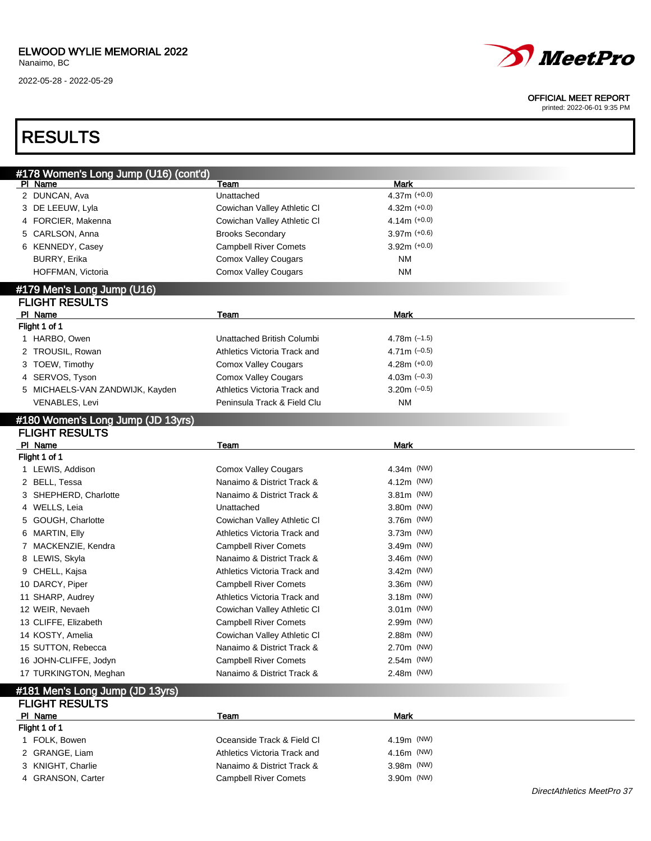### ELWOOD WYLIE MEMORIAL 2022

Nanaimo, BC

2022-05-28 - 2022-05-29



#### OFFICIAL MEET REPORT

printed: 2022-06-01 9:35 PM

| <b>RESULTS</b>                                      |                              |                |  |
|-----------------------------------------------------|------------------------------|----------------|--|
|                                                     |                              |                |  |
| #178 Women's Long Jump (U16) (cont'd)<br>PI Name    | Team                         | Mark           |  |
| 2 DUNCAN, Ava                                       | Unattached                   | $4.37m (+0.0)$ |  |
| 3 DE LEEUW, Lyla                                    | Cowichan Valley Athletic CI  | $4.32m (+0.0)$ |  |
| 4 FORCIER, Makenna                                  | Cowichan Valley Athletic CI  | $4.14m (+0.0)$ |  |
| 5 CARLSON, Anna                                     | <b>Brooks Secondary</b>      | $3.97m (+0.6)$ |  |
| 6 KENNEDY, Casey                                    | <b>Campbell River Comets</b> | $3.92m (+0.0)$ |  |
| <b>BURRY, Erika</b>                                 | <b>Comox Valley Cougars</b>  | ΝM             |  |
| HOFFMAN, Victoria                                   | <b>Comox Valley Cougars</b>  | <b>NM</b>      |  |
|                                                     |                              |                |  |
| #179 Men's Long Jump (U16)<br><b>FLIGHT RESULTS</b> |                              |                |  |
| PI Name                                             | <b>Team</b>                  | Mark           |  |
| Flight 1 of 1                                       |                              |                |  |
| 1 HARBO, Owen                                       | Unattached British Columbi   | 4.78m $(-1.5)$ |  |
| 2 TROUSIL, Rowan                                    | Athletics Victoria Track and | 4.71m $(-0.5)$ |  |
| 3 TOEW, Timothy                                     | <b>Comox Valley Cougars</b>  | 4.28m $(+0.0)$ |  |
| 4 SERVOS, Tyson                                     | <b>Comox Valley Cougars</b>  | 4.03m $(-0.3)$ |  |
| 5 MICHAELS-VAN ZANDWIJK, Kayden                     | Athletics Victoria Track and | $3.20m$ (-0.5) |  |
| VENABLES, Levi                                      | Peninsula Track & Field Clu  | ΝM             |  |
|                                                     |                              |                |  |
| #180 Women's Long Jump (JD 13yrs)                   |                              |                |  |
| <b>FLIGHT RESULTS</b>                               |                              |                |  |
| PI Name                                             | Team                         | <b>Mark</b>    |  |
| Flight 1 of 1                                       |                              |                |  |
| 1 LEWIS, Addison                                    | <b>Comox Valley Cougars</b>  | 4.34m (NW)     |  |
| 2 BELL, Tessa                                       | Nanaimo & District Track &   | 4.12m (NW)     |  |
| 3 SHEPHERD, Charlotte                               | Nanaimo & District Track &   | $3.81m$ (NW)   |  |
| 4 WELLS, Leia                                       | Unattached                   | 3.80m (NW)     |  |
| GOUGH, Charlotte<br>5                               | Cowichan Valley Athletic CI  | 3.76m (NW)     |  |
| 6 MARTIN, Elly                                      | Athletics Victoria Track and | $3.73m$ (NW)   |  |
| 7 MACKENZIE, Kendra                                 | <b>Campbell River Comets</b> | $3.49m$ (NW)   |  |
| 8 LEWIS, Skyla                                      | Nanaimo & District Track &   | 3.46m (NW)     |  |
| 9 CHELL, Kajsa                                      | Athletics Victoria Track and | $3.42m$ (NW)   |  |
| 10 DARCY, Piper                                     | <b>Campbell River Comets</b> | 3.36m (NW)     |  |
| 11 SHARP, Audrey                                    | Athletics Victoria Track and | 3.18m (NW)     |  |
| 12 WEIR, Nevaeh                                     | Cowichan Valley Athletic CI  | 3.01m (NW)     |  |
| 13 CLIFFE, Elizabeth                                | <b>Campbell River Comets</b> | 2.99m (NW)     |  |
| 14 KOSTY, Amelia                                    | Cowichan Valley Athletic CI  | 2.88m (NW)     |  |
| 15 SUTTON, Rebecca                                  | Nanaimo & District Track &   | 2.70m (NW)     |  |
| 16 JOHN-CLIFFE, Jodyn                               | <b>Campbell River Comets</b> | 2.54m (NW)     |  |
| 17 TURKINGTON, Meghan                               | Nanaimo & District Track &   | 2.48m (NW)     |  |
| #181 Men's Long Jump (JD 13yrs)                     |                              |                |  |
| <b>FLIGHT RESULTS</b>                               |                              |                |  |
| PI Name                                             | <b>Team</b>                  | <b>Mark</b>    |  |
| Flight 1 of 1                                       |                              |                |  |
| 1 FOLK, Bowen                                       | Oceanside Track & Field Cl   | 4.19m (NW)     |  |
| 2 GRANGE, Liam                                      | Athletics Victoria Track and | 4.16m (NW)     |  |
| 3 KNIGHT, Charlie                                   | Nanaimo & District Track &   | 3.98m (NW)     |  |

4 GRANSON, Carter Campbell River Comets 3.90m (NW)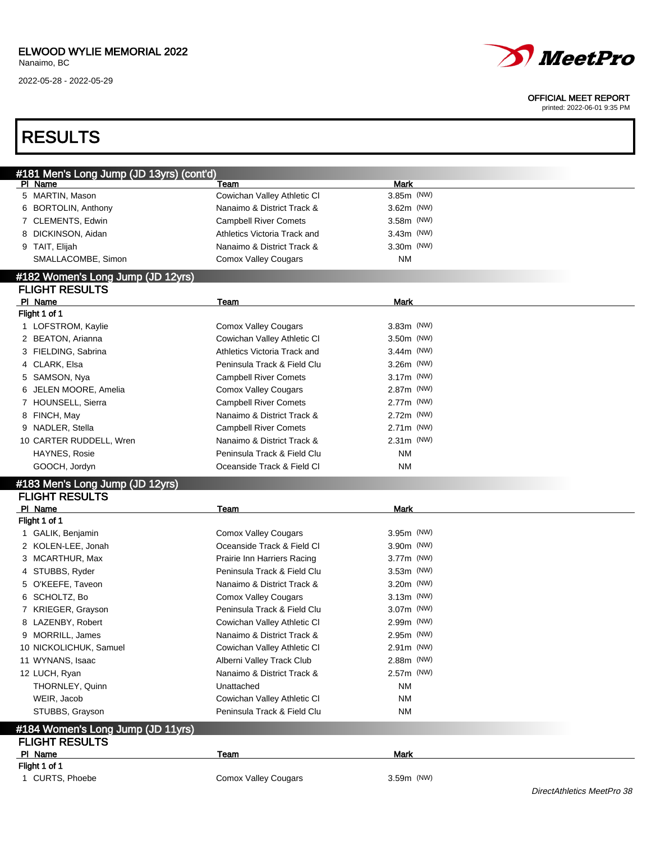

#### OFFICIAL MEET REPORT

| #181 Men's Long Jump (JD 13yrs) (cont'd) |                                     |                           |  |
|------------------------------------------|-------------------------------------|---------------------------|--|
| PI Name<br>5 MARTIN, Mason               | Team<br>Cowichan Valley Athletic CI | <b>Mark</b><br>3.85m (NW) |  |
| 6 BORTOLIN, Anthony                      | Nanaimo & District Track &          | 3.62m (NW)                |  |
| 7 CLEMENTS, Edwin                        | <b>Campbell River Comets</b>        | 3.58m (NW)                |  |
| 8 DICKINSON, Aidan                       | Athletics Victoria Track and        | $3.43m$ (NW)              |  |
|                                          | Nanaimo & District Track &          | 3.30m (NW)                |  |
| 9 TAIT, Elijah<br>SMALLACOMBE, Simon     |                                     | <b>NM</b>                 |  |
|                                          | <b>Comox Valley Cougars</b>         |                           |  |
| #182 Women's Long Jump (JD 12yrs)        |                                     |                           |  |
| <b>FLIGHT RESULTS</b>                    |                                     |                           |  |
| PI Name                                  | Team                                | Mark                      |  |
| Flight 1 of 1                            |                                     |                           |  |
| 1 LOFSTROM, Kaylie                       | <b>Comox Valley Cougars</b>         | 3.83m (NW)                |  |
| 2 BEATON, Arianna                        | Cowichan Valley Athletic CI         | 3.50m (NW)                |  |
| 3 FIELDING, Sabrina                      | Athletics Victoria Track and        | 3.44m (NW)                |  |
| 4 CLARK, Elsa                            | Peninsula Track & Field Clu         | 3.26m (NW)                |  |
| 5 SAMSON, Nya                            | <b>Campbell River Comets</b>        | 3.17m (NW)                |  |
| 6 JELEN MOORE, Amelia                    | <b>Comox Valley Cougars</b>         | 2.87m (NW)                |  |
| 7 HOUNSELL, Sierra                       | <b>Campbell River Comets</b>        | 2.77m (NW)                |  |
| 8 FINCH, May                             | Nanaimo & District Track &          | 2.72m (NW)                |  |
| 9 NADLER, Stella                         | <b>Campbell River Comets</b>        | 2.71m (NW)                |  |
| 10 CARTER RUDDELL, Wren                  | Nanaimo & District Track &          | 2.31m (NW)                |  |
| HAYNES, Rosie                            | Peninsula Track & Field Clu         | <b>NM</b>                 |  |
| GOOCH, Jordyn                            | Oceanside Track & Field Cl          | <b>NM</b>                 |  |
| #183 Men's Long Jump (JD 12yrs)          |                                     |                           |  |
| <b>FLIGHT RESULTS</b>                    |                                     |                           |  |
| PI Name                                  | Team                                | <b>Mark</b>               |  |
| Flight 1 of 1                            |                                     |                           |  |
| 1 GALIK, Benjamin                        | <b>Comox Valley Cougars</b>         | 3.95m (NW)                |  |
| 2 KOLEN-LEE, Jonah                       | Oceanside Track & Field Cl          | 3.90m (NW)                |  |
| 3 MCARTHUR, Max                          | Prairie Inn Harriers Racing         | 3.77m (NW)                |  |
| 4 STUBBS, Ryder                          | Peninsula Track & Field Clu         | 3.53m (NW)                |  |
| 5 O'KEEFE, Taveon                        | Nanaimo & District Track &          | 3.20m (NW)                |  |
| 6 SCHOLTZ, Bo                            | <b>Comox Valley Cougars</b>         | 3.13m (NW)                |  |
| 7 KRIEGER, Grayson                       | Peninsula Track & Field Clu         | 3.07m (NW)                |  |
| 8 LAZENBY, Robert                        | Cowichan Valley Athletic CI         | 2.99m (NW)                |  |
| 9 MORRILL, James                         | Nanaimo & District Track &          | 2.95m (NW)                |  |
| 10 NICKOLICHUK, Samuel                   | Cowichan Valley Athletic CI         | 2.91m (NW)                |  |
| 11 WYNANS, Isaac                         | Alberni Valley Track Club           | 2.88m (NW)                |  |
| 12 LUCH, Ryan                            | Nanaimo & District Track &          | 2.57m (NW)                |  |
| THORNLEY, Quinn                          | Unattached                          | ΝM                        |  |
| WEIR, Jacob                              | Cowichan Valley Athletic CI         | <b>NM</b>                 |  |
| STUBBS, Grayson                          | Peninsula Track & Field Clu         | ΝM                        |  |
|                                          |                                     |                           |  |
|                                          |                                     |                           |  |
| #184 Women's Long Jump (JD 11yrs)        |                                     |                           |  |
| <b>FLIGHT RESULTS</b><br>PI Name         | <b>Team</b>                         | <b>Mark</b>               |  |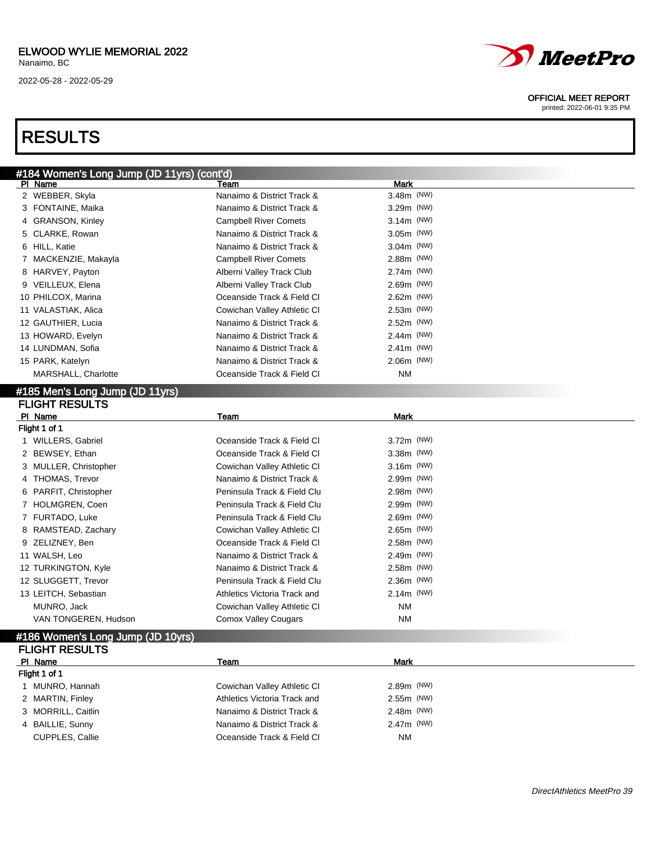## RESULTS

| <b>MeetPro</b> |  |
|----------------|--|
|----------------|--|

#### OFFICIAL MEET REPORT

| #184 Women's Long Jump (JD 11yrs) (cont'd)<br>PI Name | Team                         | <b>Mark</b>  |  |
|-------------------------------------------------------|------------------------------|--------------|--|
| 2 WEBBER, Skyla                                       | Nanaimo & District Track &   | 3.48m (NW)   |  |
| 3 FONTAINE, Maika                                     | Nanaimo & District Track &   | $3.29m$ (NW) |  |
| 4 GRANSON, Kinley                                     | <b>Campbell River Comets</b> | $3.14m$ (NW) |  |
| 5 CLARKE, Rowan                                       | Nanaimo & District Track &   | $3.05m$ (NW) |  |
| 6 HILL, Katie                                         | Nanaimo & District Track &   | $3.04m$ (NW) |  |
| 7 MACKENZIE, Makayla                                  | <b>Campbell River Comets</b> | $2.88m$ (NW) |  |
| 8 HARVEY, Payton                                      | Alberni Valley Track Club    | 2.74m (NW)   |  |
| 9 VEILLEUX, Elena                                     | Alberni Valley Track Club    | $2.69m$ (NW) |  |
| 10 PHILCOX, Marina                                    | Oceanside Track & Field CI   | 2.62m (NW)   |  |
| 11 VALASTIAK, Alica                                   | Cowichan Valley Athletic CI  | $2.53m$ (NW) |  |
| 12 GAUTHIER, Lucia                                    | Nanaimo & District Track &   | 2.52m (NW)   |  |
| 13 HOWARD, Evelyn                                     | Nanaimo & District Track &   | $2.44m$ (NW) |  |
| 14 LUNDMAN, Sofia                                     | Nanaimo & District Track &   | $2.41m$ (NW) |  |
| 15 PARK, Katelyn                                      | Nanaimo & District Track &   | $2.06m$ (NW) |  |
| MARSHALL, Charlotte                                   | Oceanside Track & Field Cl   | <b>NM</b>    |  |
| #185 Men's Long Jump (JD 11yrs)                       |                              |              |  |
| <b>FLIGHT RESULTS</b>                                 |                              |              |  |
| PI Name                                               | Team                         | Mark         |  |
| Flight 1 of 1                                         |                              |              |  |
| 1 WILLERS, Gabriel                                    | Oceanside Track & Field Cl   | 3.72m (NW)   |  |
| 2 BEWSEY, Ethan                                       | Oceanside Track & Field Cl   | 3.38m (NW)   |  |
| 3 MULLER, Christopher                                 | Cowichan Valley Athletic CI  | $3.16m$ (NW) |  |
| 4 THOMAS, Trevor                                      | Nanaimo & District Track &   | 2.99m (NW)   |  |
| 6 PARFIT, Christopher                                 | Peninsula Track & Field Clu  | 2.98m (NW)   |  |
| 7 HOLMGREN, Coen                                      | Peninsula Track & Field Clu  | 2.99m (NW)   |  |
| 7 FURTADO, Luke                                       | Peninsula Track & Field Clu  | 2.69m (NW)   |  |
| 8 RAMSTEAD, Zachary                                   | Cowichan Valley Athletic CI  | $2.65m$ (NW) |  |
| 9 ZELIZNEY, Ben                                       | Oceanside Track & Field Cl   | 2.58m (NW)   |  |
| 11 WALSH, Leo                                         | Nanaimo & District Track &   | 2.49m (NW)   |  |
| 12 TURKINGTON, Kyle                                   | Nanaimo & District Track &   | 2.58m (NW)   |  |
| 12 SLUGGETT, Trevor                                   | Peninsula Track & Field Clu  | 2.36m (NW)   |  |
| 13 LEITCH, Sebastian                                  | Athletics Victoria Track and | $2.14m$ (NW) |  |
| MUNRO, Jack                                           | Cowichan Valley Athletic CI  | <b>NM</b>    |  |
| VAN TONGEREN, Hudson                                  | <b>Comox Valley Cougars</b>  | <b>NM</b>    |  |
| #186 Women's Long Jump (JD 10yrs)                     |                              |              |  |
| <b>FLIGHT RESULTS</b>                                 |                              |              |  |
| PI Name                                               | Team                         | <b>Mark</b>  |  |
| Flight 1 of 1                                         |                              |              |  |
| 1 MUNRO, Hannah                                       | Cowichan Valley Athletic CI  | 2.89m (NW)   |  |
| 2 MARTIN, Finley                                      | Athletics Victoria Track and | 2.55m (NW)   |  |
| 3 MORRILL, Caitlin                                    | Nanaimo & District Track &   | 2.48m (NW)   |  |
| 4 BAILLIE, Sunny                                      | Nanaimo & District Track &   | 2.47m (NW)   |  |
| CUPPLES, Callie                                       | Oceanside Track & Field Cl   | NM           |  |
|                                                       |                              |              |  |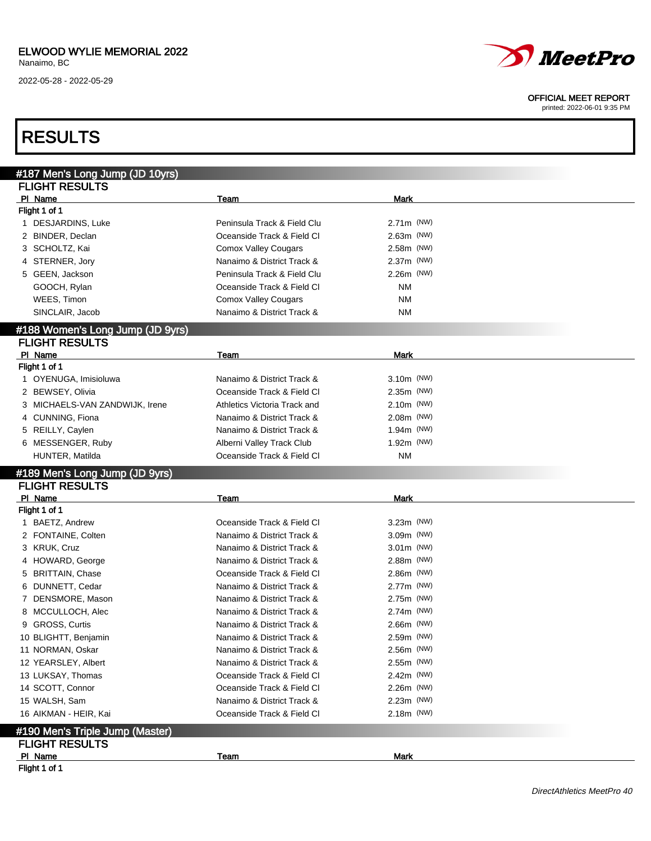

#### OFFICIAL MEET REPORT

printed: 2022-06-01 9:35 PM

## RESULTS

| #187 Men's Long Jump (JD 10yrs)  |                              |             |  |
|----------------------------------|------------------------------|-------------|--|
| <b>FLIGHT RESULTS</b>            |                              |             |  |
| PI Name                          | Team                         | <b>Mark</b> |  |
| Flight 1 of 1                    |                              |             |  |
| 1 DESJARDINS, Luke               | Peninsula Track & Field Clu  | 2.71m (NW)  |  |
| 2 BINDER, Declan                 | Oceanside Track & Field Cl   | 2.63m (NW)  |  |
| 3 SCHOLTZ, Kai                   | <b>Comox Valley Cougars</b>  | 2.58m (NW)  |  |
| 4 STERNER, Jory                  | Nanaimo & District Track &   | 2.37m (NW)  |  |
| 5 GEEN, Jackson                  | Peninsula Track & Field Clu  | 2.26m (NW)  |  |
| GOOCH, Rylan                     | Oceanside Track & Field Cl   | <b>NM</b>   |  |
| WEES, Timon                      | Comox Valley Cougars         | <b>NM</b>   |  |
| SINCLAIR, Jacob                  | Nanaimo & District Track &   | <b>NM</b>   |  |
| #188 Women's Long Jump (JD 9yrs) |                              |             |  |
| <b>FLIGHT RESULTS</b>            |                              |             |  |
| PI Name                          | Team                         | <b>Mark</b> |  |
| Flight 1 of 1                    |                              |             |  |
| 1 OYENUGA, Imisioluwa            | Nanaimo & District Track &   | 3.10m (NW)  |  |
| 2 BEWSEY, Olivia                 | Oceanside Track & Field Cl   | 2.35m (NW)  |  |
| 3 MICHAELS-VAN ZANDWIJK, Irene   | Athletics Victoria Track and | 2.10m (NW)  |  |
| 4 CUNNING, Fiona                 | Nanaimo & District Track &   | 2.08m (NW)  |  |
| 5 REILLY, Caylen                 | Nanaimo & District Track &   | 1.94m (NW)  |  |
| 6 MESSENGER, Ruby                | Alberni Valley Track Club    | 1.92m (NW)  |  |
| HUNTER, Matilda                  | Oceanside Track & Field Cl   | <b>NM</b>   |  |
| #189 Men's Long Jump (JD 9yrs)   |                              |             |  |
| <b>FLIGHT RESULTS</b>            |                              |             |  |
| PI Name                          | Team                         | <b>Mark</b> |  |
| Flight 1 of 1                    |                              |             |  |
| 1 BAETZ, Andrew                  | Oceanside Track & Field Cl   | 3.23m (NW)  |  |
| 2 FONTAINE, Colten               | Nanaimo & District Track &   | 3.09m (NW)  |  |
| 3 KRUK, Cruz                     | Nanaimo & District Track &   | 3.01m (NW)  |  |
| 4 HOWARD, George                 | Nanaimo & District Track &   | 2.88m (NW)  |  |
| 5 BRITTAIN, Chase                | Oceanside Track & Field Cl   | 2.86m (NW)  |  |
| 6 DUNNETT, Cedar                 | Nanaimo & District Track &   | 2.77m (NW)  |  |
| 7 DENSMORE, Mason                | Nanaimo & District Track &   | 2.75m (NW)  |  |
| 8 MCCULLOCH, Alec                | Nanaimo & District Track &   | 2.74m (NW)  |  |
| 9 GROSS, Curtis                  | Nanaimo & District Track &   | 2.66m (NW)  |  |
| 10 BLIGHTT, Benjamin             | Nanaimo & District Track &   | 2.59m (NW)  |  |
| 11 NORMAN, Oskar                 | Nanaimo & District Track &   | 2.56m (NW)  |  |
| 12 YEARSLEY, Albert              | Nanaimo & District Track &   | 2.55m (NW)  |  |
| 13 LUKSAY, Thomas                | Oceanside Track & Field Cl   | 2.42m (NW)  |  |
| 14 SCOTT, Connor                 | Oceanside Track & Field Cl   | 2.26m (NW)  |  |
| 15 WALSH, Sam                    | Nanaimo & District Track &   | 2.23m (NW)  |  |
| 16 AIKMAN - HEIR, Kai            | Oceanside Track & Field Cl   | 2.18m (NW)  |  |
|                                  |                              |             |  |
| #190 Men's Triple Jump (Master)  |                              |             |  |
| <b>FLIGHT RESULTS</b>            |                              |             |  |
| PI Name                          | Team                         | <b>Mark</b> |  |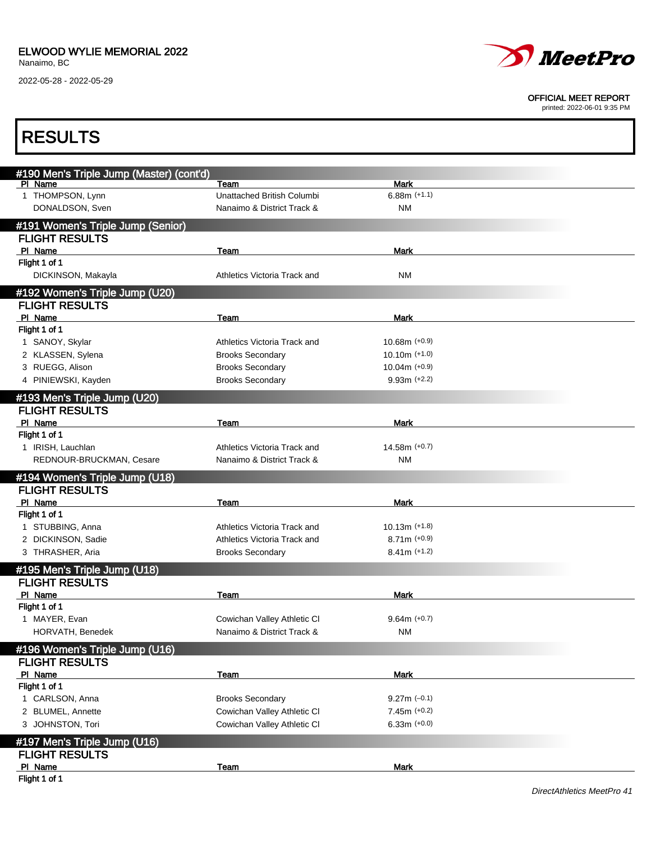

#### OFFICIAL MEET REPORT

printed: 2022-06-01 9:35 PM

| <b>RESULTS</b>                                        |                                                          |                      |  |
|-------------------------------------------------------|----------------------------------------------------------|----------------------|--|
| #190 Men's Triple Jump (Master) (cont'd)              |                                                          |                      |  |
| PI Name                                               | Team                                                     | <b>Mark</b>          |  |
| 1 THOMPSON, Lynn<br>DONALDSON, Sven                   | Unattached British Columbi<br>Nanaimo & District Track & | $6.88m (+1.1)$<br>ΝM |  |
| #191 Women's Triple Jump (Senior)                     |                                                          |                      |  |
| <b>FLIGHT RESULTS</b>                                 |                                                          |                      |  |
| PI Name                                               | Team                                                     | Mark                 |  |
| Flight 1 of 1                                         |                                                          |                      |  |
| DICKINSON, Makayla                                    | Athletics Victoria Track and                             | ΝM                   |  |
| #192 Women's Triple Jump (U20)                        |                                                          |                      |  |
| <b>FLIGHT RESULTS</b>                                 |                                                          |                      |  |
| PI Name                                               | Team                                                     | <b>Mark</b>          |  |
| Flight 1 of 1                                         |                                                          |                      |  |
| 1 SANOY, Skylar                                       | Athletics Victoria Track and                             | $10.68m (+0.9)$      |  |
| 2 KLASSEN, Sylena                                     | <b>Brooks Secondary</b>                                  | $10.10m$ (+1.0)      |  |
| 3 RUEGG, Alison                                       | <b>Brooks Secondary</b>                                  | $10.04m$ (+0.9)      |  |
| 4 PINIEWSKI, Kayden                                   | <b>Brooks Secondary</b>                                  | $9.93m (+2.2)$       |  |
| #193 Men's Triple Jump (U20)                          |                                                          |                      |  |
| <b>FLIGHT RESULTS</b>                                 |                                                          |                      |  |
| PI Name                                               | Team                                                     | <b>Mark</b>          |  |
| Flight 1 of 1                                         |                                                          |                      |  |
| 1 IRISH, Lauchlan                                     | Athletics Victoria Track and                             | $14.58m (+0.7)$      |  |
| REDNOUR-BRUCKMAN, Cesare                              | Nanaimo & District Track &                               | ΝM                   |  |
| #194 Women's Triple Jump (U18)                        |                                                          |                      |  |
| <b>FLIGHT RESULTS</b>                                 |                                                          |                      |  |
| PI Name                                               | Team                                                     | Mark                 |  |
| Flight 1 of 1                                         |                                                          |                      |  |
| 1 STUBBING, Anna                                      | Athletics Victoria Track and                             | $10.13m$ (+1.8)      |  |
| 2 DICKINSON, Sadie                                    | Athletics Victoria Track and                             | $8.71m (+0.9)$       |  |
| 3 THRASHER, Aria                                      | <b>Brooks Secondary</b>                                  | $8.41m (+1.2)$       |  |
|                                                       |                                                          |                      |  |
| #195 Men's Triple Jump (U18)<br><b>FLIGHT RESULTS</b> |                                                          |                      |  |
|                                                       |                                                          |                      |  |
| PI Name<br>Flight 1 of 1                              | Team                                                     | Mark                 |  |
| 1 MAYER, Evan                                         | Cowichan Valley Athletic CI                              | $9.64m (+0.7)$       |  |
| HORVATH, Benedek                                      | Nanaimo & District Track &                               | ΝM                   |  |
|                                                       |                                                          |                      |  |
| #196 Women's Triple Jump (U16)                        |                                                          |                      |  |
| <b>FLIGHT RESULTS</b>                                 |                                                          |                      |  |
| PI Name                                               | Team                                                     | <b>Mark</b>          |  |
| Flight 1 of 1                                         |                                                          |                      |  |
| 1 CARLSON, Anna                                       | <b>Brooks Secondary</b>                                  | $9.27m (-0.1)$       |  |
| 2 BLUMEL, Annette                                     | Cowichan Valley Athletic CI                              | $7.45m (+0.2)$       |  |
| 3 JOHNSTON, Tori                                      | Cowichan Valley Athletic CI                              | $6.33m (+0.0)$       |  |
| #197 Men's Triple Jump (U16)                          |                                                          |                      |  |
| <b>FLIGHT RESULTS</b>                                 |                                                          |                      |  |
| PI Name                                               | <b>Team</b>                                              | <b>Mark</b>          |  |
| Flight 1 of 1                                         |                                                          |                      |  |

Flight 1 of 1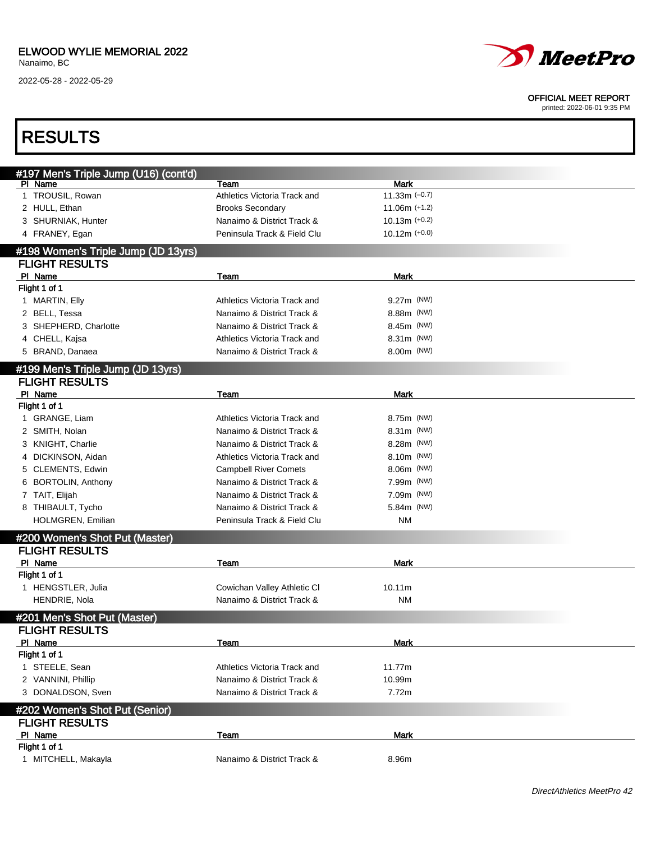2022-05-28 - 2022-05-29



#### OFFICIAL MEET REPORT

| <b>RESULTS</b>                                   |                              |                  |  |
|--------------------------------------------------|------------------------------|------------------|--|
|                                                  |                              |                  |  |
| #197 Men's Triple Jump (U16) (cont'd)<br>PI Name | Team                         | Mark             |  |
| 1 TROUSIL, Rowan                                 | Athletics Victoria Track and | 11.33 $m$ (-0.7) |  |
| 2 HULL, Ethan                                    | <b>Brooks Secondary</b>      | $11.06m$ (+1.2)  |  |
| 3 SHURNIAK, Hunter                               | Nanaimo & District Track &   | $10.13m$ (+0.2)  |  |
| 4 FRANEY, Egan                                   | Peninsula Track & Field Clu  | $10.12m$ (+0.0)  |  |
| #198 Women's Triple Jump (JD 13yrs)              |                              |                  |  |
| <b>FLIGHT RESULTS</b>                            |                              |                  |  |
| PI Name                                          | Team                         | Mark             |  |
| Flight 1 of 1                                    |                              |                  |  |
| 1 MARTIN, Elly                                   | Athletics Victoria Track and | 9.27m (NW)       |  |
| 2 BELL, Tessa                                    | Nanaimo & District Track &   | 8.88m (NW)       |  |
| 3 SHEPHERD, Charlotte                            | Nanaimo & District Track &   | 8.45m (NW)       |  |
| 4 CHELL, Kajsa                                   | Athletics Victoria Track and | 8.31m (NW)       |  |
| 5 BRAND, Danaea                                  | Nanaimo & District Track &   | 8.00m (NW)       |  |
| #199 Men's Triple Jump (JD 13yrs)                |                              |                  |  |
| <b>FLIGHT RESULTS</b>                            |                              |                  |  |
| PI Name                                          | Team                         | Mark             |  |
| Flight 1 of 1                                    |                              |                  |  |
| 1 GRANGE, Liam                                   | Athletics Victoria Track and | 8.75m (NW)       |  |
| 2 SMITH, Nolan                                   | Nanaimo & District Track &   | 8.31m (NW)       |  |
| 3 KNIGHT, Charlie                                | Nanaimo & District Track &   | 8.28m (NW)       |  |
| 4 DICKINSON, Aidan                               | Athletics Victoria Track and | 8.10m (NW)       |  |
| 5 CLEMENTS, Edwin                                | <b>Campbell River Comets</b> | 8.06m (NW)       |  |
| 6 BORTOLIN, Anthony                              | Nanaimo & District Track &   | 7.99m (NW)       |  |
| 7 TAIT, Elijah                                   | Nanaimo & District Track &   | 7.09m (NW)       |  |
| 8 THIBAULT, Tycho                                | Nanaimo & District Track &   | 5.84m (NW)       |  |
| HOLMGREN, Emilian                                | Peninsula Track & Field Clu  | NM               |  |
| #200 Women's Shot Put (Master)                   |                              |                  |  |
| <b>FLIGHT RESULTS</b>                            |                              |                  |  |
| PI Name                                          | Team                         | Mark             |  |
| Flight 1 of 1                                    |                              |                  |  |
| 1 HENGSTLER, Julia                               | Cowichan Valley Athletic CI  | 10.11m           |  |
| HENDRIE, Nola                                    | Nanaimo & District Track &   | <b>NM</b>        |  |
| #201 Men's Shot Put (Master)                     |                              |                  |  |
| <b>FLIGHT RESULTS</b>                            |                              |                  |  |
| PI Name                                          | Team                         | Mark             |  |
| Flight 1 of 1                                    |                              |                  |  |
| 1 STEELE, Sean                                   | Athletics Victoria Track and | 11.77m           |  |
| 2 VANNINI, Phillip                               | Nanaimo & District Track &   | 10.99m           |  |
| 3 DONALDSON, Sven                                | Nanaimo & District Track &   | 7.72m            |  |
| #202 Women's Shot Put (Senior)                   |                              |                  |  |
| <b>FLIGHT RESULTS</b>                            |                              |                  |  |
| PI Name                                          | Team                         | Mark             |  |
| Flight 1 of 1                                    |                              |                  |  |
| 1 MITCHELL, Makayla                              | Nanaimo & District Track &   | 8.96m            |  |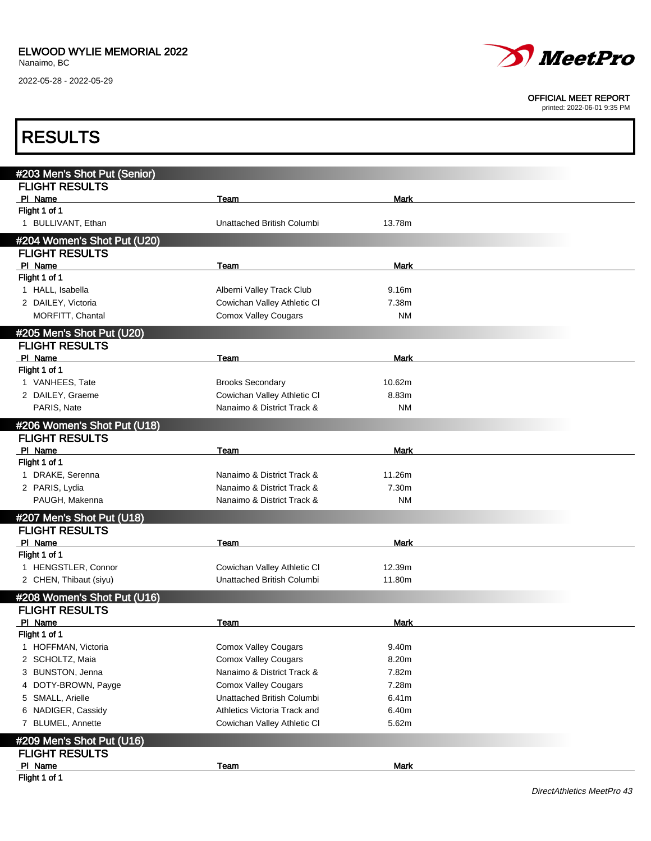2022-05-28 - 2022-05-29



#### OFFICIAL MEET REPORT

printed: 2022-06-01 9:35 PM

| <b>RESULTS</b>               |                              |             |  |
|------------------------------|------------------------------|-------------|--|
|                              |                              |             |  |
| #203 Men's Shot Put (Senior) |                              |             |  |
| <b>FLIGHT RESULTS</b>        |                              |             |  |
| PI Name<br>Flight 1 of 1     | Team                         | Mark        |  |
| 1 BULLIVANT, Ethan           | Unattached British Columbi   | 13.78m      |  |
| #204 Women's Shot Put (U20)  |                              |             |  |
| <b>FLIGHT RESULTS</b>        |                              |             |  |
| PI Name                      | Team                         | Mark        |  |
| Flight 1 of 1                |                              |             |  |
| 1 HALL, Isabella             | Alberni Valley Track Club    | 9.16m       |  |
| 2 DAILEY, Victoria           | Cowichan Valley Athletic CI  | 7.38m       |  |
| MORFITT, Chantal             | <b>Comox Valley Cougars</b>  | <b>NM</b>   |  |
| #205 Men's Shot Put (U20)    |                              |             |  |
| <b>FLIGHT RESULTS</b>        |                              |             |  |
| PI Name                      | Team                         | Mark        |  |
| Flight 1 of 1                |                              |             |  |
| 1 VANHEES, Tate              | <b>Brooks Secondary</b>      | 10.62m      |  |
| 2 DAILEY, Graeme             | Cowichan Valley Athletic CI  | 8.83m       |  |
| PARIS, Nate                  | Nanaimo & District Track &   | <b>NM</b>   |  |
| #206 Women's Shot Put (U18)  |                              |             |  |
| <b>FLIGHT RESULTS</b>        |                              |             |  |
| PI Name                      | Team                         | Mark        |  |
| Flight 1 of 1                |                              |             |  |
| 1 DRAKE, Serenna             | Nanaimo & District Track &   | 11.26m      |  |
| 2 PARIS, Lydia               | Nanaimo & District Track &   | 7.30m       |  |
| PAUGH, Makenna               | Nanaimo & District Track &   | <b>NM</b>   |  |
|                              |                              |             |  |
| #207 Men's Shot Put (U18)    |                              |             |  |
| <b>FLIGHT RESULTS</b>        |                              |             |  |
| PI Name<br>Flight 1 of 1     | Team                         | Mark        |  |
| 1 HENGSTLER, Connor          | Cowichan Valley Athletic CI  | 12.39m      |  |
| 2 CHEN, Thibaut (siyu)       | Unattached British Columbi   | 11.80m      |  |
|                              |                              |             |  |
| #208 Women's Shot Put (U16)  |                              |             |  |
| <b>FLIGHT RESULTS</b>        |                              |             |  |
| PI Name                      | Team                         | Mark        |  |
| Flight 1 of 1                |                              |             |  |
| 1 HOFFMAN, Victoria          | <b>Comox Valley Cougars</b>  | 9.40m       |  |
| 2 SCHOLTZ, Maia              | <b>Comox Valley Cougars</b>  | 8.20m       |  |
| 3 BUNSTON, Jenna             | Nanaimo & District Track &   | 7.82m       |  |
| 4 DOTY-BROWN, Payge          | <b>Comox Valley Cougars</b>  | 7.28m       |  |
| 5 SMALL, Arielle             | Unattached British Columbi   | 6.41m       |  |
| 6 NADIGER, Cassidy           | Athletics Victoria Track and | 6.40m       |  |
| 7 BLUMEL, Annette            | Cowichan Valley Athletic CI  | 5.62m       |  |
| #209 Men's Shot Put (U16)    |                              |             |  |
| <b>FLIGHT RESULTS</b>        |                              |             |  |
| PI Name                      | Team                         | <b>Mark</b> |  |
| Flight 1 of 1                |                              |             |  |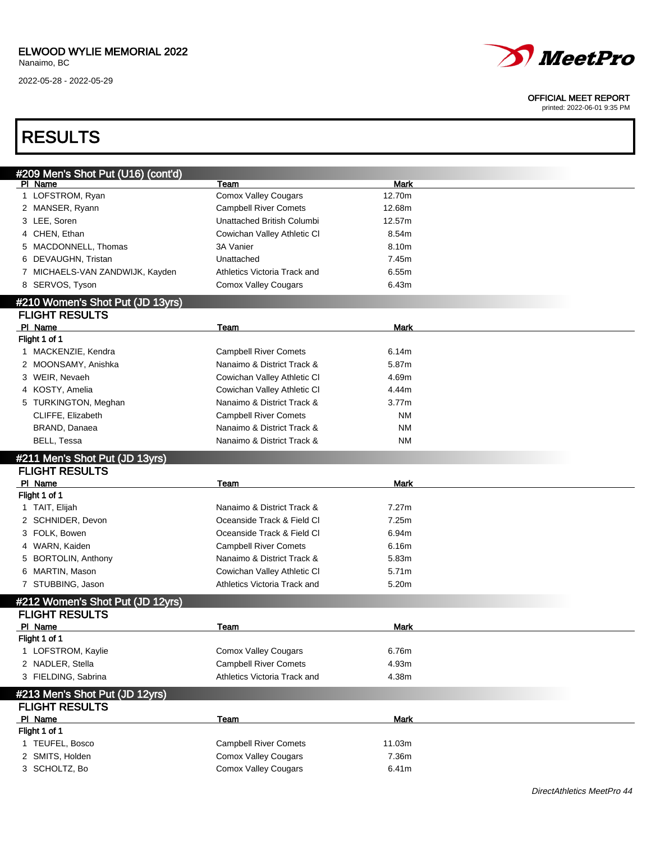### ELWOOD WYLIE MEMORIAL 2022

Nanaimo, BC

2022-05-28 - 2022-05-29



#### OFFICIAL MEET REPORT

printed: 2022-06-01 9:35 PM

## RESULTS

| #209 Men's Shot Put (U16) (cont'd)                        |                              |             |  |
|-----------------------------------------------------------|------------------------------|-------------|--|
| PI Name                                                   | <b>Team</b>                  | <b>Mark</b> |  |
| 1 LOFSTROM, Ryan                                          | <b>Comox Valley Cougars</b>  | 12.70m      |  |
| 2 MANSER, Ryann                                           | <b>Campbell River Comets</b> | 12.68m      |  |
| 3 LEE, Soren                                              | Unattached British Columbi   | 12.57m      |  |
| 4 CHEN, Ethan                                             | Cowichan Valley Athletic CI  | 8.54m       |  |
| 5 MACDONNELL, Thomas                                      | 3A Vanier                    | 8.10m       |  |
| 6 DEVAUGHN, Tristan                                       | Unattached                   | 7.45m       |  |
| 7 MICHAELS-VAN ZANDWIJK, Kayden                           | Athletics Victoria Track and | 6.55m       |  |
| 8 SERVOS, Tyson                                           | <b>Comox Valley Cougars</b>  | 6.43m       |  |
| #210 Women's Shot Put (JD 13yrs)                          |                              |             |  |
| <b>FLIGHT RESULTS</b>                                     |                              |             |  |
| PI Name                                                   | Team                         | Mark        |  |
| Flight 1 of 1                                             |                              |             |  |
| 1 MACKENZIE, Kendra                                       | <b>Campbell River Comets</b> | 6.14m       |  |
| 2 MOONSAMY, Anishka                                       | Nanaimo & District Track &   | 5.87m       |  |
| 3 WEIR, Nevaeh                                            | Cowichan Valley Athletic CI  | 4.69m       |  |
| 4 KOSTY, Amelia                                           | Cowichan Valley Athletic CI  | 4.44m       |  |
| 5 TURKINGTON, Meghan                                      | Nanaimo & District Track &   | 3.77m       |  |
| CLIFFE, Elizabeth                                         | <b>Campbell River Comets</b> | ΝM          |  |
| BRAND, Danaea                                             | Nanaimo & District Track &   | ΝM          |  |
| BELL, Tessa                                               | Nanaimo & District Track &   | ΝM          |  |
|                                                           |                              |             |  |
|                                                           |                              |             |  |
| #211 Men's Shot Put (JD 13yrs)                            |                              |             |  |
| <b>FLIGHT RESULTS</b><br>PI Name                          | Team                         | Mark        |  |
| Flight 1 of 1                                             |                              |             |  |
| 1 TAIT, Elijah                                            | Nanaimo & District Track &   | 7.27m       |  |
| 2 SCHNIDER, Devon                                         | Oceanside Track & Field Cl   | 7.25m       |  |
| 3 FOLK, Bowen                                             | Oceanside Track & Field Cl   | 6.94m       |  |
| 4 WARN, Kaiden                                            | <b>Campbell River Comets</b> | 6.16m       |  |
| 5 BORTOLIN, Anthony                                       | Nanaimo & District Track &   | 5.83m       |  |
| 6 MARTIN, Mason                                           | Cowichan Valley Athletic CI  | 5.71m       |  |
| 7 STUBBING, Jason                                         | Athletics Victoria Track and | 5.20m       |  |
|                                                           |                              |             |  |
| #212 Women's Shot Put (JD 12yrs)<br><b>FLIGHT RESULTS</b> |                              |             |  |
| PI Name                                                   | Team                         | Mark        |  |
| Flight 1 of 1                                             |                              |             |  |
| 1 LOFSTROM, Kaylie                                        | Comox Valley Cougars         | 6.76m       |  |
| 2 NADLER, Stella                                          | <b>Campbell River Comets</b> | 4.93m       |  |
| 3 FIELDING, Sabrina                                       | Athletics Victoria Track and | 4.38m       |  |
|                                                           |                              |             |  |
| #213 Men's Shot Put (JD 12yrs)                            |                              |             |  |
| <b>FLIGHT RESULTS</b><br>PI Name                          |                              |             |  |
|                                                           | <b>Team</b>                  | <b>Mark</b> |  |
| Flight 1 of 1<br>1 TEUFEL, Bosco                          | <b>Campbell River Comets</b> | 11.03m      |  |
| 2 SMITS, Holden                                           | <b>Comox Valley Cougars</b>  | 7.36m       |  |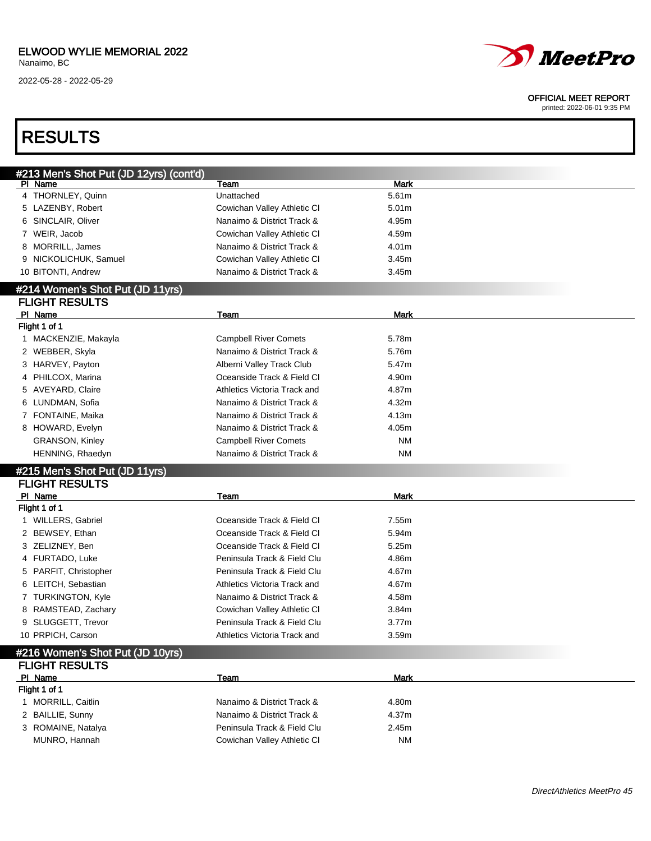### ELWOOD WYLIE MEMORIAL 2022

Nanaimo, BC

2022-05-28 - 2022-05-29



#### OFFICIAL MEET REPORT

| <b>RESULTS</b>                                            |                              |                   |  |
|-----------------------------------------------------------|------------------------------|-------------------|--|
|                                                           |                              |                   |  |
| #213 Men's Shot Put (JD 12yrs) (cont'd)<br>PI Name        | Team                         | <b>Mark</b>       |  |
| 4 THORNLEY, Quinn                                         | Unattached                   | 5.61m             |  |
| 5 LAZENBY, Robert                                         | Cowichan Valley Athletic CI  | 5.01 <sub>m</sub> |  |
| 6 SINCLAIR, Oliver                                        | Nanaimo & District Track &   | 4.95m             |  |
| 7 WEIR, Jacob                                             | Cowichan Valley Athletic CI  | 4.59m             |  |
| 8 MORRILL, James                                          | Nanaimo & District Track &   | 4.01m             |  |
| 9 NICKOLICHUK, Samuel                                     | Cowichan Valley Athletic CI  | 3.45m             |  |
| 10 BITONTI, Andrew                                        | Nanaimo & District Track &   | 3.45m             |  |
| #214 Women's Shot Put (JD 11yrs)                          |                              |                   |  |
| <b>FLIGHT RESULTS</b>                                     |                              |                   |  |
| PI Name                                                   | Team                         | Mark              |  |
| Flight 1 of 1                                             |                              |                   |  |
| 1 MACKENZIE, Makayla                                      | <b>Campbell River Comets</b> | 5.78m             |  |
| 2 WEBBER, Skyla                                           | Nanaimo & District Track &   | 5.76m             |  |
| 3 HARVEY, Payton                                          | Alberni Valley Track Club    | 5.47m             |  |
| 4 PHILCOX, Marina                                         | Oceanside Track & Field Cl   | 4.90m             |  |
| 5 AVEYARD, Claire                                         | Athletics Victoria Track and | 4.87m             |  |
| 6 LUNDMAN, Sofia                                          | Nanaimo & District Track &   | 4.32m             |  |
| 7 FONTAINE, Maika                                         | Nanaimo & District Track &   | 4.13m             |  |
| 8 HOWARD, Evelyn                                          | Nanaimo & District Track &   | 4.05m             |  |
| <b>GRANSON, Kinley</b>                                    | <b>Campbell River Comets</b> | <b>NM</b>         |  |
| HENNING, Rhaedyn                                          | Nanaimo & District Track &   | <b>NM</b>         |  |
| #215 Men's Shot Put (JD 11yrs)                            |                              |                   |  |
| <b>FLIGHT RESULTS</b>                                     |                              |                   |  |
| PI Name<br>Flight 1 of 1                                  | Team                         | Mark              |  |
| 1 WILLERS, Gabriel                                        | Oceanside Track & Field Cl   | 7.55m             |  |
| 2 BEWSEY, Ethan                                           | Oceanside Track & Field Cl   | 5.94m             |  |
| 3 ZELIZNEY, Ben                                           | Oceanside Track & Field Cl   | 5.25m             |  |
| 4 FURTADO, Luke                                           | Peninsula Track & Field Clu  | 4.86m             |  |
| 5 PARFIT, Christopher                                     | Peninsula Track & Field Clu  | 4.67m             |  |
| 6 LEITCH, Sebastian                                       | Athletics Victoria Track and | 4.67m             |  |
| 7 TURKINGTON, Kyle                                        | Nanaimo & District Track &   | 4.58m             |  |
| 8 RAMSTEAD, Zachary                                       | Cowichan Valley Athletic CI  | 3.84m             |  |
| 9 SLUGGETT, Trevor                                        | Peninsula Track & Field Clu  | 3.77m             |  |
| 10 PRPICH, Carson                                         | Athletics Victoria Track and | 3.59m             |  |
|                                                           |                              |                   |  |
| #216 Women's Shot Put (JD 10yrs)<br><b>FLIGHT RESULTS</b> |                              |                   |  |
| PI Name                                                   | Team                         | <b>Mark</b>       |  |
| Flight 1 of 1                                             |                              |                   |  |
| 1 MORRILL, Caitlin                                        | Nanaimo & District Track &   | 4.80m             |  |
| 2 BAILLIE, Sunny                                          | Nanaimo & District Track &   | 4.37m             |  |
| 3 ROMAINE, Natalya                                        | Peninsula Track & Field Clu  | 2.45m             |  |
| MUNRO, Hannah                                             | Cowichan Valley Athletic CI  | ΝM                |  |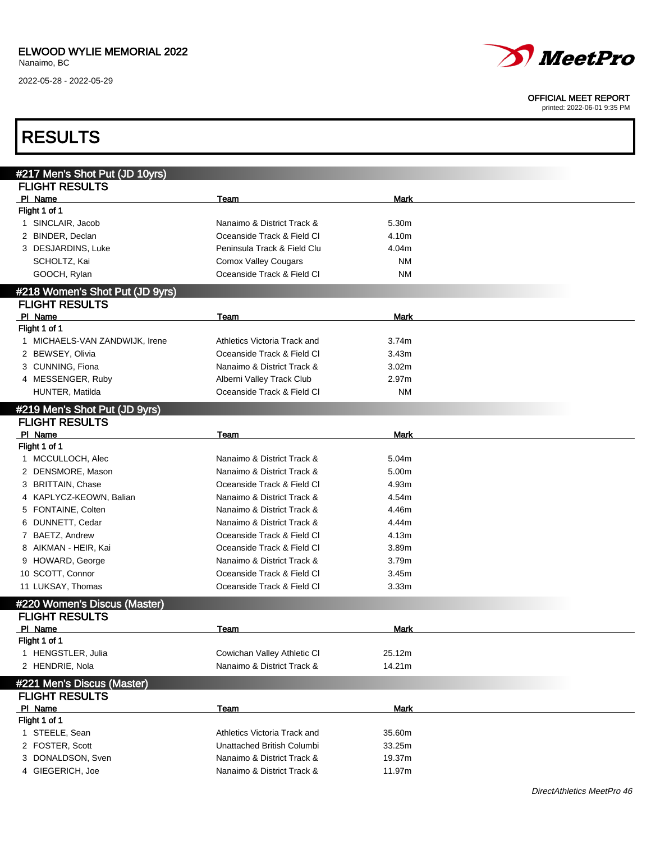2022-05-28 - 2022-05-29



#### OFFICIAL MEET REPORT

| <b>RESULTS</b>                                          |                              |             |  |
|---------------------------------------------------------|------------------------------|-------------|--|
|                                                         |                              |             |  |
| #217 Men's Shot Put (JD 10yrs)<br><b>FLIGHT RESULTS</b> |                              |             |  |
| PI Name                                                 | Team                         | Mark        |  |
| Flight 1 of 1                                           |                              |             |  |
| 1 SINCLAIR, Jacob                                       | Nanaimo & District Track &   | 5.30m       |  |
| 2 BINDER, Declan                                        | Oceanside Track & Field Cl   | 4.10m       |  |
| 3 DESJARDINS, Luke                                      | Peninsula Track & Field Clu  | 4.04m       |  |
| SCHOLTZ, Kai                                            | <b>Comox Valley Cougars</b>  | <b>NM</b>   |  |
|                                                         | Oceanside Track & Field Cl   | <b>NM</b>   |  |
| GOOCH, Rylan                                            |                              |             |  |
| #218 Women's Shot Put (JD 9yrs)                         |                              |             |  |
| <b>FLIGHT RESULTS</b>                                   |                              |             |  |
| PI Name                                                 | Team                         | Mark        |  |
| Flight 1 of 1                                           |                              |             |  |
| 1 MICHAELS-VAN ZANDWIJK, Irene                          | Athletics Victoria Track and | 3.74m       |  |
| 2 BEWSEY, Olivia                                        | Oceanside Track & Field Cl   | 3.43m       |  |
| 3 CUNNING, Fiona                                        | Nanaimo & District Track &   | 3.02m       |  |
| 4 MESSENGER, Ruby                                       | Alberni Valley Track Club    | 2.97m       |  |
| HUNTER, Matilda                                         | Oceanside Track & Field Cl   | ΝM          |  |
| #219 Men's Shot Put (JD 9yrs)                           |                              |             |  |
| <b>FLIGHT RESULTS</b>                                   |                              |             |  |
| PI Name                                                 | Team                         | <b>Mark</b> |  |
| Flight 1 of 1                                           |                              |             |  |
| 1 MCCULLOCH, Alec                                       | Nanaimo & District Track &   | 5.04m       |  |
| 2 DENSMORE, Mason                                       | Nanaimo & District Track &   | 5.00m       |  |
| 3 BRITTAIN, Chase                                       | Oceanside Track & Field Cl   | 4.93m       |  |
| 4 KAPLYCZ-KEOWN, Balian                                 | Nanaimo & District Track &   | 4.54m       |  |
| FONTAINE, Colten<br>5                                   | Nanaimo & District Track &   | 4.46m       |  |
| DUNNETT, Cedar<br>6                                     | Nanaimo & District Track &   | 4.44m       |  |
| 7 BAETZ, Andrew                                         | Oceanside Track & Field Cl   | 4.13m       |  |
|                                                         | Oceanside Track & Field Cl   |             |  |
| AIKMAN - HEIR, Kai<br>8                                 |                              | 3.89m       |  |
| 9 HOWARD, George                                        | Nanaimo & District Track &   | 3.79m       |  |
| 10 SCOTT, Connor                                        | Oceanside Track & Field Cl   | 3.45m       |  |
| 11 LUKSAY, Thomas                                       | Oceanside Track & Field Cl   | 3.33m       |  |
| #220 Women's Discus (Master)                            |                              |             |  |
| <b>FLIGHT RESULTS</b>                                   |                              |             |  |
| PI Name                                                 | <b>Team</b>                  | Mark        |  |
| Flight 1 of 1                                           |                              |             |  |
| 1 HENGSTLER, Julia                                      | Cowichan Valley Athletic CI  | 25.12m      |  |
| 2 HENDRIE, Nola                                         | Nanaimo & District Track &   | 14.21m      |  |
| #221 Men's Discus (Master)                              |                              |             |  |
| <b>FLIGHT RESULTS</b>                                   |                              |             |  |
| PI Name                                                 | Team                         | <b>Mark</b> |  |
| Flight 1 of 1                                           |                              |             |  |
| 1 STEELE, Sean                                          | Athletics Victoria Track and | 35.60m      |  |
|                                                         | Unattached British Columbi   |             |  |
| 2 FOSTER, Scott                                         |                              | 33.25m      |  |
| 3 DONALDSON, Sven                                       | Nanaimo & District Track &   | 19.37m      |  |
| 4 GIEGERICH, Joe                                        | Nanaimo & District Track &   | 11.97m      |  |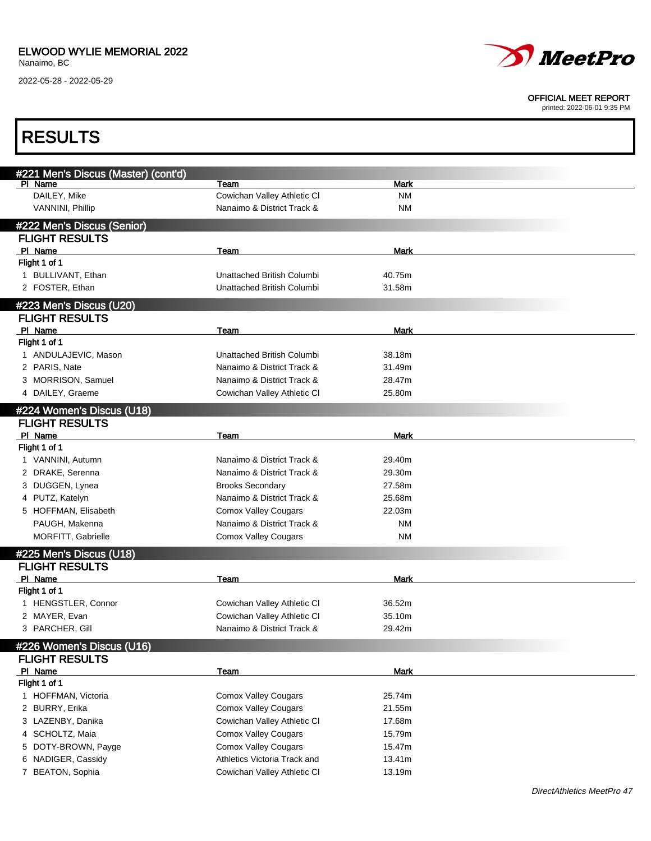2022-05-28 - 2022-05-29



#### OFFICIAL MEET REPORT

| <b>RESULTS</b>                       |                                                             |             |  |
|--------------------------------------|-------------------------------------------------------------|-------------|--|
| #221 Men's Discus (Master) (cont'd)  |                                                             |             |  |
| PI Name                              | Team                                                        | <b>Mark</b> |  |
| DAILEY, Mike                         | Cowichan Valley Athletic CI                                 | <b>NM</b>   |  |
| VANNINI, Phillip                     | Nanaimo & District Track &                                  | <b>NM</b>   |  |
| #222 Men's Discus (Senior)           |                                                             |             |  |
| <b>FLIGHT RESULTS</b>                |                                                             |             |  |
| PI Name                              | Team                                                        | <b>Mark</b> |  |
| Flight 1 of 1                        |                                                             |             |  |
| 1 BULLIVANT, Ethan                   | Unattached British Columbi                                  | 40.75m      |  |
| 2 FOSTER, Ethan                      | Unattached British Columbi                                  | 31.58m      |  |
| #223 Men's Discus (U20)              |                                                             |             |  |
| <b>FLIGHT RESULTS</b>                |                                                             |             |  |
| PI Name                              | Team                                                        | <b>Mark</b> |  |
| Flight 1 of 1                        |                                                             |             |  |
| 1 ANDULAJEVIC, Mason                 | Unattached British Columbi                                  | 38.18m      |  |
| 2 PARIS, Nate                        | Nanaimo & District Track &                                  | 31.49m      |  |
| 3 MORRISON, Samuel                   | Nanaimo & District Track &                                  | 28.47m      |  |
| 4 DAILEY, Graeme                     | Cowichan Valley Athletic CI                                 | 25.80m      |  |
| #224 Women's Discus (U18)            |                                                             |             |  |
| <b>FLIGHT RESULTS</b>                |                                                             |             |  |
| PI Name                              | Team                                                        | <b>Mark</b> |  |
| Flight 1 of 1                        |                                                             |             |  |
| 1 VANNINI, Autumn                    | Nanaimo & District Track &                                  | 29.40m      |  |
| 2 DRAKE, Serenna                     | Nanaimo & District Track &                                  | 29.30m      |  |
| 3 DUGGEN, Lynea                      | <b>Brooks Secondary</b>                                     | 27.58m      |  |
| 4 PUTZ, Katelyn                      | Nanaimo & District Track &                                  | 25.68m      |  |
| 5 HOFFMAN, Elisabeth                 | <b>Comox Valley Cougars</b>                                 | 22.03m      |  |
| PAUGH, Makenna                       | Nanaimo & District Track &                                  | <b>NM</b>   |  |
| MORFITT, Gabrielle                   | <b>Comox Valley Cougars</b>                                 | <b>NM</b>   |  |
| #225 Men's Discus (U18)              |                                                             |             |  |
| <b>FLIGHT RESULTS</b>                |                                                             |             |  |
| PI Name                              | Team                                                        | Mark        |  |
| Flight 1 of 1                        |                                                             |             |  |
| 1 HENGSTLER, Connor                  | Cowichan Valley Athletic Cl                                 | 36.52m      |  |
| 2 MAYER, Evan                        | Cowichan Valley Athletic CI                                 | 35.10m      |  |
| 3 PARCHER, Gill                      | Nanaimo & District Track &                                  | 29.42m      |  |
| #226 Women's Discus (U16)            |                                                             |             |  |
| <b>FLIGHT RESULTS</b>                |                                                             |             |  |
| PI Name                              | <b>Team</b>                                                 | <b>Mark</b> |  |
| Flight 1 of 1<br>1 HOFFMAN, Victoria |                                                             |             |  |
|                                      | <b>Comox Valley Cougars</b>                                 | 25.74m      |  |
| 2 BURRY, Erika                       | <b>Comox Valley Cougars</b>                                 | 21.55m      |  |
| 3 LAZENBY, Danika                    | Cowichan Valley Athletic CI                                 | 17.68m      |  |
| 4 SCHOLTZ, Maia                      | <b>Comox Valley Cougars</b>                                 | 15.79m      |  |
| DOTY-BROWN, Payge<br>5.              | <b>Comox Valley Cougars</b><br>Athletics Victoria Track and | 15.47m      |  |
| 6 NADIGER, Cassidy                   |                                                             | 13.41m      |  |
| 7 BEATON, Sophia                     | Cowichan Valley Athletic CI                                 | 13.19m      |  |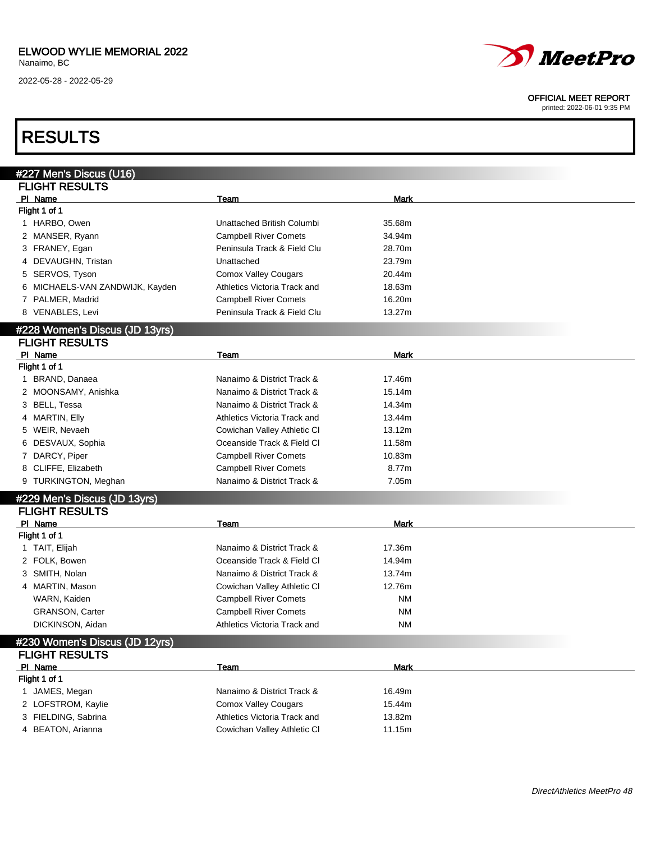### ELWOOD WYLIE MEMORIAL 2022

Nanaimo, BC

2022-05-28 - 2022-05-29



#### OFFICIAL MEET REPORT

printed: 2022-06-01 9:35 PM

### RESULTS

| #227 Men's Discus (U16)            |                              |             |  |
|------------------------------------|------------------------------|-------------|--|
| <b>FLIGHT RESULTS</b>              |                              |             |  |
| PI Name                            | Team                         | <b>Mark</b> |  |
| Flight 1 of 1                      |                              |             |  |
| 1 HARBO, Owen                      | Unattached British Columbi   | 35.68m      |  |
| 2 MANSER, Ryann                    | <b>Campbell River Comets</b> | 34.94m      |  |
| 3 FRANEY, Egan                     | Peninsula Track & Field Clu  | 28.70m      |  |
| 4 DEVAUGHN, Tristan                | Unattached                   | 23.79m      |  |
| SERVOS, Tyson<br>5                 | <b>Comox Valley Cougars</b>  | 20.44m      |  |
| MICHAELS-VAN ZANDWIJK, Kayden<br>6 | Athletics Victoria Track and | 18.63m      |  |
| 7 PALMER, Madrid                   | <b>Campbell River Comets</b> | 16.20m      |  |
| 8 VENABLES, Levi                   | Peninsula Track & Field Clu  | 13.27m      |  |
| #228 Women's Discus (JD 13yrs)     |                              |             |  |
| <b>FLIGHT RESULTS</b>              |                              |             |  |
| PI Name                            | Team                         | <b>Mark</b> |  |
| Flight 1 of 1                      |                              |             |  |
| 1 BRAND, Danaea                    | Nanaimo & District Track &   | 17.46m      |  |
| 2 MOONSAMY, Anishka                | Nanaimo & District Track &   | 15.14m      |  |
| 3 BELL, Tessa                      | Nanaimo & District Track &   | 14.34m      |  |
| 4 MARTIN, Elly                     | Athletics Victoria Track and | 13.44m      |  |
| 5 WEIR, Nevaeh                     | Cowichan Valley Athletic CI  | 13.12m      |  |
| 6 DESVAUX, Sophia                  | Oceanside Track & Field Cl   | 11.58m      |  |
| 7 DARCY, Piper                     | <b>Campbell River Comets</b> | 10.83m      |  |
| 8 CLIFFE, Elizabeth                | <b>Campbell River Comets</b> | 8.77m       |  |
| 9 TURKINGTON, Meghan               | Nanaimo & District Track &   | 7.05m       |  |
| #229 Men's Discus (JD 13yrs)       |                              |             |  |
| <b>FLIGHT RESULTS</b>              |                              |             |  |
| PI Name                            | <b>Team</b>                  | <b>Mark</b> |  |
| Flight 1 of 1                      |                              |             |  |
| 1 TAIT, Elijah                     | Nanaimo & District Track &   | 17.36m      |  |
| 2 FOLK, Bowen                      | Oceanside Track & Field Cl   | 14.94m      |  |
| 3 SMITH, Nolan                     | Nanaimo & District Track &   | 13.74m      |  |
| 4 MARTIN, Mason                    | Cowichan Valley Athletic CI  | 12.76m      |  |
| WARN, Kaiden                       | <b>Campbell River Comets</b> | <b>NM</b>   |  |
| <b>GRANSON, Carter</b>             | <b>Campbell River Comets</b> | <b>NM</b>   |  |
| DICKINSON, Aidan                   | Athletics Victoria Track and | <b>NM</b>   |  |
| #230 Women's Discus (JD 12vrs)     |                              |             |  |
|                                    |                              |             |  |
| <b>FLIGHT RESULTS</b><br>PI Name   |                              |             |  |
| Flight 1 of 1                      | Team                         | <b>Mark</b> |  |
| 1 JAMES, Megan                     | Nanaimo & District Track &   | 16.49m      |  |
| 2 LOFSTROM, Kaylie                 | <b>Comox Valley Cougars</b>  | 15.44m      |  |
| 3 FIELDING, Sabrina                | Athletics Victoria Track and | 13.82m      |  |
| 4 BEATON, Arianna                  | Cowichan Valley Athletic CI  | 11.15m      |  |
|                                    |                              |             |  |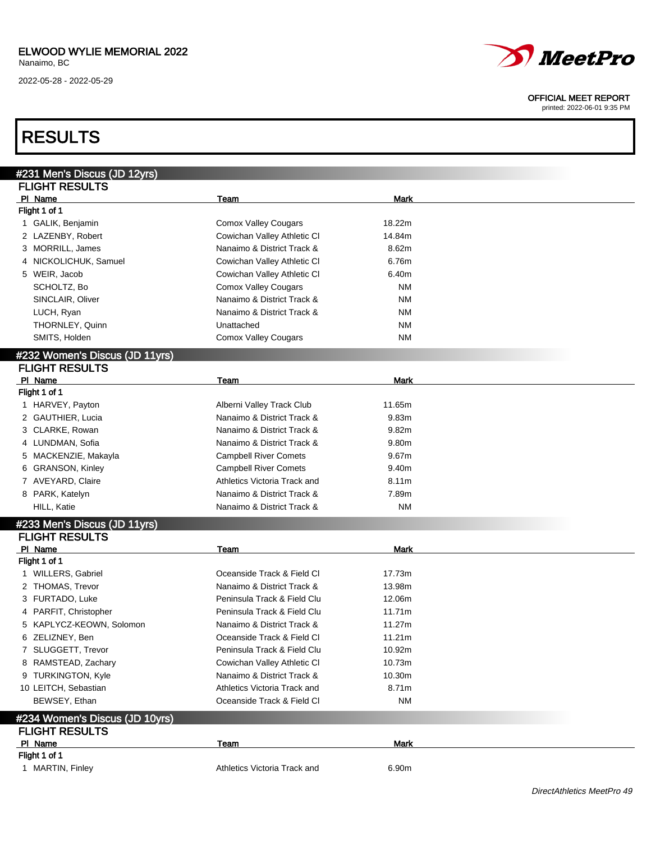2022-05-28 - 2022-05-29

# *MeetPro*

#### OFFICIAL MEET REPORT

printed: 2022-06-01 9:35 PM

### RESULTS

| #231 Men's Discus (JD 12yrs)   |                              |             |  |
|--------------------------------|------------------------------|-------------|--|
| <b>FLIGHT RESULTS</b>          |                              |             |  |
| PI Name                        | Team                         | <b>Mark</b> |  |
| Flight 1 of 1                  |                              |             |  |
| 1 GALIK, Benjamin              | <b>Comox Valley Cougars</b>  | 18.22m      |  |
| 2 LAZENBY, Robert              | Cowichan Valley Athletic CI  | 14.84m      |  |
| 3 MORRILL, James               | Nanaimo & District Track &   | 8.62m       |  |
| 4 NICKOLICHUK, Samuel          | Cowichan Valley Athletic CI  | 6.76m       |  |
| 5 WEIR, Jacob                  | Cowichan Valley Athletic CI  | 6.40m       |  |
| SCHOLTZ, Bo                    | <b>Comox Valley Cougars</b>  | ΝM          |  |
| SINCLAIR, Oliver               | Nanaimo & District Track &   | ΝM          |  |
| LUCH, Ryan                     | Nanaimo & District Track &   | ΝM          |  |
| THORNLEY, Quinn                | Unattached                   | ΝM          |  |
| SMITS, Holden                  | <b>Comox Valley Cougars</b>  | ΝM          |  |
|                                |                              |             |  |
| #232 Women's Discus (JD 11yrs) |                              |             |  |
| <b>FLIGHT RESULTS</b>          |                              |             |  |
| PI Name                        | Team                         | <b>Mark</b> |  |
| Flight 1 of 1                  |                              |             |  |
| 1 HARVEY, Payton               | Alberni Valley Track Club    | 11.65m      |  |
| 2 GAUTHIER, Lucia              | Nanaimo & District Track &   | 9.83m       |  |
| 3 CLARKE, Rowan                | Nanaimo & District Track &   | 9.82m       |  |
| 4 LUNDMAN, Sofia               | Nanaimo & District Track &   | 9.80m       |  |
| MACKENZIE, Makayla<br>5        | <b>Campbell River Comets</b> | 9.67m       |  |
| <b>GRANSON, Kinley</b><br>6    | <b>Campbell River Comets</b> | 9.40m       |  |
| 7 AVEYARD, Claire              | Athletics Victoria Track and | 8.11m       |  |
| 8 PARK, Katelyn                | Nanaimo & District Track &   | 7.89m       |  |
| HILL, Katie                    | Nanaimo & District Track &   | ΝM          |  |
| #233 Men's Discus (JD 11yrs)   |                              |             |  |
| <b>FLIGHT RESULTS</b>          |                              |             |  |
| PI Name                        | Team                         | <b>Mark</b> |  |
| Flight 1 of 1                  |                              |             |  |
| 1 WILLERS, Gabriel             | Oceanside Track & Field Cl   | 17.73m      |  |
| 2 THOMAS, Trevor               | Nanaimo & District Track &   | 13.98m      |  |
| 3 FURTADO, Luke                | Peninsula Track & Field Clu  | 12.06m      |  |
| 4 PARFIT, Christopher          | Peninsula Track & Field Clu  | 11.71m      |  |
| 5 KAPLYCZ-KEOWN, Solomon       | Nanaimo & District Track &   | 11.27m      |  |
| 6 ZELIZNEY, Ben                | Oceanside Track & Field Cl   | 11.21m      |  |
| 7 SLUGGETT, Trevor             | Peninsula Track & Field Clu  | 10.92m      |  |
| 8 RAMSTEAD, Zachary            | Cowichan Valley Athletic CI  | 10.73m      |  |
| 9 TURKINGTON, Kyle             | Nanaimo & District Track &   | 10.30m      |  |
| 10 LEITCH, Sebastian           | Athletics Victoria Track and | 8.71m       |  |
| BEWSEY, Ethan                  | Oceanside Track & Field Cl   | ΝM          |  |
|                                |                              |             |  |
| #234 Women's Discus (JD 10yrs) |                              |             |  |
| <b>FLIGHT RESULTS</b>          |                              |             |  |
| PI Name                        | Team                         | <b>Mark</b> |  |
| Flight 1 of 1                  |                              |             |  |
| 1 MARTIN, Finley               | Athletics Victoria Track and | 6.90m       |  |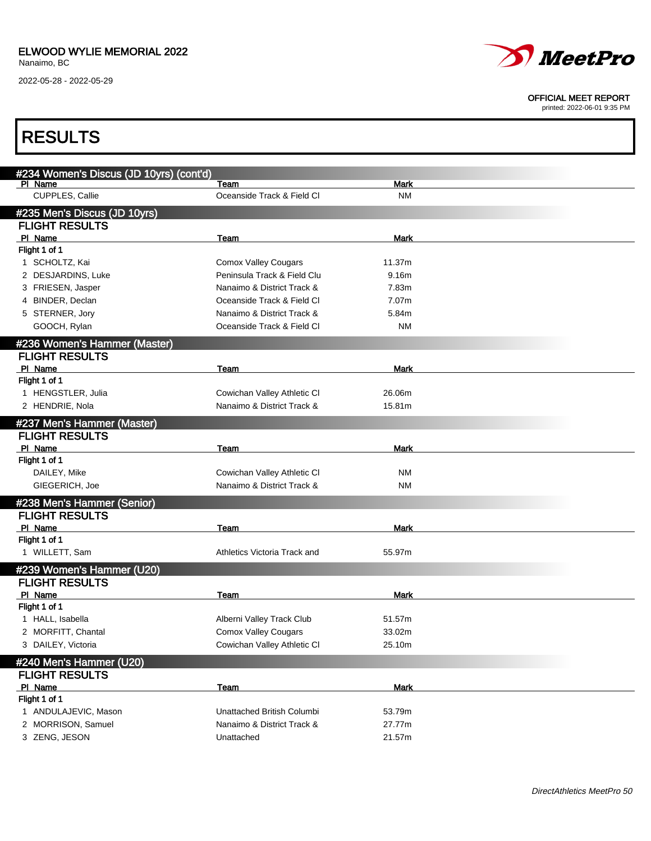2022-05-28 - 2022-05-29



#### OFFICIAL MEET REPORT

| <b>RESULTS</b>                          |                              |             |  |
|-----------------------------------------|------------------------------|-------------|--|
| #234 Women's Discus (JD 10yrs) (cont'd) |                              |             |  |
| PI Name                                 | Team                         | <b>Mark</b> |  |
| CUPPLES, Callie                         | Oceanside Track & Field Cl   | <b>NM</b>   |  |
| #235 Men's Discus (JD 10yrs)            |                              |             |  |
| <b>FLIGHT RESULTS</b>                   |                              |             |  |
| PI Name                                 | Team                         | Mark        |  |
| Flight 1 of 1                           |                              |             |  |
| 1 SCHOLTZ, Kai                          | <b>Comox Valley Cougars</b>  | 11.37m      |  |
| 2 DESJARDINS, Luke                      | Peninsula Track & Field Clu  | 9.16m       |  |
| 3 FRIESEN, Jasper                       | Nanaimo & District Track &   | 7.83m       |  |
| 4 BINDER, Declan                        | Oceanside Track & Field CI   | 7.07m       |  |
| 5 STERNER, Jory                         | Nanaimo & District Track &   | 5.84m       |  |
| GOOCH, Rylan                            | Oceanside Track & Field Cl   | <b>NM</b>   |  |
| #236 Women's Hammer (Master)            |                              |             |  |
| <b>FLIGHT RESULTS</b>                   |                              |             |  |
| PI Name                                 | Team                         | Mark        |  |
| Flight 1 of 1                           |                              |             |  |
| 1 HENGSTLER, Julia                      | Cowichan Valley Athletic CI  | 26.06m      |  |
| 2 HENDRIE, Nola                         | Nanaimo & District Track &   | 15.81m      |  |
| #237 Men's Hammer (Master)              |                              |             |  |
| <b>FLIGHT RESULTS</b>                   |                              |             |  |
| PI Name                                 | Team                         | <b>Mark</b> |  |
| Flight 1 of 1                           |                              |             |  |
| DAILEY, Mike                            | Cowichan Valley Athletic CI  | <b>NM</b>   |  |
| GIEGERICH, Joe                          | Nanaimo & District Track &   | <b>NM</b>   |  |
| #238 Men's Hammer (Senior)              |                              |             |  |
| <b>FLIGHT RESULTS</b>                   |                              |             |  |
| PI Name                                 | Team                         | Mark        |  |
| Flight 1 of 1                           |                              |             |  |
| 1 WILLETT, Sam                          | Athletics Victoria Track and | 55.97m      |  |
| #239 Women's Hammer (U20)               |                              |             |  |
| <b>FLIGHT RESULTS</b>                   |                              |             |  |
| PI Name                                 | Team                         | <b>Mark</b> |  |
| Flight 1 of 1                           |                              |             |  |
| 1 HALL, Isabella                        | Alberni Valley Track Club    | 51.57m      |  |
| 2 MORFITT, Chantal                      | <b>Comox Valley Cougars</b>  | 33.02m      |  |
| 3 DAILEY, Victoria                      | Cowichan Valley Athletic CI  | 25.10m      |  |
| #240 Men's Hammer (U20)                 |                              |             |  |
| <b>FLIGHT RESULTS</b>                   |                              |             |  |
| PI Name                                 | <b>Team</b>                  | <b>Mark</b> |  |
| Flight 1 of 1                           |                              |             |  |
| 1 ANDULAJEVIC, Mason                    | Unattached British Columbi   | 53.79m      |  |
| 2 MORRISON, Samuel                      | Nanaimo & District Track &   | 27.77m      |  |
| 3 ZENG, JESON                           | Unattached                   | 21.57m      |  |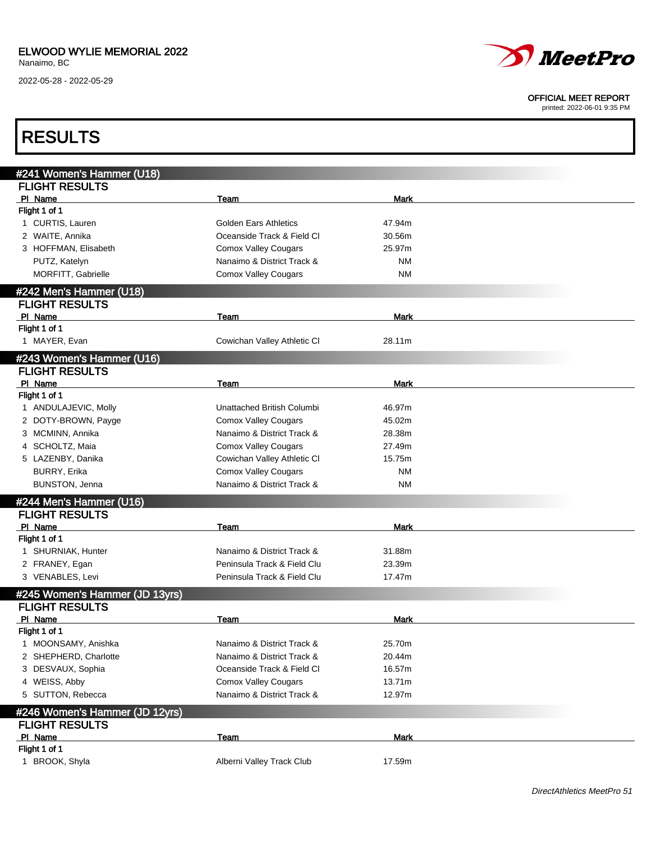2022-05-28 - 2022-05-29



#### OFFICIAL MEET REPORT

| <b>RESULTS</b>                 |                              |             |  |
|--------------------------------|------------------------------|-------------|--|
| #241 Women's Hammer (U18)      |                              |             |  |
| <b>FLIGHT RESULTS</b>          |                              |             |  |
| PI Name                        | Team                         | Mark        |  |
| Flight 1 of 1                  |                              |             |  |
| 1 CURTIS, Lauren               | <b>Golden Ears Athletics</b> | 47.94m      |  |
| 2 WAITE, Annika                | Oceanside Track & Field Cl   | 30.56m      |  |
| 3 HOFFMAN, Elisabeth           | <b>Comox Valley Cougars</b>  | 25.97m      |  |
| PUTZ, Katelyn                  | Nanaimo & District Track &   | <b>NM</b>   |  |
| <b>MORFITT, Gabrielle</b>      | <b>Comox Valley Cougars</b>  | <b>NM</b>   |  |
| #242 Men's Hammer (U18)        |                              |             |  |
| <b>FLIGHT RESULTS</b>          |                              |             |  |
| PI Name                        | Team                         | Mark        |  |
| Flight 1 of 1                  |                              |             |  |
| 1 MAYER, Evan                  | Cowichan Valley Athletic CI  | 28.11m      |  |
| #243 Women's Hammer (U16)      |                              |             |  |
| <b>FLIGHT RESULTS</b>          |                              |             |  |
| PI Name                        | Team                         | <b>Mark</b> |  |
| Flight 1 of 1                  |                              |             |  |
| 1 ANDULAJEVIC, Molly           | Unattached British Columbi   | 46.97m      |  |
| 2 DOTY-BROWN, Payge            | <b>Comox Valley Cougars</b>  | 45.02m      |  |
| 3 MCMINN, Annika               | Nanaimo & District Track &   | 28.38m      |  |
| 4 SCHOLTZ, Maia                | <b>Comox Valley Cougars</b>  | 27.49m      |  |
| 5 LAZENBY, Danika              | Cowichan Valley Athletic CI  | 15.75m      |  |
| BURRY, Erika                   | <b>Comox Valley Cougars</b>  | <b>NM</b>   |  |
| BUNSTON, Jenna                 | Nanaimo & District Track &   | <b>NM</b>   |  |
| #244 Men's Hammer (U16)        |                              |             |  |
| <b>FLIGHT RESULTS</b>          |                              |             |  |
| PI Name                        | Team                         | <b>Mark</b> |  |
| Flight 1 of 1                  |                              |             |  |
| 1 SHURNIAK, Hunter             | Nanaimo & District Track &   | 31.88m      |  |
| 2 FRANEY, Egan                 | Peninsula Track & Field Clu  | 23.39m      |  |
| 3 VENABLES, Levi               | Peninsula Track & Field Clu  | 17.47m      |  |
| #245 Women's Hammer (JD 13yrs) |                              |             |  |
| <b>FLIGHT RESULTS</b>          |                              |             |  |
| PI Name                        | Team                         | Mark        |  |
| Flight 1 of 1                  |                              |             |  |
| 1 MOONSAMY, Anishka            | Nanaimo & District Track &   | 25.70m      |  |
| 2 SHEPHERD, Charlotte          | Nanaimo & District Track &   | 20.44m      |  |
| 3 DESVAUX, Sophia              | Oceanside Track & Field Cl   | 16.57m      |  |
| 4 WEISS, Abby                  | <b>Comox Valley Cougars</b>  | 13.71m      |  |
| 5 SUTTON, Rebecca              | Nanaimo & District Track &   | 12.97m      |  |
| #246 Women's Hammer (JD 12yrs) |                              |             |  |
| <b>FLIGHT RESULTS</b>          |                              |             |  |
| PI Name                        | Team                         | <b>Mark</b> |  |
| Flight 1 of 1                  |                              |             |  |
| 1 BROOK, Shyla                 | Alberni Valley Track Club    | 17.59m      |  |
|                                |                              |             |  |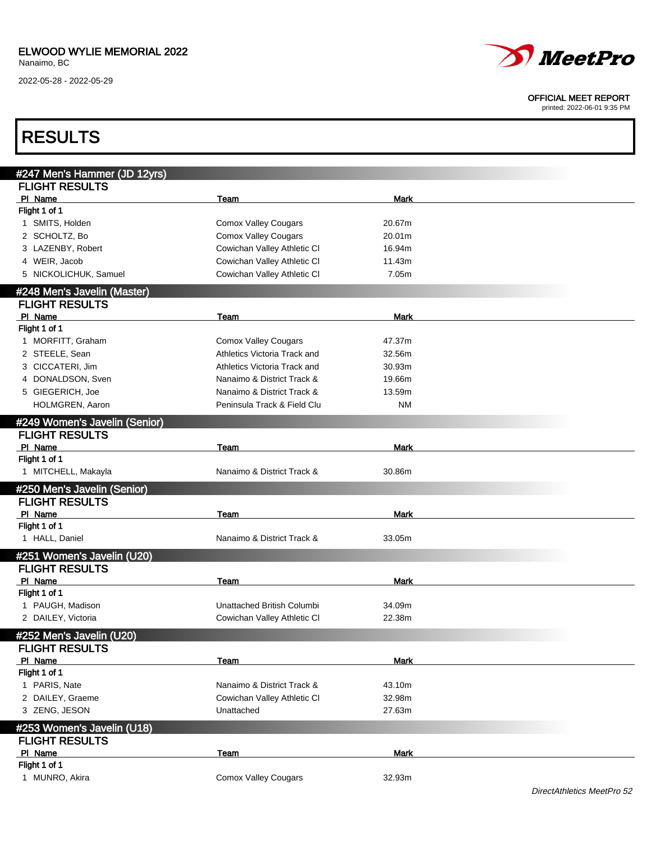2022-05-28 - 2022-05-29



#### OFFICIAL MEET REPORT

| <b>RESULTS</b>                |                              |             |  |
|-------------------------------|------------------------------|-------------|--|
| #247 Men's Hammer (JD 12yrs)  |                              |             |  |
| <b>FLIGHT RESULTS</b>         |                              |             |  |
| PI Name                       | Team                         | Mark        |  |
| Flight 1 of 1                 |                              |             |  |
| 1 SMITS, Holden               | <b>Comox Valley Cougars</b>  | 20.67m      |  |
| 2 SCHOLTZ, Bo                 | <b>Comox Valley Cougars</b>  | 20.01m      |  |
| 3 LAZENBY, Robert             | Cowichan Valley Athletic CI  | 16.94m      |  |
| 4 WEIR, Jacob                 | Cowichan Valley Athletic CI  | 11.43m      |  |
| 5 NICKOLICHUK, Samuel         | Cowichan Valley Athletic CI  | 7.05m       |  |
| #248 Men's Javelin (Master)   |                              |             |  |
| <b>FLIGHT RESULTS</b>         |                              |             |  |
| PI Name                       | Team                         | Mark        |  |
| Flight 1 of 1                 |                              |             |  |
| 1 MORFITT, Graham             | <b>Comox Valley Cougars</b>  | 47.37m      |  |
| 2 STEELE, Sean                | Athletics Victoria Track and | 32.56m      |  |
| 3 CICCATERI, Jim              | Athletics Victoria Track and | 30.93m      |  |
| 4 DONALDSON, Sven             | Nanaimo & District Track &   | 19.66m      |  |
| 5 GIEGERICH, Joe              | Nanaimo & District Track &   | 13.59m      |  |
| HOLMGREN, Aaron               | Peninsula Track & Field Clu  | <b>NM</b>   |  |
|                               |                              |             |  |
| #249 Women's Javelin (Senior) |                              |             |  |
| <b>FLIGHT RESULTS</b>         |                              |             |  |
| PI Name                       | Team                         | <b>Mark</b> |  |
| Flight 1 of 1                 |                              |             |  |
| 1 MITCHELL, Makayla           | Nanaimo & District Track &   | 30.86m      |  |
| #250 Men's Javelin (Senior)   |                              |             |  |
| <b>FLIGHT RESULTS</b>         |                              |             |  |
| PI Name                       | Team                         | <b>Mark</b> |  |
| Flight 1 of 1                 |                              |             |  |
| 1 HALL, Daniel                | Nanaimo & District Track &   | 33.05m      |  |
| #251 Women's Javelin (U20)    |                              |             |  |
| <b>FLIGHT RESULTS</b>         |                              |             |  |
| PI Name                       | Team                         | Mark        |  |
| Flight 1 of 1                 |                              |             |  |
| 1 PAUGH, Madison              | Unattached British Columbi   | 34.09m      |  |
| 2 DAILEY, Victoria            | Cowichan Valley Athletic CI  | 22.38m      |  |
| #252 Men's Javelin (U20)      |                              |             |  |
| <b>FLIGHT RESULTS</b>         |                              |             |  |
| PI Name                       | Team                         | <b>Mark</b> |  |
| Flight 1 of 1                 |                              |             |  |
| 1 PARIS, Nate                 | Nanaimo & District Track &   | 43.10m      |  |
| 2 DAILEY, Graeme              | Cowichan Valley Athletic CI  | 32.98m      |  |
| 3 ZENG, JESON                 | Unattached                   | 27.63m      |  |
| #253 Women's Javelin (U18)    |                              |             |  |
| <b>FLIGHT RESULTS</b>         |                              |             |  |
| PI Name                       | <b>Team</b>                  | <b>Mark</b> |  |
| Flight 1 of 1                 |                              |             |  |
| 1 MUNRO, Akira                | <b>Comox Valley Cougars</b>  | 32.93m      |  |
|                               |                              |             |  |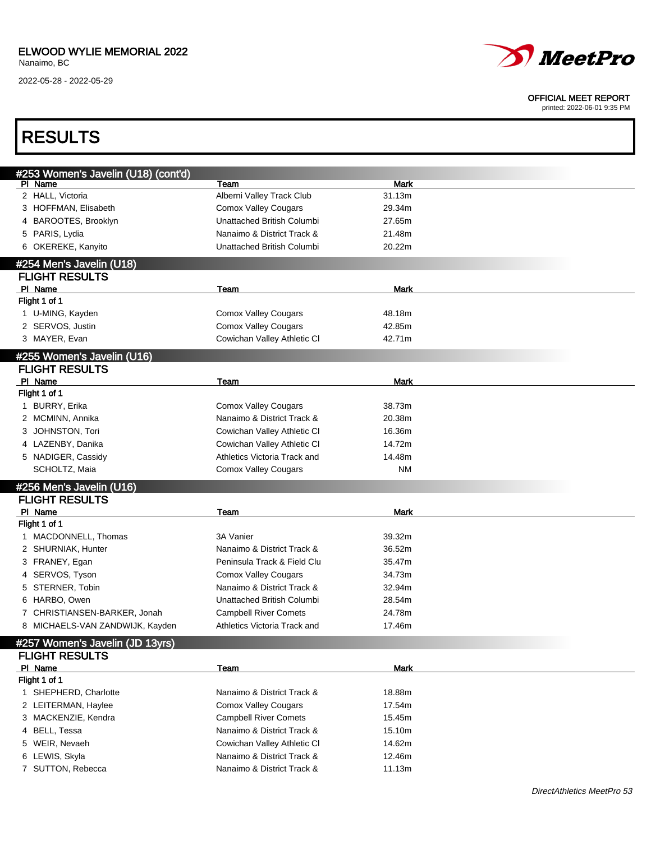### ELWOOD WYLIE MEMORIAL 2022

Nanaimo, BC

2022-05-28 - 2022-05-29



#### OFFICIAL MEET REPORT

| <b>RESULTS</b>                      |                              |             |  |
|-------------------------------------|------------------------------|-------------|--|
| #253 Women's Javelin (U18) (cont'd) |                              |             |  |
| PI Name                             | Team                         | <b>Mark</b> |  |
| 2 HALL, Victoria                    | Alberni Valley Track Club    | 31.13m      |  |
| 3 HOFFMAN, Elisabeth                | <b>Comox Valley Cougars</b>  | 29.34m      |  |
| 4 BAROOTES, Brooklyn                | Unattached British Columbi   | 27.65m      |  |
| 5 PARIS, Lydia                      | Nanaimo & District Track &   | 21.48m      |  |
| 6 OKEREKE, Kanyito                  | Unattached British Columbi   | 20.22m      |  |
| #254 Men's Javelin (U18)            |                              |             |  |
| <b>FLIGHT RESULTS</b>               |                              |             |  |
| PI Name                             | Team                         | Mark        |  |
| Flight 1 of 1                       |                              |             |  |
| 1 U-MING, Kayden                    | <b>Comox Valley Cougars</b>  | 48.18m      |  |
| 2 SERVOS, Justin                    | Comox Valley Cougars         | 42.85m      |  |
| 3 MAYER, Evan                       | Cowichan Valley Athletic CI  | 42.71m      |  |
| #255 Women's Javelin (U16)          |                              |             |  |
| <b>FLIGHT RESULTS</b>               |                              |             |  |
| PI Name                             | Team                         | Mark        |  |
| Flight 1 of 1                       |                              |             |  |
| 1 BURRY, Erika                      | <b>Comox Valley Cougars</b>  | 38.73m      |  |
| 2 MCMINN, Annika                    | Nanaimo & District Track &   | 20.38m      |  |
| 3 JOHNSTON, Tori                    | Cowichan Valley Athletic CI  | 16.36m      |  |
| 4 LAZENBY, Danika                   | Cowichan Valley Athletic CI  | 14.72m      |  |
| 5 NADIGER, Cassidy                  | Athletics Victoria Track and | 14.48m      |  |
| SCHOLTZ, Maia                       | <b>Comox Valley Cougars</b>  | <b>NM</b>   |  |
| #256 Men's Javelin (U16)            |                              |             |  |
| <b>FLIGHT RESULTS</b>               |                              |             |  |
| PI Name                             | Team                         | <b>Mark</b> |  |
| Flight 1 of 1                       |                              |             |  |
| 1 MACDONNELL, Thomas                | 3A Vanier                    | 39.32m      |  |
| 2 SHURNIAK, Hunter                  | Nanaimo & District Track &   | 36.52m      |  |
| 3 FRANEY, Egan                      | Peninsula Track & Field Clu  | 35.47m      |  |
| 4 SERVOS, Tyson                     | <b>Comox Valley Cougars</b>  | 34.73m      |  |
| 5 STERNER, Tobin                    | Nanaimo & District Track &   | 32.94m      |  |
| 6 HARBO, Owen                       | Unattached British Columbi   | 28.54m      |  |
| 7 CHRISTIANSEN-BARKER, Jonah        | <b>Campbell River Comets</b> | 24.78m      |  |
| 8 MICHAELS-VAN ZANDWIJK, Kayden     | Athletics Victoria Track and | 17.46m      |  |
| #257 Women's Javelin (JD 13yrs)     |                              |             |  |
| <b>FLIGHT RESULTS</b>               |                              |             |  |
| PI Name                             | <u>Team</u>                  | <b>Mark</b> |  |
| Flight 1 of 1                       |                              |             |  |
| 1 SHEPHERD, Charlotte               | Nanaimo & District Track &   | 18.88m      |  |
| 2 LEITERMAN, Haylee                 | Comox Valley Cougars         | 17.54m      |  |
| 3 MACKENZIE, Kendra                 | <b>Campbell River Comets</b> | 15.45m      |  |
| 4 BELL, Tessa                       | Nanaimo & District Track &   | 15.10m      |  |
| 5 WEIR, Nevaeh                      | Cowichan Valley Athletic CI  | 14.62m      |  |
| 6 LEWIS, Skyla                      | Nanaimo & District Track &   | 12.46m      |  |
| 7 SUTTON, Rebecca                   | Nanaimo & District Track &   | 11.13m      |  |
|                                     |                              |             |  |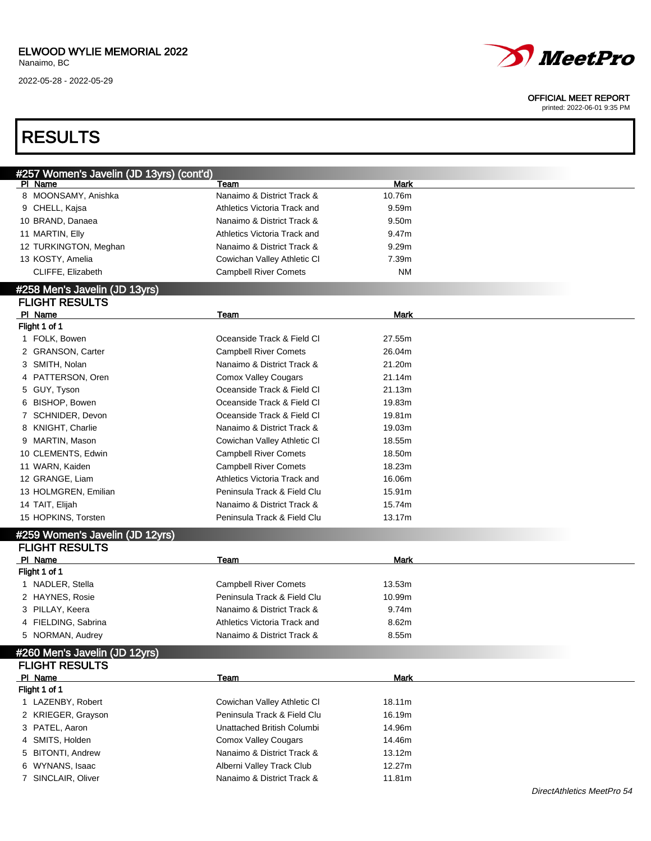### ELWOOD WYLIE MEMORIAL 2022

Nanaimo, BC

2022-05-28 - 2022-05-29



#### OFFICIAL MEET REPORT

| <b>RESULTS</b>                           |                              |             |  |
|------------------------------------------|------------------------------|-------------|--|
| #257 Women's Javelin (JD 13yrs) (cont'd) |                              |             |  |
| PI Name                                  | Team                         | <b>Mark</b> |  |
| 8 MOONSAMY, Anishka                      | Nanaimo & District Track &   | 10.76m      |  |
| 9 CHELL, Kajsa                           | Athletics Victoria Track and | 9.59m       |  |
| 10 BRAND, Danaea                         | Nanaimo & District Track &   | 9.50m       |  |
| 11 MARTIN, Elly                          | Athletics Victoria Track and | 9.47m       |  |
| 12 TURKINGTON, Meghan                    | Nanaimo & District Track &   | 9.29m       |  |
| 13 KOSTY, Amelia                         | Cowichan Valley Athletic CI  | 7.39m       |  |
| CLIFFE, Elizabeth                        | <b>Campbell River Comets</b> | <b>NM</b>   |  |
| #258 Men's Javelin (JD 13yrs)            |                              |             |  |
| <b>FLIGHT RESULTS</b>                    |                              |             |  |
| PI Name                                  | Team                         | <b>Mark</b> |  |
| Flight 1 of 1                            |                              |             |  |
| 1 FOLK, Bowen                            | Oceanside Track & Field CI   | 27.55m      |  |
| 2 GRANSON, Carter                        | <b>Campbell River Comets</b> | 26.04m      |  |
| 3 SMITH, Nolan                           | Nanaimo & District Track &   | 21.20m      |  |
| PATTERSON, Oren<br>4                     | <b>Comox Valley Cougars</b>  | 21.14m      |  |
| 5 GUY, Tyson                             | Oceanside Track & Field CI   | 21.13m      |  |
| <b>BISHOP, Bowen</b><br>6                | Oceanside Track & Field CI   | 19.83m      |  |
| SCHNIDER, Devon                          | Oceanside Track & Field CI   | 19.81m      |  |
| KNIGHT, Charlie<br>8                     | Nanaimo & District Track &   | 19.03m      |  |
| MARTIN, Mason<br>9                       | Cowichan Valley Athletic CI  | 18.55m      |  |
| 10 CLEMENTS, Edwin                       | <b>Campbell River Comets</b> | 18.50m      |  |
| 11 WARN, Kaiden                          | <b>Campbell River Comets</b> | 18.23m      |  |
| 12 GRANGE, Liam                          | Athletics Victoria Track and | 16.06m      |  |
| 13 HOLMGREN, Emilian                     | Peninsula Track & Field Clu  | 15.91m      |  |
| 14 TAIT, Elijah                          | Nanaimo & District Track &   | 15.74m      |  |
| 15 HOPKINS, Torsten                      | Peninsula Track & Field Clu  | 13.17m      |  |
|                                          |                              |             |  |
| #259 Women's Javelin (JD 12yrs)          |                              |             |  |
| <b>FLIGHT RESULTS</b><br>PI Name         |                              | <b>Mark</b> |  |
| Flight 1 of 1                            | Team                         |             |  |
| 1 NADLER, Stella                         | <b>Campbell River Comets</b> | 13.53m      |  |
| 2 HAYNES, Rosie                          | Peninsula Track & Field Clu  | 10.99m      |  |
| 3 PILLAY, Keera                          | Nanaimo & District Track &   | 9.74m       |  |
| 4 FIELDING, Sabrina                      | Athletics Victoria Track and | 8.62m       |  |
| 5 NORMAN, Audrey                         | Nanaimo & District Track &   | 8.55m       |  |
|                                          |                              |             |  |
| #260 Men's Javelin (JD 12yrs)            |                              |             |  |
| <b>FLIGHT RESULTS</b>                    |                              |             |  |
| PI Name                                  | Team                         | <b>Mark</b> |  |
| Flight 1 of 1                            |                              |             |  |
| 1 LAZENBY, Robert                        | Cowichan Valley Athletic CI  | 18.11m      |  |
| 2 KRIEGER, Grayson                       | Peninsula Track & Field Clu  | 16.19m      |  |
| 3 PATEL, Aaron                           | Unattached British Columbi   | 14.96m      |  |
| 4 SMITS, Holden                          | <b>Comox Valley Cougars</b>  | 14.46m      |  |
| <b>BITONTI, Andrew</b><br>5              | Nanaimo & District Track &   | 13.12m      |  |
| 6 WYNANS, Isaac                          | Alberni Valley Track Club    | 12.27m      |  |
| 7 SINCLAIR, Oliver                       | Nanaimo & District Track &   | 11.81m      |  |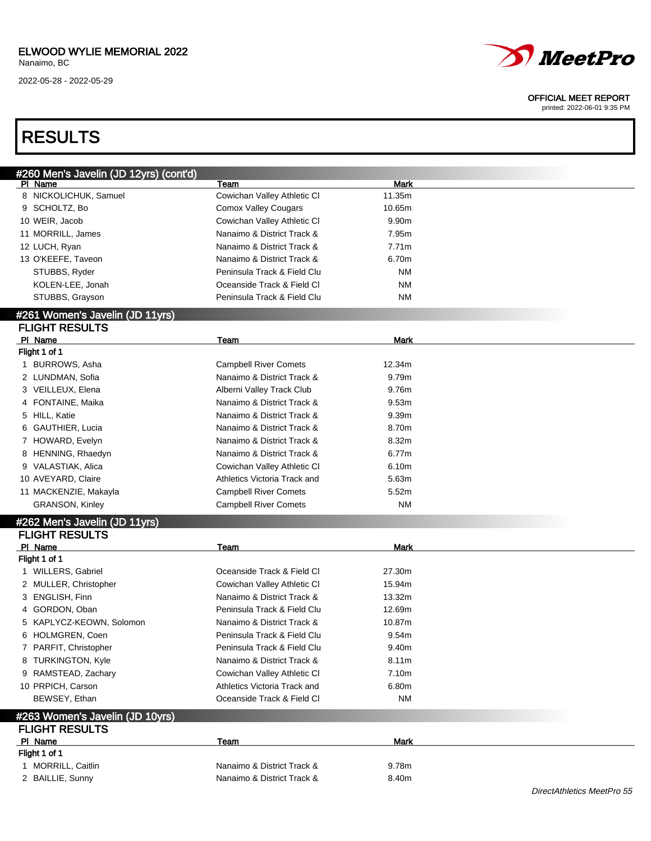

#### OFFICIAL MEET REPORT

printed: 2022-06-01 9:35 PM

## RESULTS

| #260 Men's Javelin (JD 12yrs) (cont'd) |                              |             |  |
|----------------------------------------|------------------------------|-------------|--|
| PI Name                                | Team                         | <b>Mark</b> |  |
| 8 NICKOLICHUK, Samuel                  | Cowichan Valley Athletic CI  | 11.35m      |  |
| 9 SCHOLTZ, Bo                          | <b>Comox Valley Cougars</b>  | 10.65m      |  |
| 10 WEIR, Jacob                         | Cowichan Valley Athletic CI  | 9.90m       |  |
| 11 MORRILL, James                      | Nanaimo & District Track &   | 7.95m       |  |
| 12 LUCH, Ryan                          | Nanaimo & District Track &   | 7.71m       |  |
| 13 O'KEEFE, Taveon                     | Nanaimo & District Track &   | 6.70m       |  |
| STUBBS, Ryder                          | Peninsula Track & Field Clu  | <b>NM</b>   |  |
| KOLEN-LEE, Jonah                       | Oceanside Track & Field CI   | <b>NM</b>   |  |
| STUBBS, Grayson                        | Peninsula Track & Field Clu  | <b>NM</b>   |  |
| #261 Women's Javelin (JD 11yrs)        |                              |             |  |
| <b>FLIGHT RESULTS</b>                  |                              |             |  |
| PI Name                                | Team                         | Mark        |  |
| Flight 1 of 1                          |                              |             |  |
| 1 BURROWS, Asha                        | <b>Campbell River Comets</b> | 12.34m      |  |
| 2 LUNDMAN, Sofia                       | Nanaimo & District Track &   | 9.79m       |  |
| 3 VEILLEUX, Elena                      | Alberni Valley Track Club    | 9.76m       |  |
| 4 FONTAINE, Maika                      | Nanaimo & District Track &   | 9.53m       |  |
| 5 HILL, Katie                          | Nanaimo & District Track &   | 9.39m       |  |
| 6 GAUTHIER, Lucia                      | Nanaimo & District Track &   | 8.70m       |  |
| 7 HOWARD, Evelyn                       | Nanaimo & District Track &   | 8.32m       |  |
| 8 HENNING, Rhaedyn                     | Nanaimo & District Track &   | 6.77m       |  |
| 9 VALASTIAK, Alica                     | Cowichan Valley Athletic CI  | 6.10m       |  |
| 10 AVEYARD, Claire                     | Athletics Victoria Track and | 5.63m       |  |
| 11 MACKENZIE, Makayla                  | <b>Campbell River Comets</b> | 5.52m       |  |
| <b>GRANSON, Kinley</b>                 | <b>Campbell River Comets</b> | <b>NM</b>   |  |
| #262 Men's Javelin (JD 11yrs)          |                              |             |  |
| <b>FLIGHT RESULTS</b>                  |                              |             |  |
| PI Name                                | Team                         | <b>Mark</b> |  |
| Flight 1 of 1                          |                              |             |  |
| 1 WILLERS, Gabriel                     | Oceanside Track & Field CI   | 27.30m      |  |
| 2 MULLER, Christopher                  | Cowichan Valley Athletic CI  | 15.94m      |  |
| 3 ENGLISH, Finn                        | Nanaimo & District Track &   | 13.32m      |  |
| 4 GORDON, Oban                         | Peninsula Track & Field Clu  | 12.69m      |  |
| 5 KAPLYCZ-KEOWN, Solomon               | Nanaimo & District Track &   | 10.87m      |  |
| 6 HOLMGREN, Coen                       | Peninsula Track & Field Clu  | 9.54m       |  |
| 7 PARFIT, Christopher                  | Peninsula Track & Field Clu  | 9.40m       |  |
| 8 TURKINGTON, Kyle                     | Nanaimo & District Track &   | 8.11m       |  |
| 9 RAMSTEAD, Zachary                    | Cowichan Valley Athletic CI  | 7.10m       |  |
| 10 PRPICH, Carson                      | Athletics Victoria Track and | 6.80m       |  |
| BEWSEY, Ethan                          | Oceanside Track & Field CI   | <b>NM</b>   |  |
| #263 Women's Javelin (JD 10yrs)        |                              |             |  |
| <b>FLIGHT RESULTS</b>                  |                              |             |  |
| PI Name                                | Team                         | <b>Mark</b> |  |
| Flight 1 of 1                          |                              |             |  |
| 1 MORRILL, Caitlin                     | Nanaimo & District Track &   | 9.78m       |  |
| 2 BAILLIE, Sunny                       | Nanaimo & District Track &   | 8.40m       |  |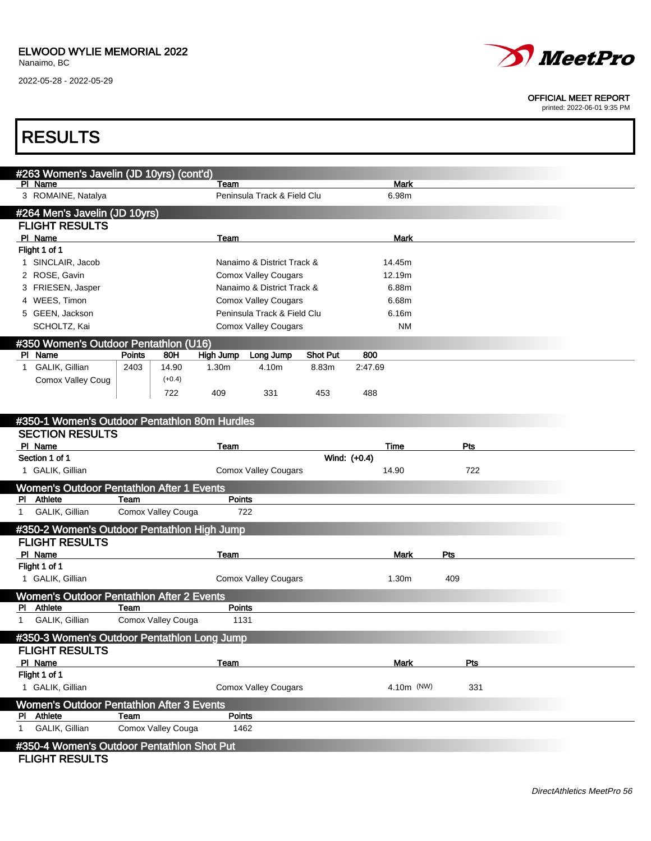Г

2022-05-28 - 2022-05-29



#### OFFICIAL MEET REPORT

printed: 2022-06-01 9:35 PM

| <b>RESULTS</b>                                      |               |                    |                  |                                                           |                 |              |                   |     |  |
|-----------------------------------------------------|---------------|--------------------|------------------|-----------------------------------------------------------|-----------------|--------------|-------------------|-----|--|
|                                                     |               |                    |                  |                                                           |                 |              |                   |     |  |
| #263 Women's Javelin (JD 10yrs) (cont'd)<br>PI Name |               |                    | Team             |                                                           |                 |              | <b>Mark</b>       |     |  |
| 3 ROMAINE, Natalya                                  |               |                    |                  | Peninsula Track & Field Clu                               |                 |              | 6.98m             |     |  |
| #264 Men's Javelin (JD 10yrs)                       |               |                    |                  |                                                           |                 |              |                   |     |  |
| <b>FLIGHT RESULTS</b>                               |               |                    |                  |                                                           |                 |              |                   |     |  |
| PI Name                                             |               |                    | Team             |                                                           |                 |              | <b>Mark</b>       |     |  |
| Flight 1 of 1                                       |               |                    |                  |                                                           |                 |              |                   |     |  |
| 1 SINCLAIR, Jacob                                   |               |                    |                  | Nanaimo & District Track &                                |                 |              | 14.45m            |     |  |
| 2 ROSE, Gavin<br>3 FRIESEN, Jasper                  |               |                    |                  | <b>Comox Valley Cougars</b><br>Nanaimo & District Track & |                 |              | 12.19m<br>6.88m   |     |  |
| 4 WEES, Timon                                       |               |                    |                  | <b>Comox Valley Cougars</b>                               |                 |              | 6.68m             |     |  |
| 5 GEEN, Jackson                                     |               |                    |                  | Peninsula Track & Field Clu                               |                 |              | 6.16m             |     |  |
| SCHOLTZ, Kai                                        |               |                    |                  | <b>Comox Valley Cougars</b>                               |                 |              | <b>NM</b>         |     |  |
| #350 Women's Outdoor Pentathlon (U16)               |               |                    |                  |                                                           |                 |              |                   |     |  |
| PI Name                                             | <b>Points</b> | 80H                | <b>High Jump</b> | Long Jump                                                 | <b>Shot Put</b> | 800          |                   |     |  |
| 1 GALIK, Gillian                                    | 2403          | 14.90              | 1.30m            | 4.10m                                                     | 8.83m           | 2:47.69      |                   |     |  |
| Comox Valley Coug                                   |               | $(+0.4)$           |                  |                                                           |                 |              |                   |     |  |
|                                                     |               | 722                | 409              | 331                                                       | 453             | 488          |                   |     |  |
| #350-1 Women's Outdoor Pentathlon 80m Hurdles       |               |                    |                  |                                                           |                 |              |                   |     |  |
| <b>SECTION RESULTS</b>                              |               |                    |                  |                                                           |                 |              |                   |     |  |
| PI Name                                             |               |                    | Team             |                                                           |                 |              | <b>Time</b>       | Pts |  |
| Section 1 of 1                                      |               |                    |                  |                                                           |                 | Wind: (+0.4) |                   |     |  |
| 1 GALIK, Gillian                                    |               |                    |                  | <b>Comox Valley Cougars</b>                               |                 |              | 14.90             | 722 |  |
| Women's Outdoor Pentathlon After 1 Events           |               |                    |                  |                                                           |                 |              |                   |     |  |
| Athlete<br>PL.                                      | Team          |                    | <b>Points</b>    |                                                           |                 |              |                   |     |  |
| GALIK, Gillian<br>1                                 |               | Comox Valley Couga |                  | 722                                                       |                 |              |                   |     |  |
| #350-2 Women's Outdoor Pentathlon High Jump         |               |                    |                  |                                                           |                 |              |                   |     |  |
| <b>FLIGHT RESULTS</b>                               |               |                    |                  |                                                           |                 |              |                   |     |  |
| PI Name<br>Flight 1 of 1                            |               |                    | Team             |                                                           |                 |              | <b>Mark</b>       | Pts |  |
| 1 GALIK, Gillian                                    |               |                    |                  | <b>Comox Valley Cougars</b>                               |                 |              | 1.30 <sub>m</sub> | 409 |  |
| Women's Outdoor Pentathlon After 2 Events           |               |                    |                  |                                                           |                 |              |                   |     |  |
| Athlete<br>M.                                       | Team          |                    | <b>Points</b>    |                                                           |                 |              |                   |     |  |
| GALIK, Gillian<br>1                                 |               | Comox Valley Couga | 1131             |                                                           |                 |              |                   |     |  |
| #350-3 Women's Outdoor Pentathlon Long Jump         |               |                    |                  |                                                           |                 |              |                   |     |  |
| <b>FLIGHT RESULTS</b>                               |               |                    |                  |                                                           |                 |              |                   |     |  |
| PI Name                                             |               |                    | Team             |                                                           |                 |              | <b>Mark</b>       | Pts |  |
| Flight 1 of 1                                       |               |                    |                  |                                                           |                 |              |                   |     |  |
| 1 GALIK, Gillian                                    |               |                    |                  | <b>Comox Valley Cougars</b>                               |                 |              | 4.10m (NW)        | 331 |  |
| Women's Outdoor Pentathlon After 3 Events           |               |                    |                  |                                                           |                 |              |                   |     |  |
| PI Athlete<br>GALIK, Gillian                        | Team          | Comox Valley Couga | Points<br>1462   |                                                           |                 |              |                   |     |  |
| 1                                                   |               |                    |                  |                                                           |                 |              |                   |     |  |
| #350-4 Women's Outdoor Pentathlon Shot Put          |               |                    |                  |                                                           |                 |              |                   |     |  |
| <b>FLIGHT RESULTS</b>                               |               |                    |                  |                                                           |                 |              |                   |     |  |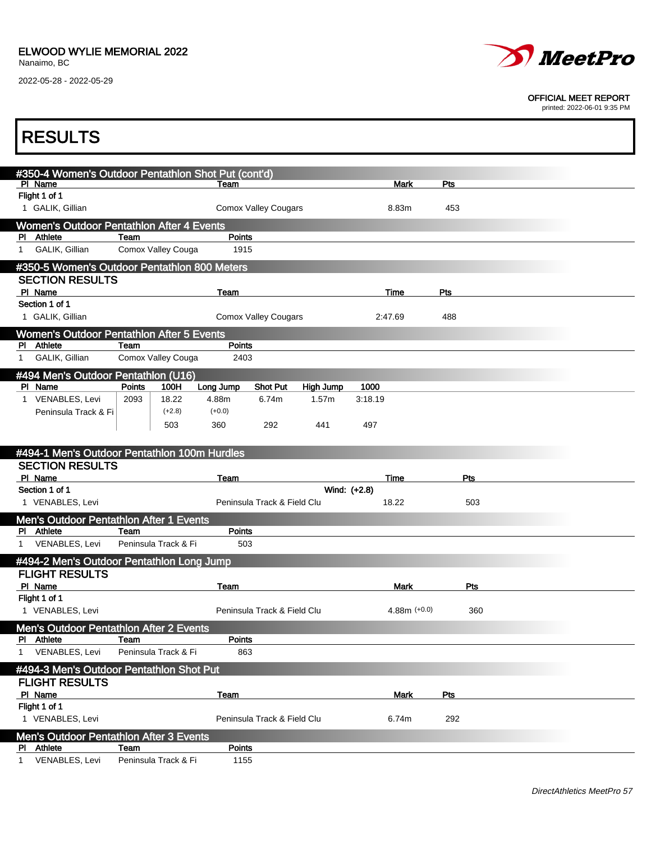Г

2022-05-28 - 2022-05-29



#### OFFICIAL MEET REPORT

printed: 2022-06-01 9:35 PM

| <b>RESULTS</b>                                                         |                              |                                           |                |     |  |
|------------------------------------------------------------------------|------------------------------|-------------------------------------------|----------------|-----|--|
|                                                                        |                              |                                           |                |     |  |
| #350-4 Women's Outdoor Pentathlon Shot Put (cont'd)<br>PI Name         |                              | Team                                      | <b>Mark</b>    | Pts |  |
| Flight 1 of 1                                                          |                              |                                           |                |     |  |
| 1 GALIK, Gillian                                                       |                              | <b>Comox Valley Cougars</b>               | 8.83m          | 453 |  |
| <b>Women's Outdoor Pentathlon After 4 Events</b><br>PI Athlete         | Team                         | Points                                    |                |     |  |
| GALIK, Gillian<br>1                                                    | Comox Valley Couga           | 1915                                      |                |     |  |
| #350-5 Women's Outdoor Pentathlon 800 Meters                           |                              |                                           |                |     |  |
| <b>SECTION RESULTS</b><br>PI Name                                      |                              |                                           |                | Pts |  |
| Section 1 of 1                                                         |                              | Team                                      | Time           |     |  |
| 1 GALIK, Gillian                                                       |                              | <b>Comox Valley Cougars</b>               | 2:47.69        | 488 |  |
| <b>Women's Outdoor Pentathlon After 5 Events</b>                       |                              |                                           |                |     |  |
| PI Athlete<br>GALIK, Gillian<br>1                                      | Team<br>Comox Valley Couga   | Points<br>2403                            |                |     |  |
| #494 Men's Outdoor Pentathlon (U16)                                    |                              |                                           |                |     |  |
| PI Name                                                                | <b>Points</b><br>100H        | <b>Shot Put</b><br>Long Jump<br>High Jump | 1000           |     |  |
| 1 VENABLES, Levi                                                       | 2093<br>18.22                | 6.74m<br>1.57m<br>4.88m                   | 3:18.19        |     |  |
| Peninsula Track & Fi                                                   | $(+2.8)$<br>503              | $(+0.0)$<br>360<br>292<br>441             | 497            |     |  |
|                                                                        |                              |                                           |                |     |  |
| #494-1 Men's Outdoor Pentathlon 100m Hurdles                           |                              |                                           |                |     |  |
| <b>SECTION RESULTS</b><br>PI Name                                      |                              | Team                                      | Time           | Pts |  |
| Section 1 of 1                                                         |                              |                                           | Wind: (+2.8)   |     |  |
| 1 VENABLES, Levi                                                       |                              | Peninsula Track & Field Clu               | 18.22          | 503 |  |
| <b>Men's Outdoor Pentathlon After 1 Events</b><br>PI Athlete           |                              | <b>Points</b>                             |                |     |  |
| VENABLES, Levi<br>1                                                    | Team<br>Peninsula Track & Fi |                                           |                |     |  |
|                                                                        |                              | 503                                       |                |     |  |
| #494-2 Men's Outdoor Pentathlon Long Jump                              |                              |                                           |                |     |  |
| <b>FLIGHT RESULTS</b>                                                  |                              |                                           |                |     |  |
| PI Name                                                                |                              | Team                                      | Mark           | Pts |  |
| Flight 1 of 1<br>1 VENABLES, Levi                                      |                              | Peninsula Track & Field Clu               | $4.88m (+0.0)$ | 360 |  |
| <b>Men's Outdoor Pentathlon After 2 Events</b>                         |                              |                                           |                |     |  |
| PI Athlete                                                             | Team                         | <b>Points</b>                             |                |     |  |
| VENABLES, Levi<br>1                                                    | Peninsula Track & Fi         | 863                                       |                |     |  |
| #494-3 Men's Outdoor Pentathlon Shot Put                               |                              |                                           |                |     |  |
| <b>FLIGHT RESULTS</b><br>PI Name                                       |                              | Team                                      | Mark           | Pts |  |
| Flight 1 of 1                                                          |                              |                                           |                |     |  |
| 1 VENABLES, Levi                                                       |                              | Peninsula Track & Field Clu               | 6.74m          | 292 |  |
| <b>Men's Outdoor Pentathlon After 3 Events</b><br>Athlete<br><b>PI</b> | Team                         | Points                                    |                |     |  |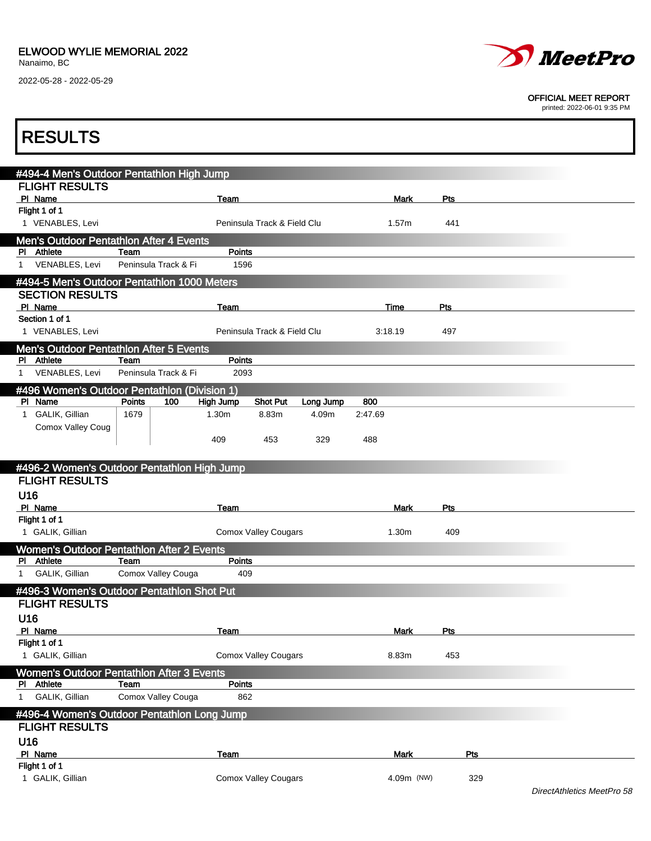### ELWOOD WYLIE MEMORIAL 2022

Nanaimo, BC

2022-05-28 - 2022-05-29



#### OFFICIAL MEET REPORT

printed: 2022-06-01 9:35 PM

| <b>RESULTS</b>                                   |                              |                       |                             |           |             |     |     |  |
|--------------------------------------------------|------------------------------|-----------------------|-----------------------------|-----------|-------------|-----|-----|--|
|                                                  |                              |                       |                             |           |             |     |     |  |
| #494-4 Men's Outdoor Pentathlon High Jump        |                              |                       |                             |           |             |     |     |  |
| <b>FLIGHT RESULTS</b><br>PI Name                 |                              | Team                  |                             |           | <b>Mark</b> | Pts |     |  |
| Flight 1 of 1                                    |                              |                       |                             |           |             |     |     |  |
| 1 VENABLES, Levi                                 | Peninsula Track & Field Clu  |                       |                             |           | 1.57m       | 441 |     |  |
| <b>Men's Outdoor Pentathlon After 4 Events</b>   |                              |                       |                             |           |             |     |     |  |
| PI Athlete<br>VENABLES, Levi<br>$\mathbf{1}$     | Team<br>Peninsula Track & Fi | <b>Points</b><br>1596 |                             |           |             |     |     |  |
| #494-5 Men's Outdoor Pentathlon 1000 Meters      |                              |                       |                             |           |             |     |     |  |
| <b>SECTION RESULTS</b>                           |                              |                       |                             |           |             |     |     |  |
| PI Name                                          |                              | Team                  |                             |           | Time        | Pts |     |  |
| Section 1 of 1<br>1 VENABLES, Levi               |                              |                       | Peninsula Track & Field Clu |           | 3:18.19     | 497 |     |  |
| Men's Outdoor Pentathlon After 5 Events          |                              |                       |                             |           |             |     |     |  |
| PI Athlete                                       | Team                         | Points                |                             |           |             |     |     |  |
| VENABLES, Levi<br>$\mathbf{1}$                   | Peninsula Track & Fi         | 2093                  |                             |           |             |     |     |  |
| #496 Women's Outdoor Pentathlon (Division 1)     |                              |                       |                             |           |             |     |     |  |
| PI Name                                          | Points<br>100                | High Jump             | <b>Shot Put</b>             | Long Jump | 800         |     |     |  |
| 1 GALIK, Gillian<br>Comox Valley Coug            | 1679                         | 1.30m                 | 8.83m                       | 4.09m     | 2:47.69     |     |     |  |
|                                                  |                              | 409                   | 453                         | 329       | 488         |     |     |  |
|                                                  |                              |                       |                             |           |             |     |     |  |
| #496-2 Women's Outdoor Pentathlon High Jump      |                              |                       |                             |           |             |     |     |  |
| <b>FLIGHT RESULTS</b><br>U16                     |                              |                       |                             |           |             |     |     |  |
| PI Name                                          |                              | Team                  |                             |           | Mark        | Pts |     |  |
| Flight 1 of 1                                    |                              |                       |                             |           |             |     |     |  |
| 1 GALIK, Gillian                                 |                              |                       | <b>Comox Valley Cougars</b> |           | 1.30m       | 409 |     |  |
| <b>Women's Outdoor Pentathlon After 2 Events</b> |                              |                       |                             |           |             |     |     |  |
| PI Athlete<br>GALIK, Gillian<br>1                | Team<br>Comox Valley Couga   | Points<br>409         |                             |           |             |     |     |  |
| #496-3 Women's Outdoor Pentathlon Shot Put       |                              |                       |                             |           |             |     |     |  |
| <b>FLIGHT RESULTS</b>                            |                              |                       |                             |           |             |     |     |  |
| U16                                              |                              |                       |                             |           |             |     |     |  |
| PI Name                                          |                              | Team                  |                             |           | <b>Mark</b> | Pts |     |  |
| Flight 1 of 1<br>1 GALIK, Gillian                |                              |                       | <b>Comox Valley Cougars</b> |           | 8.83m       | 453 |     |  |
| Women's Outdoor Pentathlon After 3 Events        |                              |                       |                             |           |             |     |     |  |
| PI Athlete                                       | Team                         | <b>Points</b>         |                             |           |             |     |     |  |
| GALIK, Gillian<br>$\mathbf{1}$                   | Comox Valley Couga           | 862                   |                             |           |             |     |     |  |
| #496-4 Women's Outdoor Pentathlon Long Jump      |                              |                       |                             |           |             |     |     |  |
| <b>FLIGHT RESULTS</b>                            |                              |                       |                             |           |             |     |     |  |
| U16<br>PI Name                                   |                              | Team                  |                             |           | <b>Mark</b> |     | Pts |  |
| Flight 1 of 1                                    |                              |                       |                             |           |             |     |     |  |
| 1 GALIK, Gillian                                 |                              | 4.09m (NW)            |                             | 329       |             |     |     |  |